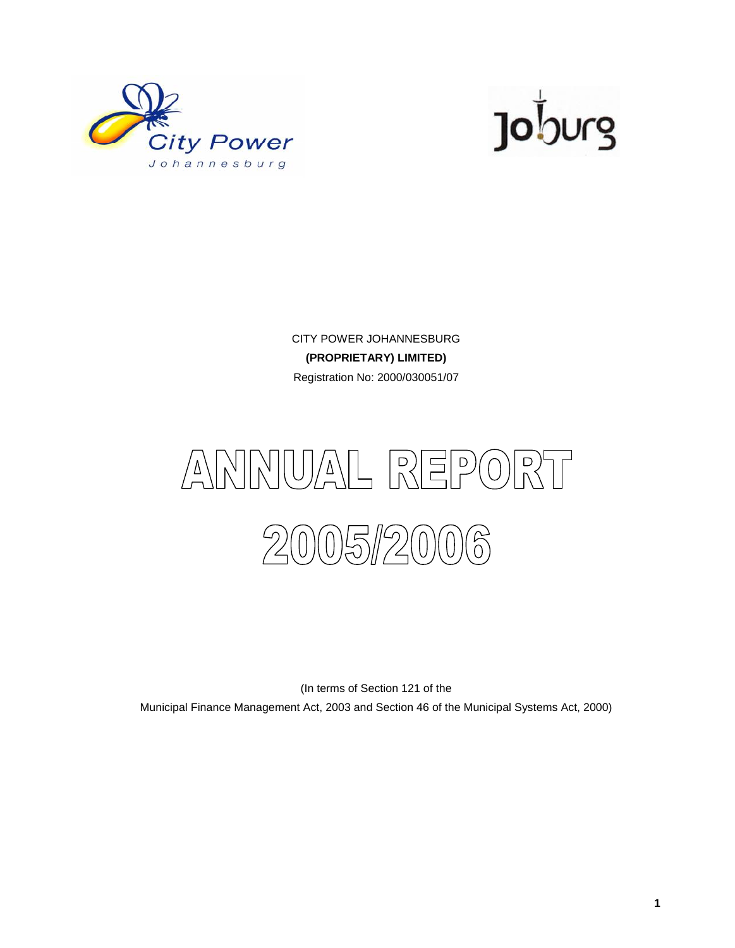



CITY POWER JOHANNESBURG **(PROPRIETARY) LIMITED)** Registration No: 2000/030051/07



(In terms of Section 121 of the

Municipal Finance Management Act, 2003 and Section 46 of the Municipal Systems Act, 2000)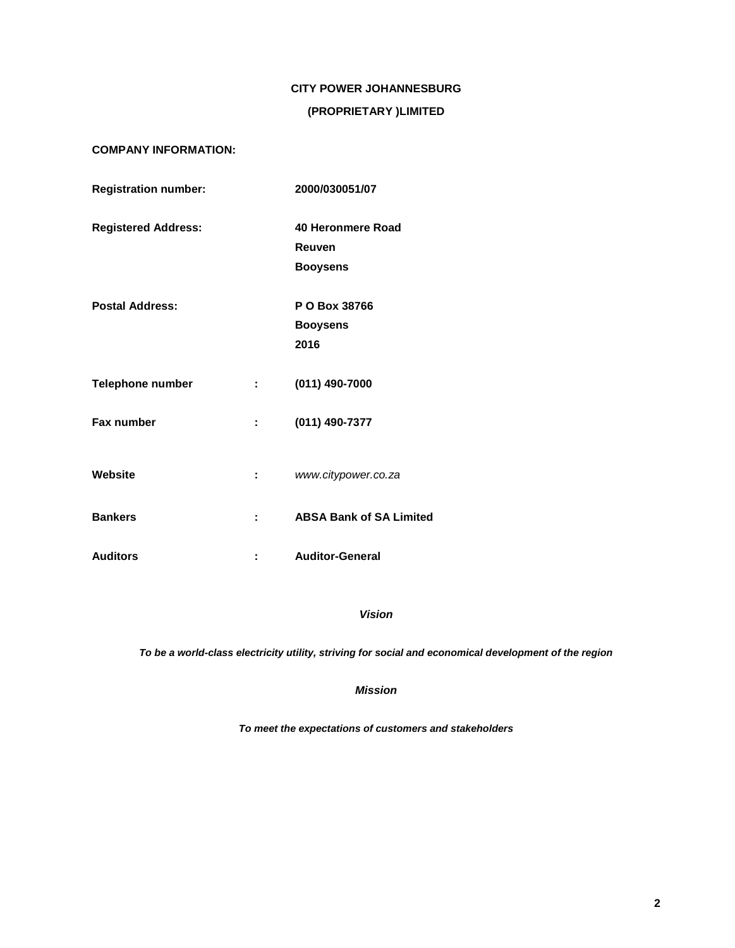# **CITY POWER JOHANNESBURG**

# **(PROPRIETARY )LIMITED**

# **COMPANY INFORMATION:**

| <b>Registration number:</b> |                           | 2000/030051/07                 |
|-----------------------------|---------------------------|--------------------------------|
| <b>Registered Address:</b>  |                           | 40 Heronmere Road              |
|                             |                           | Reuven                         |
|                             |                           | <b>Booysens</b>                |
| <b>Postal Address:</b>      |                           | P O Box 38766                  |
|                             |                           | <b>Booysens</b>                |
|                             |                           | 2016                           |
| <b>Telephone number</b>     | t in                      | $(011)$ 490-7000               |
| <b>Fax number</b>           | t.                        | (011) 490-7377                 |
| Website                     | $\mathbb{Z}^{\mathbb{Z}}$ | www.citypower.co.za            |
| <b>Bankers</b>              | $\mathbf{1}$              | <b>ABSA Bank of SA Limited</b> |
| <b>Auditors</b>             |                           | <b>Auditor-General</b>         |

*Vision*

*To be a world-class electricity utility, striving for social and economical development of the region*

*Mission*

*To meet the expectations of customers and stakeholders*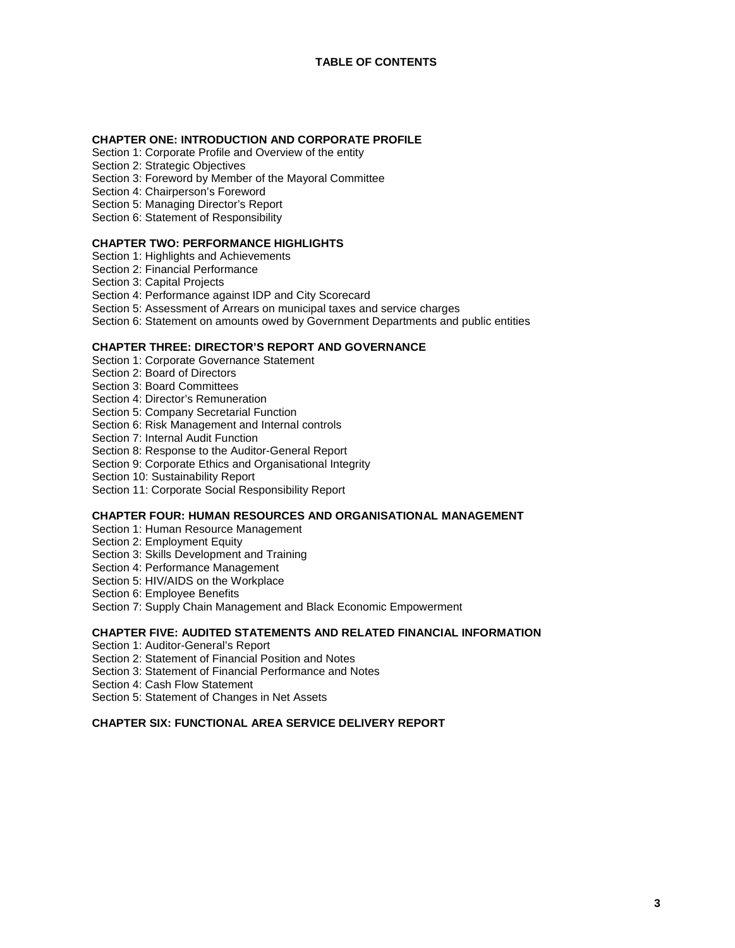#### **CHAPTER ONE: INTRODUCTION AND CORPORATE PROFILE**

- Section 1: Corporate Profile and Overview of the entity
- Section 2: Strategic Objectives
- Section 3: Foreword by Member of the Mayoral Committee
- Section 4: Chairperson's Foreword
- Section 5: Managing Director's Report
- Section 6: Statement of Responsibility

#### **CHAPTER TWO: PERFORMANCE HIGHLIGHTS**

- Section 1: Highlights and Achievements
- Section 2: Financial Performance
- Section 3: Capital Projects

#### Section 4: Performance against IDP and City Scorecard

- Section 5: Assessment of Arrears on municipal taxes and service charges
- Section 6: Statement on amounts owed by Government Departments and public entities

#### **CHAPTER THREE: DIRECTOR'S REPORT AND GOVERNANCE**

- Section 1: Corporate Governance Statement
- Section 2: Board of Directors
- Section 3: Board Committees
- Section 4: Director's Remuneration
- Section 5: Company Secretarial Function
- Section 6: Risk Management and Internal controls
- Section 7: Internal Audit Function
- Section 8: Response to the Auditor-General Report
- Section 9: Corporate Ethics and Organisational Integrity
- Section 10: Sustainability Report
- Section 11: Corporate Social Responsibility Report

# **CHAPTER FOUR: HUMAN RESOURCES AND ORGANISATIONAL MANAGEMENT**

- Section 1: Human Resource Management
- Section 2: Employment Equity
- Section 3: Skills Development and Training
- Section 4: Performance Management
- Section 5: HIV/AIDS on the Workplace
- Section 6: Employee Benefits
- Section 7: Supply Chain Management and Black Economic Empowerment

#### **CHAPTER FIVE: AUDITED STATEMENTS AND RELATED FINANCIAL INFORMATION**

- Section 1: Auditor-General's Report
- Section 2: Statement of Financial Position and Notes
- Section 3: Statement of Financial Performance and Notes
- Section 4: Cash Flow Statement
- Section 5: Statement of Changes in Net Assets

# **CHAPTER SIX: FUNCTIONAL AREA SERVICE DELIVERY REPORT**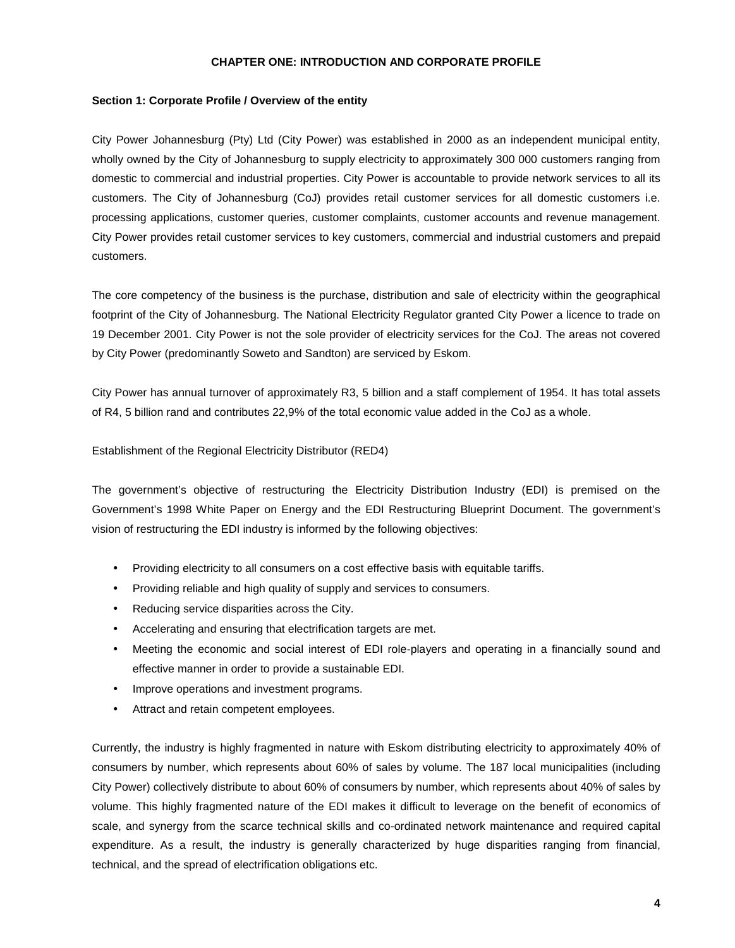#### **CHAPTER ONE: INTRODUCTION AND CORPORATE PROFILE**

#### **Section 1: Corporate Profile / Overview of the entity**

City Power Johannesburg (Pty) Ltd (City Power) was established in 2000 as an independent municipal entity, wholly owned by the City of Johannesburg to supply electricity to approximately 300 000 customers ranging from domestic to commercial and industrial properties. City Power is accountable to provide network services to all its customers. The City of Johannesburg (CoJ) provides retail customer services for all domestic customers i.e. processing applications, customer queries, customer complaints, customer accounts and revenue management. City Power provides retail customer services to key customers, commercial and industrial customers and prepaid customers.

The core competency of the business is the purchase, distribution and sale of electricity within the geographical footprint of the City of Johannesburg. The National Electricity Regulator granted City Power a licence to trade on 19 December 2001. City Power is not the sole provider of electricity services for the CoJ. The areas not covered by City Power (predominantly Soweto and Sandton) are serviced by Eskom.

City Power has annual turnover of approximately R3, 5 billion and a staff complement of 1954. It has total assets of R4, 5 billion rand and contributes 22,9% of the total economic value added in the CoJ as a whole.

Establishment of the Regional Electricity Distributor (RED4)

The government's objective of restructuring the Electricity Distribution Industry (EDI) is premised on the Government's 1998 White Paper on Energy and the EDI Restructuring Blueprint Document. The government's vision of restructuring the EDI industry is informed by the following objectives:

- Providing electricity to all consumers on a cost effective basis with equitable tariffs.
- Providing reliable and high quality of supply and services to consumers.
- Reducing service disparities across the City.
- Accelerating and ensuring that electrification targets are met.
- Meeting the economic and social interest of EDI role-players and operating in a financially sound and effective manner in order to provide a sustainable EDI.
- Improve operations and investment programs.
- Attract and retain competent employees.

Currently, the industry is highly fragmented in nature with Eskom distributing electricity to approximately 40% of consumers by number, which represents about 60% of sales by volume. The 187 local municipalities (including City Power) collectively distribute to about 60% of consumers by number, which represents about 40% of sales by volume. This highly fragmented nature of the EDI makes it difficult to leverage on the benefit of economics of scale, and synergy from the scarce technical skills and co-ordinated network maintenance and required capital expenditure. As a result, the industry is generally characterized by huge disparities ranging from financial, technical, and the spread of electrification obligations etc.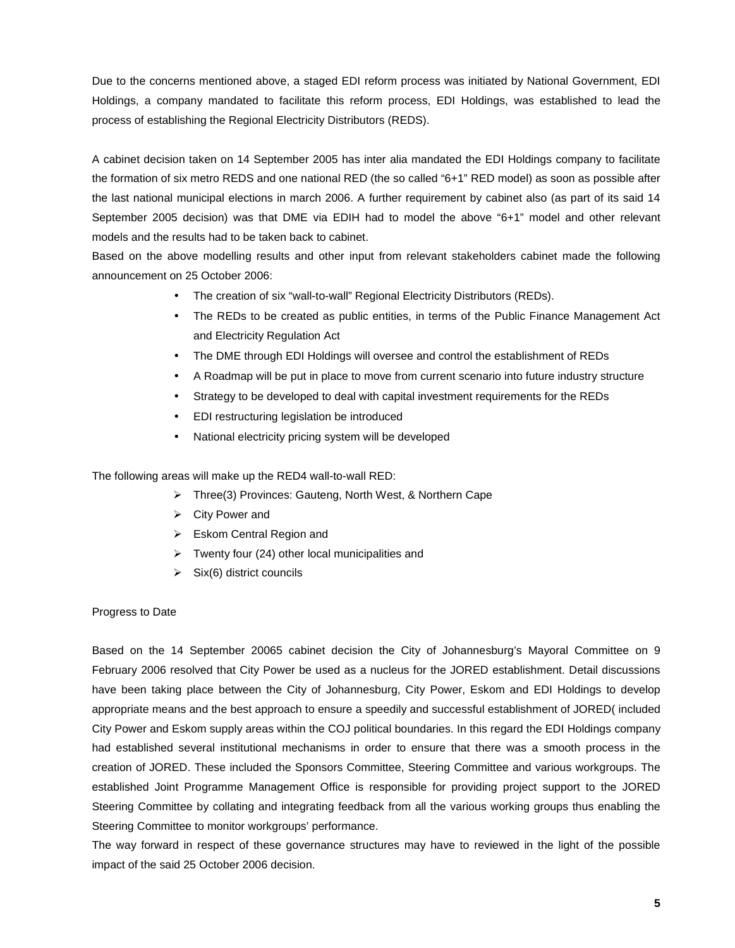Due to the concerns mentioned above, a staged EDI reform process was initiated by National Government, EDI Holdings, a company mandated to facilitate this reform process, EDI Holdings, was established to lead the process of establishing the Regional Electricity Distributors (REDS).

A cabinet decision taken on 14 September 2005 has inter alia mandated the EDI Holdings company to facilitate the formation of six metro REDS and one national RED (the so called "6+1" RED model) as soon as possible after the last national municipal elections in march 2006. A further requirement by cabinet also (as part of its said 14 September 2005 decision) was that DME via EDIH had to model the above "6+1" model and other relevant models and the results had to be taken back to cabinet.

Based on the above modelling results and other input from relevant stakeholders cabinet made the following announcement on 25 October 2006:

- The creation of six "wall-to-wall" Regional Electricity Distributors (REDs).
- The REDs to be created as public entities, in terms of the Public Finance Management Act and Electricity Regulation Act
- The DME through EDI Holdings will oversee and control the establishment of REDs
- A Roadmap will be put in place to move from current scenario into future industry structure
- Strategy to be developed to deal with capital investment requirements for the REDs
- EDI restructuring legislation be introduced
- National electricity pricing system will be developed

The following areas will make up the RED4 wall-to-wall RED:

- Three(3) Provinces: Gauteng, North West, & Northern Cape
- $\triangleright$  City Power and
- Eskom Central Region and
- $\triangleright$  Twenty four (24) other local municipalities and
- $\triangleright$  Six(6) district councils

#### Progress to Date

Based on the 14 September 20065 cabinet decision the City of Johannesburg's Mayoral Committee on 9 February 2006 resolved that City Power be used as a nucleus for the JORED establishment. Detail discussions have been taking place between the City of Johannesburg, City Power, Eskom and EDI Holdings to develop appropriate means and the best approach to ensure a speedily and successful establishment of JORED( included City Power and Eskom supply areas within the COJ political boundaries. In this regard the EDI Holdings company had established several institutional mechanisms in order to ensure that there was a smooth process in the creation of JORED. These included the Sponsors Committee, Steering Committee and various workgroups. The established Joint Programme Management Office is responsible for providing project support to the JORED Steering Committee by collating and integrating feedback from all the various working groups thus enabling the Steering Committee to monitor workgroups' performance.

The way forward in respect of these governance structures may have to reviewed in the light of the possible impact of the said 25 October 2006 decision.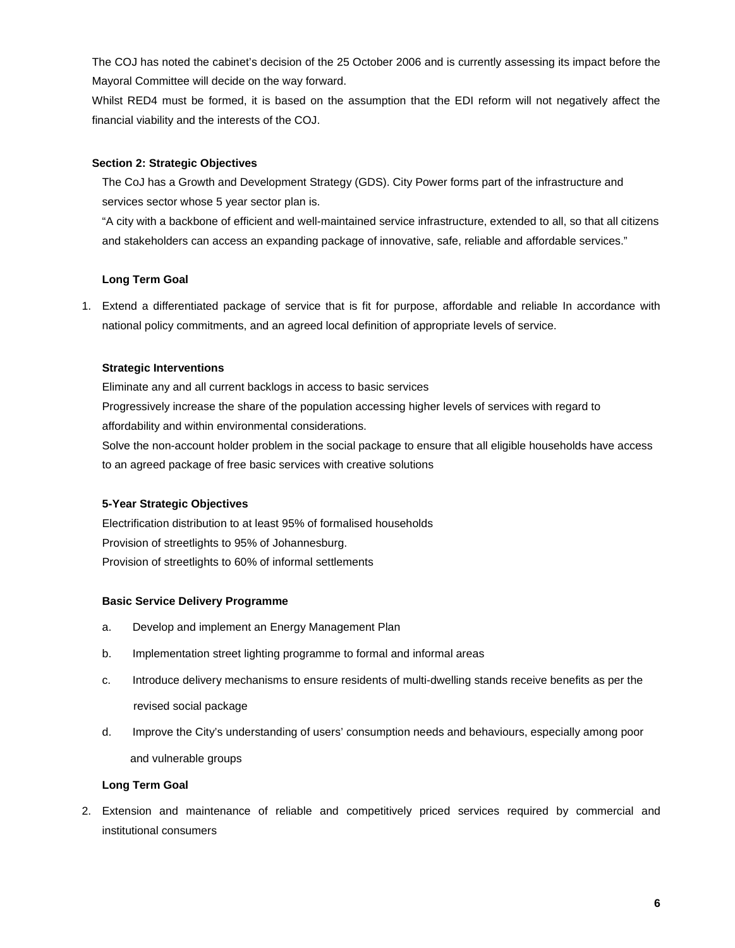The COJ has noted the cabinet's decision of the 25 October 2006 and is currently assessing its impact before the Mayoral Committee will decide on the way forward.

Whilst RED4 must be formed, it is based on the assumption that the EDI reform will not negatively affect the financial viability and the interests of the COJ.

# **Section 2: Strategic Objectives**

The CoJ has a Growth and Development Strategy (GDS). City Power forms part of the infrastructure and services sector whose 5 year sector plan is.

"A city with a backbone of efficient and well-maintained service infrastructure, extended to all, so that all citizens and stakeholders can access an expanding package of innovative, safe, reliable and affordable services."

# **Long Term Goal**

1. Extend a differentiated package of service that is fit for purpose, affordable and reliable In accordance with national policy commitments, and an agreed local definition of appropriate levels of service.

# **Strategic Interventions**

Eliminate any and all current backlogs in access to basic services Progressively increase the share of the population accessing higher levels of services with regard to affordability and within environmental considerations.

Solve the non-account holder problem in the social package to ensure that all eligible households have access to an agreed package of free basic services with creative solutions

# **5-Year Strategic Objectives**

Electrification distribution to at least 95% of formalised households Provision of streetlights to 95% of Johannesburg. Provision of streetlights to 60% of informal settlements

# **Basic Service Delivery Programme**

- a. Develop and implement an Energy Management Plan
- b. Implementation street lighting programme to formal and informal areas
- c. Introduce delivery mechanisms to ensure residents of multi-dwelling stands receive benefits as per the revised social package
- d. Improve the City's understanding of users' consumption needs and behaviours, especially among poor and vulnerable groups

# **Long Term Goal**

2. Extension and maintenance of reliable and competitively priced services required by commercial and institutional consumers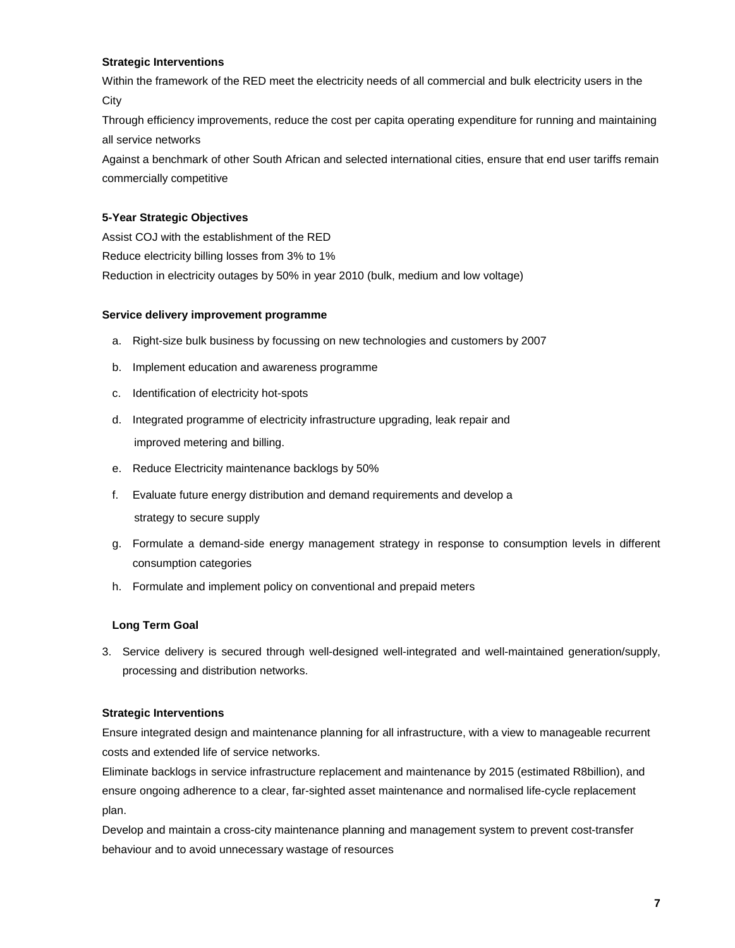# **Strategic Interventions**

Within the framework of the RED meet the electricity needs of all commercial and bulk electricity users in the **City** 

Through efficiency improvements, reduce the cost per capita operating expenditure for running and maintaining all service networks

Against a benchmark of other South African and selected international cities, ensure that end user tariffs remain commercially competitive

# **5-Year Strategic Objectives**

Assist COJ with the establishment of the RED Reduce electricity billing losses from 3% to 1% Reduction in electricity outages by 50% in year 2010 (bulk, medium and low voltage)

#### **Service delivery improvement programme**

- a. Right-size bulk business by focussing on new technologies and customers by 2007
- b. Implement education and awareness programme
- c. Identification of electricity hot-spots
- d. Integrated programme of electricity infrastructure upgrading, leak repair and improved metering and billing.
- e. Reduce Electricity maintenance backlogs by 50%
- f. Evaluate future energy distribution and demand requirements and develop a strategy to secure supply
- g. Formulate a demand-side energy management strategy in response to consumption levels in different consumption categories
- h. Formulate and implement policy on conventional and prepaid meters

# **Long Term Goal**

3. Service delivery is secured through well-designed well-integrated and well-maintained generation/supply, processing and distribution networks.

# **Strategic Interventions**

Ensure integrated design and maintenance planning for all infrastructure, with a view to manageable recurrent costs and extended life of service networks.

Eliminate backlogs in service infrastructure replacement and maintenance by 2015 (estimated R8billion), and ensure ongoing adherence to a clear, far-sighted asset maintenance and normalised life-cycle replacement plan.

Develop and maintain a cross-city maintenance planning and management system to prevent cost-transfer behaviour and to avoid unnecessary wastage of resources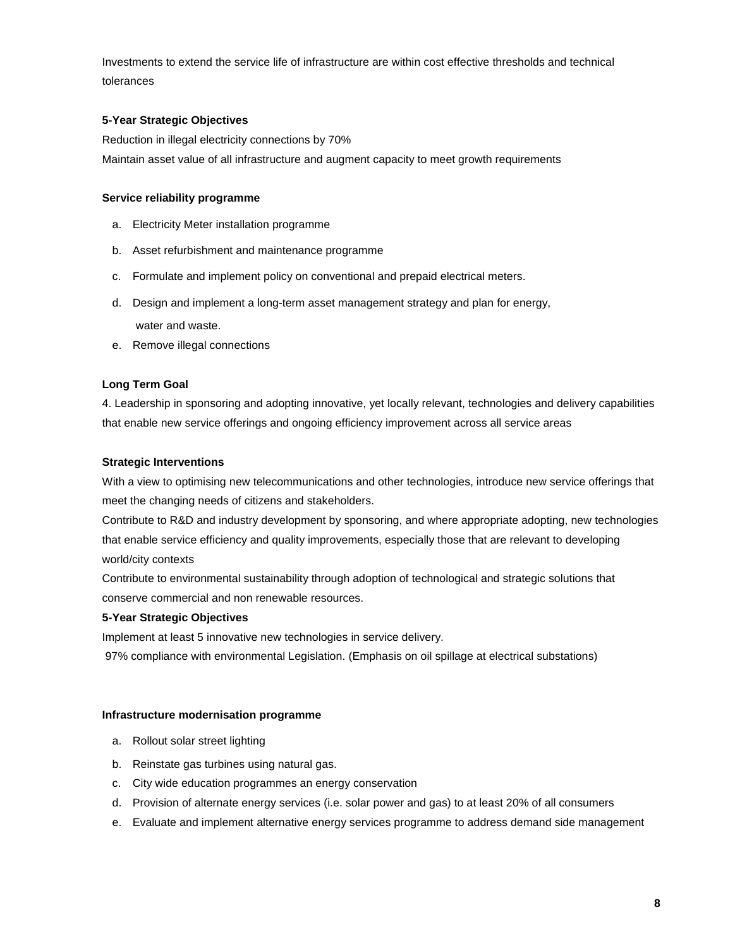Investments to extend the service life of infrastructure are within cost effective thresholds and technical tolerances

# **5-Year Strategic Objectives**

Reduction in illegal electricity connections by 70% Maintain asset value of all infrastructure and augment capacity to meet growth requirements

# **Service reliability programme**

- a. Electricity Meter installation programme
- b. Asset refurbishment and maintenance programme
- c. Formulate and implement policy on conventional and prepaid electrical meters.
- d. Design and implement a long-term asset management strategy and plan for energy, water and waste.
- e. Remove illegal connections

# **Long Term Goal**

4. Leadership in sponsoring and adopting innovative, yet locally relevant, technologies and delivery capabilities that enable new service offerings and ongoing efficiency improvement across all service areas

# **Strategic Interventions**

With a view to optimising new telecommunications and other technologies, introduce new service offerings that meet the changing needs of citizens and stakeholders.

Contribute to R&D and industry development by sponsoring, and where appropriate adopting, new technologies that enable service efficiency and quality improvements, especially those that are relevant to developing world/city contexts

Contribute to environmental sustainability through adoption of technological and strategic solutions that conserve commercial and non renewable resources.

# **5-Year Strategic Objectives**

Implement at least 5 innovative new technologies in service delivery.

97% compliance with environmental Legislation. (Emphasis on oil spillage at electrical substations)

# **Infrastructure modernisation programme**

- a. Rollout solar street lighting
- b. Reinstate gas turbines using natural gas.
- c. City wide education programmes an energy conservation
- d. Provision of alternate energy services (i.e. solar power and gas) to at least 20% of all consumers
- e. Evaluate and implement alternative energy services programme to address demand side management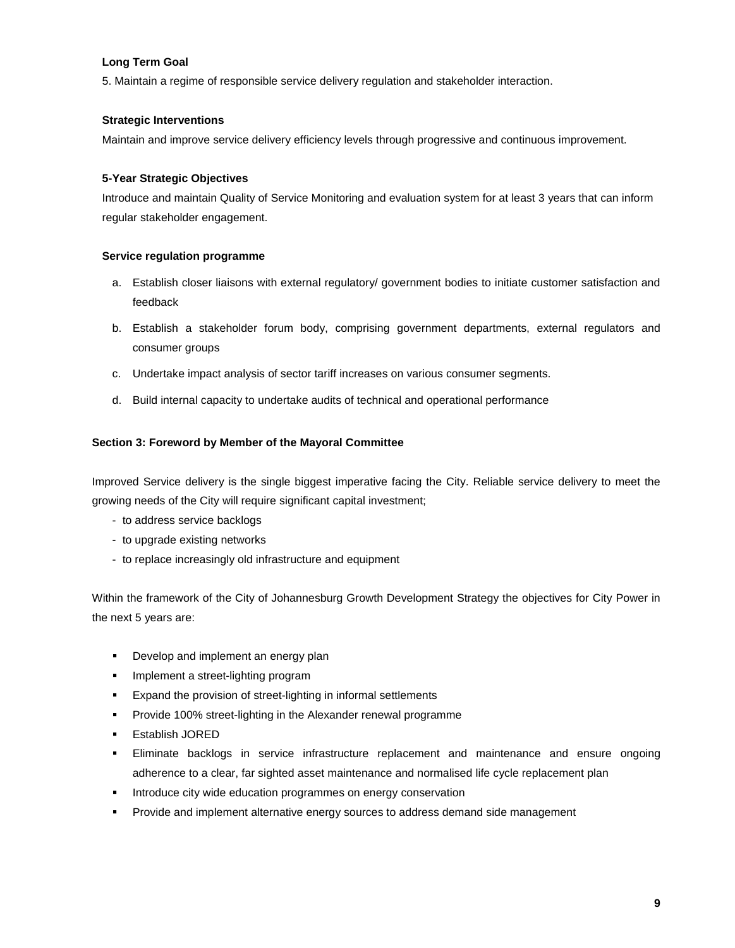# **Long Term Goal**

5. Maintain a regime of responsible service delivery regulation and stakeholder interaction.

### **Strategic Interventions**

Maintain and improve service delivery efficiency levels through progressive and continuous improvement.

#### **5-Year Strategic Objectives**

Introduce and maintain Quality of Service Monitoring and evaluation system for at least 3 years that can inform regular stakeholder engagement.

#### **Service regulation programme**

- a. Establish closer liaisons with external regulatory/ government bodies to initiate customer satisfaction and feedback
- b. Establish a stakeholder forum body, comprising government departments, external regulators and consumer groups
- c. Undertake impact analysis of sector tariff increases on various consumer segments.
- d. Build internal capacity to undertake audits of technical and operational performance

#### **Section 3: Foreword by Member of the Mayoral Committee**

Improved Service delivery is the single biggest imperative facing the City. Reliable service delivery to meet the growing needs of the City will require significant capital investment;

- to address service backlogs
- to upgrade existing networks
- to replace increasingly old infrastructure and equipment

Within the framework of the City of Johannesburg Growth Development Strategy the objectives for City Power in the next 5 years are:

- **Develop and implement an energy plan**
- **Implement a street-lighting program**
- **Expand the provision of street-lighting in informal settlements**
- **Provide 100% street-lighting in the Alexander renewal programme**
- Establish JORED
- Eliminate backlogs in service infrastructure replacement and maintenance and ensure ongoing adherence to a clear, far sighted asset maintenance and normalised life cycle replacement plan
- **Introduce city wide education programmes on energy conservation**
- **Provide and implement alternative energy sources to address demand side management**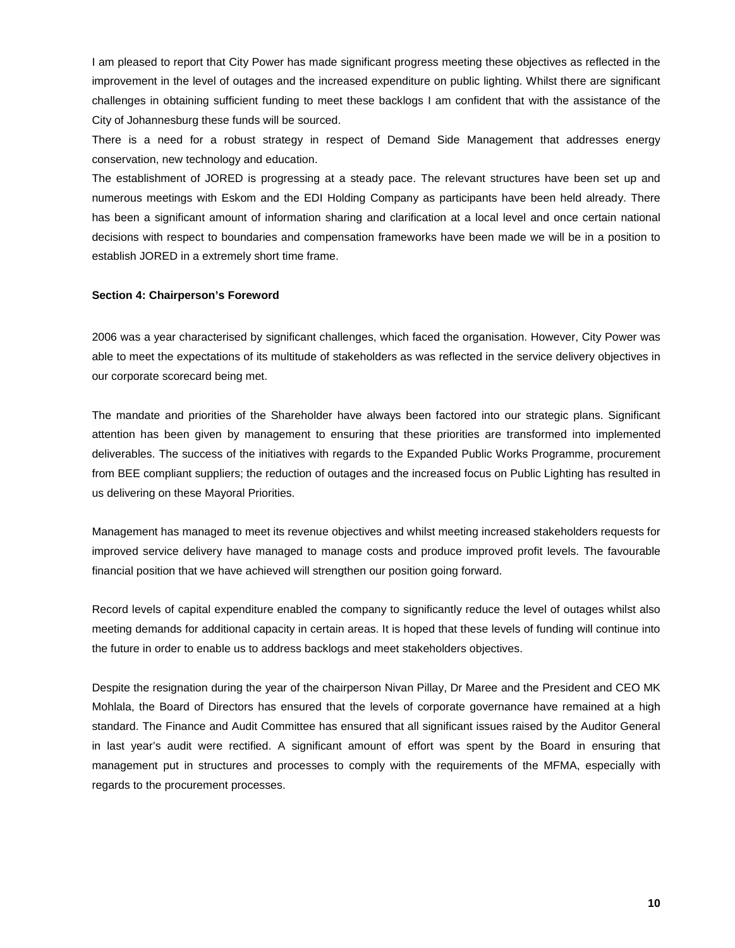I am pleased to report that City Power has made significant progress meeting these objectives as reflected in the improvement in the level of outages and the increased expenditure on public lighting. Whilst there are significant challenges in obtaining sufficient funding to meet these backlogs I am confident that with the assistance of the City of Johannesburg these funds will be sourced.

There is a need for a robust strategy in respect of Demand Side Management that addresses energy conservation, new technology and education.

The establishment of JORED is progressing at a steady pace. The relevant structures have been set up and numerous meetings with Eskom and the EDI Holding Company as participants have been held already. There has been a significant amount of information sharing and clarification at a local level and once certain national decisions with respect to boundaries and compensation frameworks have been made we will be in a position to establish JORED in a extremely short time frame.

#### **Section 4: Chairperson's Foreword**

2006 was a year characterised by significant challenges, which faced the organisation. However, City Power was able to meet the expectations of its multitude of stakeholders as was reflected in the service delivery objectives in our corporate scorecard being met.

The mandate and priorities of the Shareholder have always been factored into our strategic plans. Significant attention has been given by management to ensuring that these priorities are transformed into implemented deliverables. The success of the initiatives with regards to the Expanded Public Works Programme, procurement from BEE compliant suppliers; the reduction of outages and the increased focus on Public Lighting has resulted in us delivering on these Mayoral Priorities.

Management has managed to meet its revenue objectives and whilst meeting increased stakeholders requests for improved service delivery have managed to manage costs and produce improved profit levels. The favourable financial position that we have achieved will strengthen our position going forward.

Record levels of capital expenditure enabled the company to significantly reduce the level of outages whilst also meeting demands for additional capacity in certain areas. It is hoped that these levels of funding will continue into the future in order to enable us to address backlogs and meet stakeholders objectives.

Despite the resignation during the year of the chairperson Nivan Pillay, Dr Maree and the President and CEO MK Mohlala, the Board of Directors has ensured that the levels of corporate governance have remained at a high standard. The Finance and Audit Committee has ensured that all significant issues raised by the Auditor General in last year's audit were rectified. A significant amount of effort was spent by the Board in ensuring that management put in structures and processes to comply with the requirements of the MFMA, especially with regards to the procurement processes.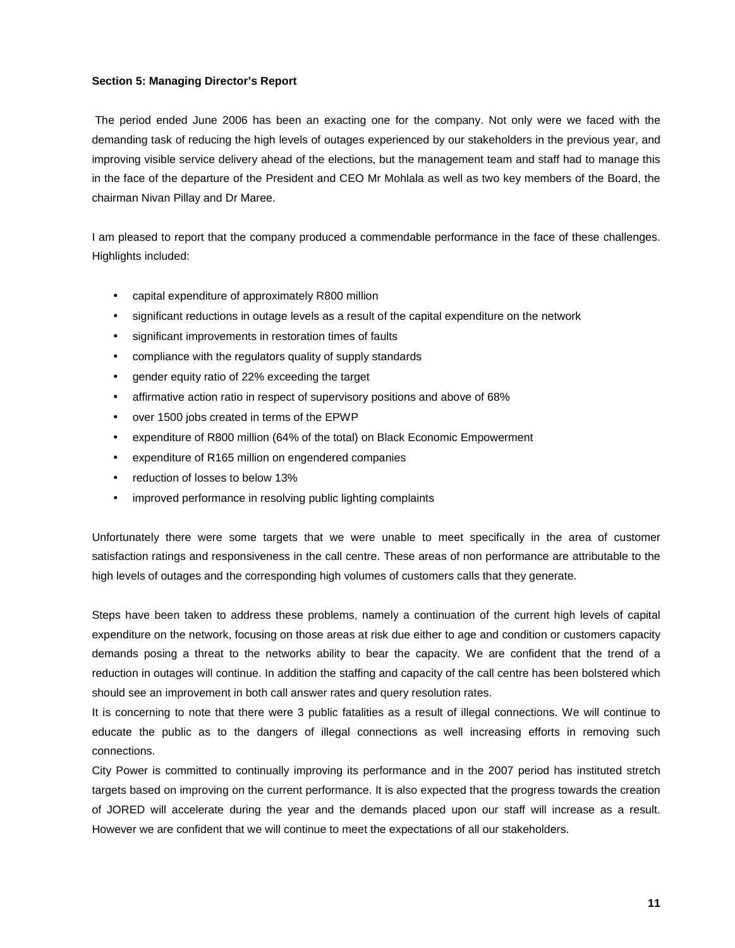#### **Section 5: Managing Director's Report**

The period ended June 2006 has been an exacting one for the company. Not only were we faced with the demanding task of reducing the high levels of outages experienced by our stakeholders in the previous year, and improving visible service delivery ahead of the elections, but the management team and staff had to manage this in the face of the departure of the President and CEO Mr Mohlala as well as two key members of the Board, the chairman Nivan Pillay and Dr Maree.

I am pleased to report that the company produced a commendable performance in the face of these challenges. Highlights included:

- capital expenditure of approximately R800 million
- significant reductions in outage levels as a result of the capital expenditure on the network
- significant improvements in restoration times of faults
- compliance with the regulators quality of supply standards
- gender equity ratio of 22% exceeding the target
- affirmative action ratio in respect of supervisory positions and above of 68%
- over 1500 jobs created in terms of the EPWP
- expenditure of R800 million (64% of the total) on Black Economic Empowerment
- expenditure of R165 million on engendered companies
- reduction of losses to below 13%
- improved performance in resolving public lighting complaints

Unfortunately there were some targets that we were unable to meet specifically in the area of customer satisfaction ratings and responsiveness in the call centre. These areas of non performance are attributable to the high levels of outages and the corresponding high volumes of customers calls that they generate.

Steps have been taken to address these problems, namely a continuation of the current high levels of capital expenditure on the network, focusing on those areas at risk due either to age and condition or customers capacity demands posing a threat to the networks ability to bear the capacity. We are confident that the trend of a reduction in outages will continue. In addition the staffing and capacity of the call centre has been bolstered which should see an improvement in both call answer rates and query resolution rates.

It is concerning to note that there were 3 public fatalities as a result of illegal connections. We will continue to educate the public as to the dangers of illegal connections as well increasing efforts in removing such connections.

City Power is committed to continually improving its performance and in the 2007 period has instituted stretch targets based on improving on the current performance. It is also expected that the progress towards the creation of JORED will accelerate during the year and the demands placed upon our staff will increase as a result. However we are confident that we will continue to meet the expectations of all our stakeholders.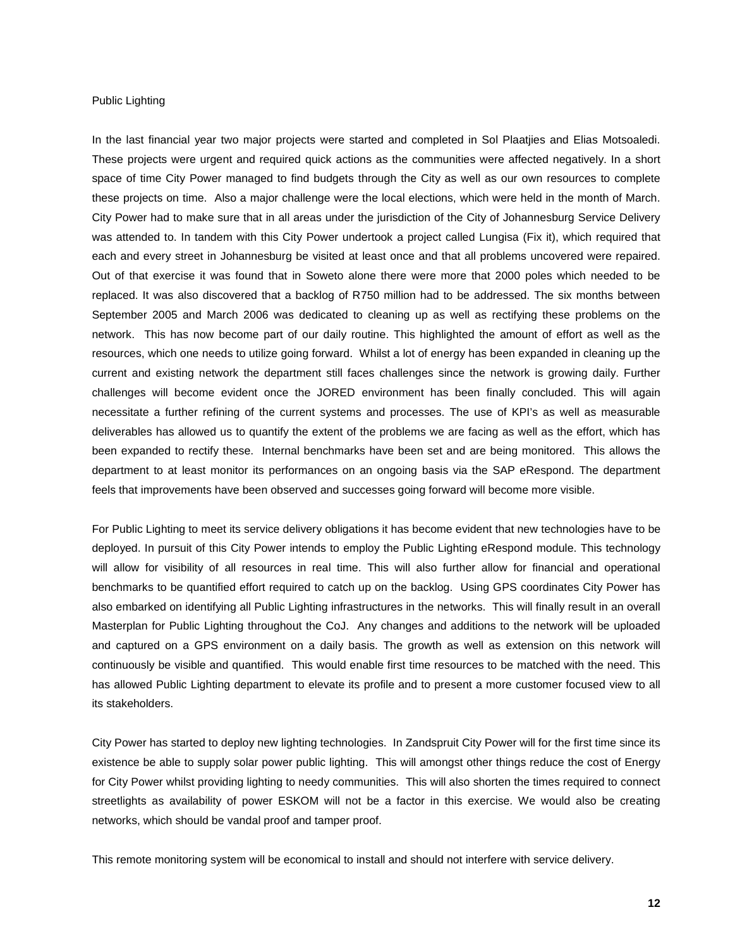#### Public Lighting

In the last financial year two major projects were started and completed in Sol Plaatjies and Elias Motsoaledi. These projects were urgent and required quick actions as the communities were affected negatively. In a short space of time City Power managed to find budgets through the City as well as our own resources to complete these projects on time. Also a major challenge were the local elections, which were held in the month of March. City Power had to make sure that in all areas under the jurisdiction of the City of Johannesburg Service Delivery was attended to. In tandem with this City Power undertook a project called Lungisa (Fix it), which required that each and every street in Johannesburg be visited at least once and that all problems uncovered were repaired. Out of that exercise it was found that in Soweto alone there were more that 2000 poles which needed to be replaced. It was also discovered that a backlog of R750 million had to be addressed. The six months between September 2005 and March 2006 was dedicated to cleaning up as well as rectifying these problems on the network. This has now become part of our daily routine. This highlighted the amount of effort as well as the resources, which one needs to utilize going forward. Whilst a lot of energy has been expanded in cleaning up the current and existing network the department still faces challenges since the network is growing daily. Further challenges will become evident once the JORED environment has been finally concluded. This will again necessitate a further refining of the current systems and processes. The use of KPI's as well as measurable deliverables has allowed us to quantify the extent of the problems we are facing as well as the effort, which has been expanded to rectify these. Internal benchmarks have been set and are being monitored. This allows the department to at least monitor its performances on an ongoing basis via the SAP eRespond. The department feels that improvements have been observed and successes going forward will become more visible.

For Public Lighting to meet its service delivery obligations it has become evident that new technologies have to be deployed. In pursuit of this City Power intends to employ the Public Lighting eRespond module. This technology will allow for visibility of all resources in real time. This will also further allow for financial and operational benchmarks to be quantified effort required to catch up on the backlog. Using GPS coordinates City Power has also embarked on identifying all Public Lighting infrastructures in the networks. This will finally result in an overall Masterplan for Public Lighting throughout the CoJ. Any changes and additions to the network will be uploaded and captured on a GPS environment on a daily basis. The growth as well as extension on this network will continuously be visible and quantified. This would enable first time resources to be matched with the need. This has allowed Public Lighting department to elevate its profile and to present a more customer focused view to all its stakeholders.

City Power has started to deploy new lighting technologies. In Zandspruit City Power will for the first time since its existence be able to supply solar power public lighting. This will amongst other things reduce the cost of Energy for City Power whilst providing lighting to needy communities. This will also shorten the times required to connect streetlights as availability of power ESKOM will not be a factor in this exercise. We would also be creating networks, which should be vandal proof and tamper proof.

This remote monitoring system will be economical to install and should not interfere with service delivery.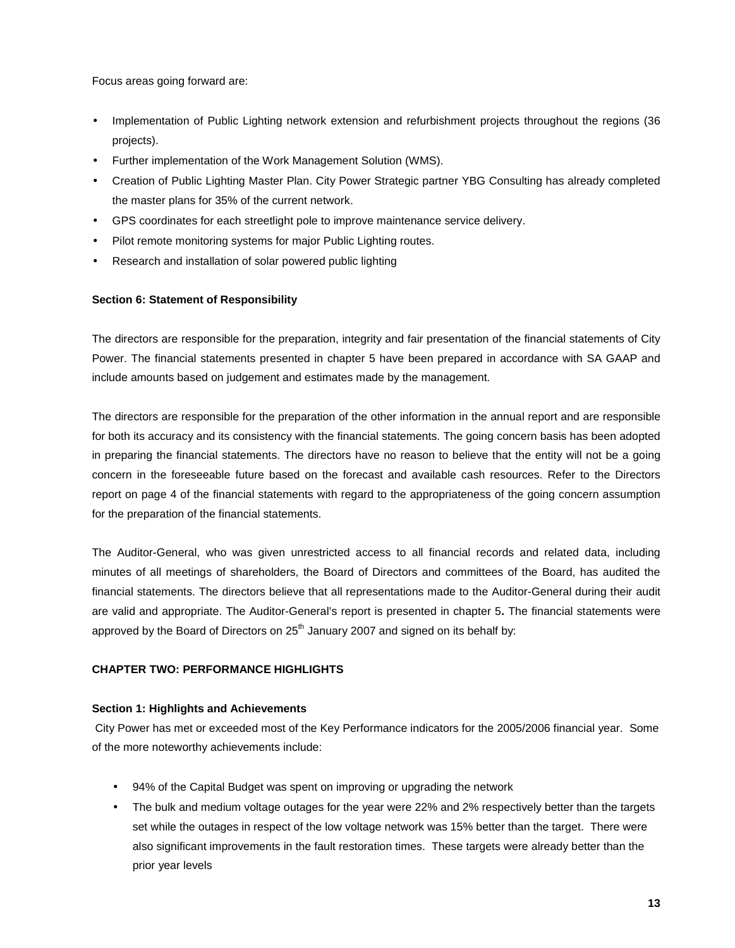Focus areas going forward are:

- Implementation of Public Lighting network extension and refurbishment projects throughout the regions (36 projects).
- Further implementation of the Work Management Solution (WMS).
- Creation of Public Lighting Master Plan. City Power Strategic partner YBG Consulting has already completed the master plans for 35% of the current network.
- GPS coordinates for each streetlight pole to improve maintenance service delivery.
- Pilot remote monitoring systems for major Public Lighting routes.
- Research and installation of solar powered public lighting

# **Section 6: Statement of Responsibility**

The directors are responsible for the preparation, integrity and fair presentation of the financial statements of City Power. The financial statements presented in chapter 5 have been prepared in accordance with SA GAAP and include amounts based on judgement and estimates made by the management.

The directors are responsible for the preparation of the other information in the annual report and are responsible for both its accuracy and its consistency with the financial statements. The going concern basis has been adopted in preparing the financial statements. The directors have no reason to believe that the entity will not be a going concern in the foreseeable future based on the forecast and available cash resources. Refer to the Directors report on page 4 of the financial statements with regard to the appropriateness of the going concern assumption for the preparation of the financial statements.

The Auditor-General, who was given unrestricted access to all financial records and related data, including minutes of all meetings of shareholders, the Board of Directors and committees of the Board, has audited the financial statements. The directors believe that all representations made to the Auditor-General during their audit are valid and appropriate. The Auditor-General's report is presented in chapter 5**.** The financial statements were approved by the Board of Directors on  $25<sup>th</sup>$  January 2007 and signed on its behalf by:

# **CHAPTER TWO: PERFORMANCE HIGHLIGHTS**

# **Section 1: Highlights and Achievements**

City Power has met or exceeded most of the Key Performance indicators for the 2005/2006 financial year. Some of the more noteworthy achievements include:

- 94% of the Capital Budget was spent on improving or upgrading the network
- The bulk and medium voltage outages for the year were 22% and 2% respectively better than the targets set while the outages in respect of the low voltage network was 15% better than the target. There were also significant improvements in the fault restoration times. These targets were already better than the prior year levels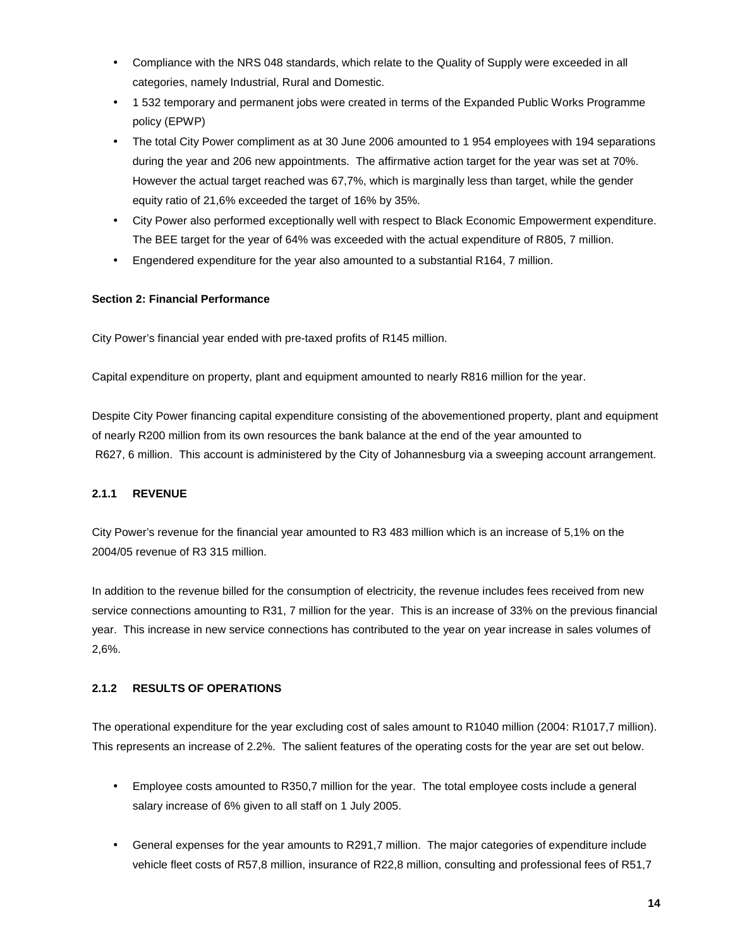- Compliance with the NRS 048 standards, which relate to the Quality of Supply were exceeded in all categories, namely Industrial, Rural and Domestic.
- 1 532 temporary and permanent jobs were created in terms of the Expanded Public Works Programme policy (EPWP)
- The total City Power compliment as at 30 June 2006 amounted to 1 954 employees with 194 separations during the year and 206 new appointments. The affirmative action target for the year was set at 70%. However the actual target reached was 67,7%, which is marginally less than target, while the gender equity ratio of 21,6% exceeded the target of 16% by 35%.
- City Power also performed exceptionally well with respect to Black Economic Empowerment expenditure. The BEE target for the year of 64% was exceeded with the actual expenditure of R805, 7 million.
- Engendered expenditure for the year also amounted to a substantial R164, 7 million.

# **Section 2: Financial Performance**

City Power's financial year ended with pre-taxed profits of R145 million.

Capital expenditure on property, plant and equipment amounted to nearly R816 million for the year.

Despite City Power financing capital expenditure consisting of the abovementioned property, plant and equipment of nearly R200 million from its own resources the bank balance at the end of the year amounted to R627, 6 million. This account is administered by the City of Johannesburg via a sweeping account arrangement.

# **2.1.1 REVENUE**

City Power's revenue for the financial year amounted to R3 483 million which is an increase of 5,1% on the 2004/05 revenue of R3 315 million.

In addition to the revenue billed for the consumption of electricity, the revenue includes fees received from new service connections amounting to R31, 7 million for the year. This is an increase of 33% on the previous financial year. This increase in new service connections has contributed to the year on year increase in sales volumes of 2,6%.

# **2.1.2 RESULTS OF OPERATIONS**

The operational expenditure for the year excluding cost of sales amount to R1040 million (2004: R1017,7 million). This represents an increase of 2.2%. The salient features of the operating costs for the year are set out below.

- Employee costs amounted to R350,7 million for the year. The total employee costs include a general salary increase of 6% given to all staff on 1 July 2005.
- General expenses for the year amounts to R291,7 million. The major categories of expenditure include vehicle fleet costs of R57,8 million, insurance of R22,8 million, consulting and professional fees of R51,7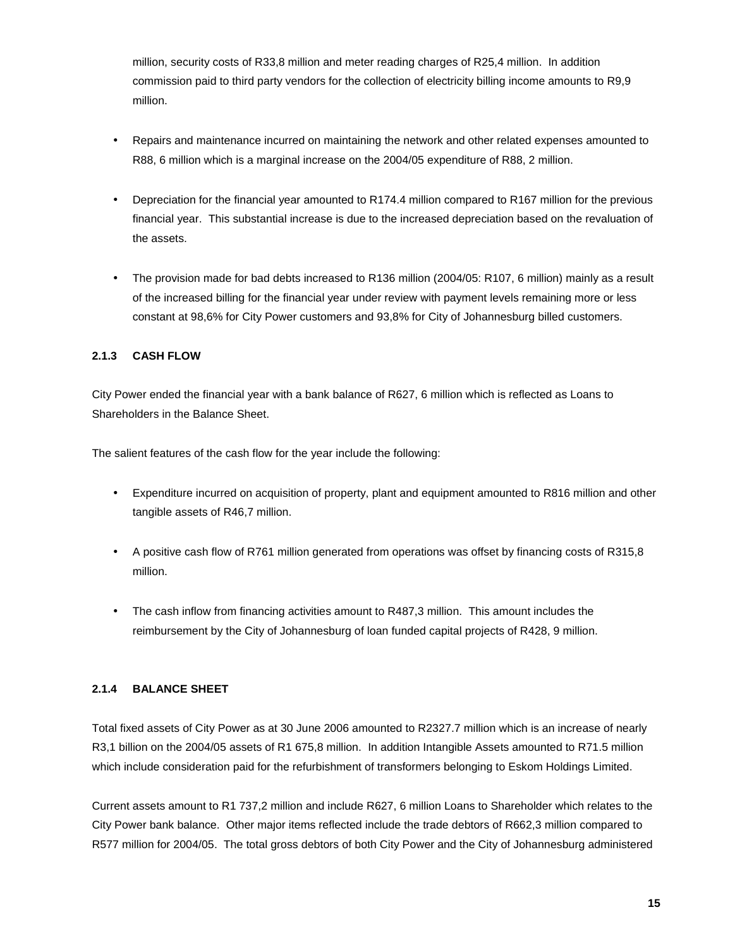million, security costs of R33,8 million and meter reading charges of R25,4 million. In addition commission paid to third party vendors for the collection of electricity billing income amounts to R9,9 million.

- Repairs and maintenance incurred on maintaining the network and other related expenses amounted to R88, 6 million which is a marginal increase on the 2004/05 expenditure of R88, 2 million.
- Depreciation for the financial year amounted to R174.4 million compared to R167 million for the previous financial year. This substantial increase is due to the increased depreciation based on the revaluation of the assets.
- The provision made for bad debts increased to R136 million (2004/05: R107, 6 million) mainly as a result of the increased billing for the financial year under review with payment levels remaining more or less constant at 98,6% for City Power customers and 93,8% for City of Johannesburg billed customers.

# **2.1.3 CASH FLOW**

City Power ended the financial year with a bank balance of R627, 6 million which is reflected as Loans to Shareholders in the Balance Sheet.

The salient features of the cash flow for the year include the following:

- Expenditure incurred on acquisition of property, plant and equipment amounted to R816 million and other tangible assets of R46,7 million.
- A positive cash flow of R761 million generated from operations was offset by financing costs of R315,8 million.
- The cash inflow from financing activities amount to R487,3 million. This amount includes the reimbursement by the City of Johannesburg of loan funded capital projects of R428, 9 million.

# **2.1.4 BALANCE SHEET**

Total fixed assets of City Power as at 30 June 2006 amounted to R2327.7 million which is an increase of nearly R3,1 billion on the 2004/05 assets of R1 675,8 million. In addition Intangible Assets amounted to R71.5 million which include consideration paid for the refurbishment of transformers belonging to Eskom Holdings Limited.

Current assets amount to R1 737,2 million and include R627, 6 million Loans to Shareholder which relates to the City Power bank balance. Other major items reflected include the trade debtors of R662,3 million compared to R577 million for 2004/05. The total gross debtors of both City Power and the City of Johannesburg administered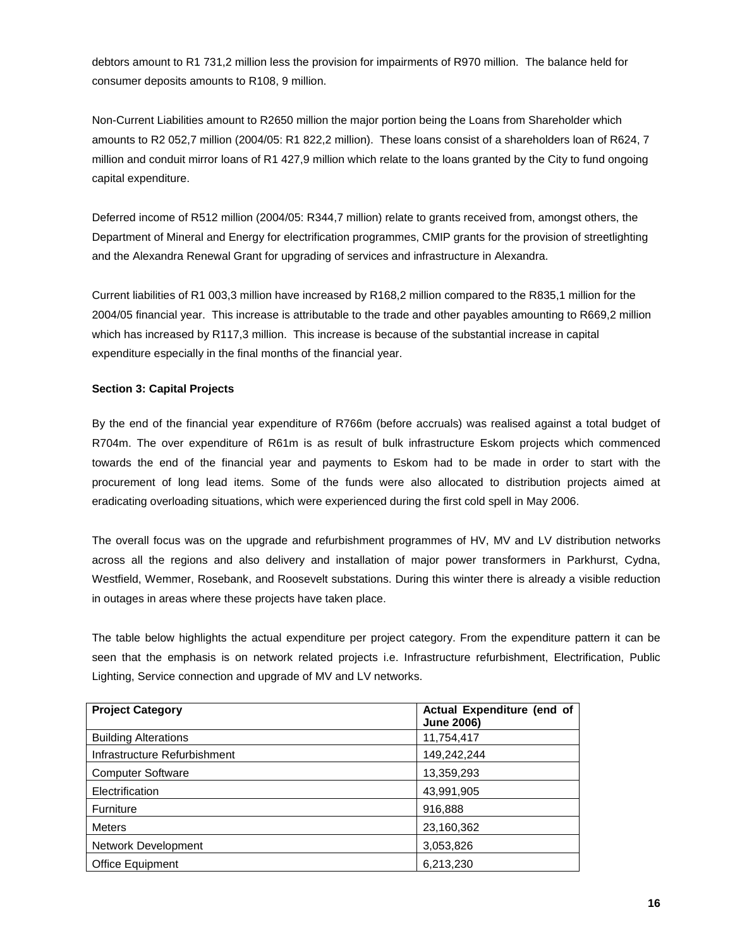debtors amount to R1 731,2 million less the provision for impairments of R970 million. The balance held for consumer deposits amounts to R108, 9 million.

Non-Current Liabilities amount to R2650 million the major portion being the Loans from Shareholder which amounts to R2 052,7 million (2004/05: R1 822,2 million). These loans consist of a shareholders loan of R624, 7 million and conduit mirror loans of R1 427,9 million which relate to the loans granted by the City to fund ongoing capital expenditure.

Deferred income of R512 million (2004/05: R344,7 million) relate to grants received from, amongst others, the Department of Mineral and Energy for electrification programmes, CMIP grants for the provision of streetlighting and the Alexandra Renewal Grant for upgrading of services and infrastructure in Alexandra.

Current liabilities of R1 003,3 million have increased by R168,2 million compared to the R835,1 million for the 2004/05 financial year. This increase is attributable to the trade and other payables amounting to R669,2 million which has increased by R117,3 million. This increase is because of the substantial increase in capital expenditure especially in the final months of the financial year.

# **Section 3: Capital Projects**

By the end of the financial year expenditure of R766m (before accruals) was realised against a total budget of R704m. The over expenditure of R61m is as result of bulk infrastructure Eskom projects which commenced towards the end of the financial year and payments to Eskom had to be made in order to start with the procurement of long lead items. Some of the funds were also allocated to distribution projects aimed at eradicating overloading situations, which were experienced during the first cold spell in May 2006.

The overall focus was on the upgrade and refurbishment programmes of HV, MV and LV distribution networks across all the regions and also delivery and installation of major power transformers in Parkhurst, Cydna, Westfield, Wemmer, Rosebank, and Roosevelt substations. During this winter there is already a visible reduction in outages in areas where these projects have taken place.

The table below highlights the actual expenditure per project category. From the expenditure pattern it can be seen that the emphasis is on network related projects i.e. Infrastructure refurbishment, Electrification, Public Lighting, Service connection and upgrade of MV and LV networks.

| <b>Project Category</b>      | Actual Expenditure (end of<br><b>June 2006)</b> |
|------------------------------|-------------------------------------------------|
| <b>Building Alterations</b>  | 11,754,417                                      |
| Infrastructure Refurbishment | 149,242,244                                     |
| <b>Computer Software</b>     | 13,359,293                                      |
| Electrification              | 43,991,905                                      |
| Furniture                    | 916,888                                         |
| <b>Meters</b>                | 23,160,362                                      |
| Network Development          | 3,053,826                                       |
| <b>Office Equipment</b>      | 6,213,230                                       |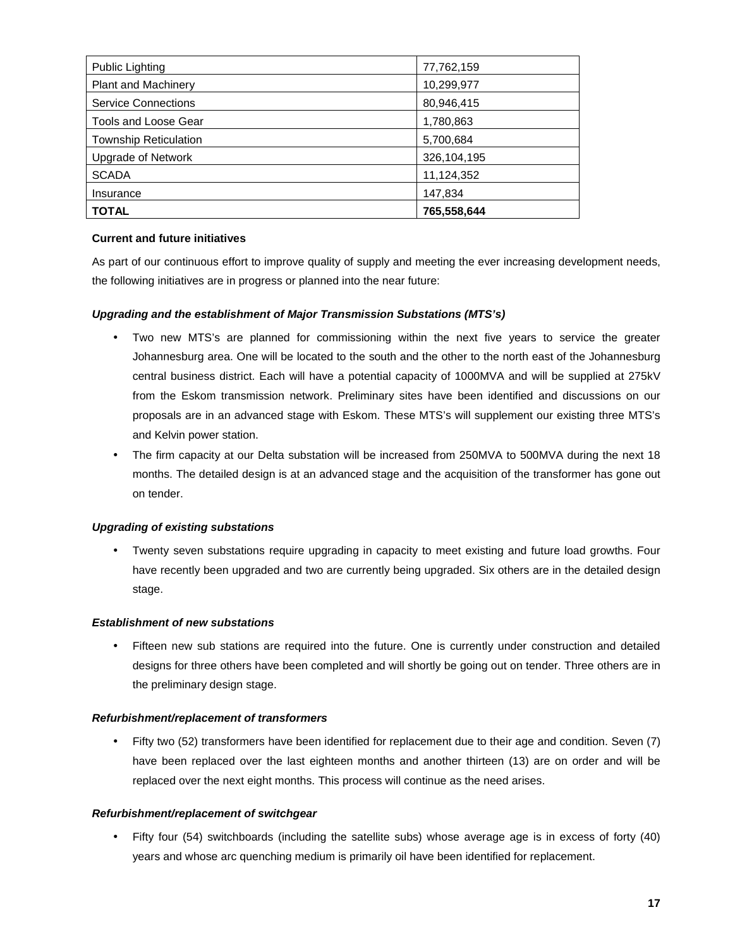| <b>Public Lighting</b>       | 77,762,159  |
|------------------------------|-------------|
| <b>Plant and Machinery</b>   | 10,299,977  |
| <b>Service Connections</b>   | 80,946,415  |
| <b>Tools and Loose Gear</b>  | 1,780,863   |
| <b>Township Reticulation</b> | 5,700,684   |
| <b>Upgrade of Network</b>    | 326,104,195 |
| <b>SCADA</b>                 | 11,124,352  |
| Insurance                    | 147,834     |
| <b>TOTAL</b>                 | 765,558,644 |

# **Current and future initiatives**

As part of our continuous effort to improve quality of supply and meeting the ever increasing development needs, the following initiatives are in progress or planned into the near future:

# *Upgrading and the establishment of Major Transmission Substations (MTS's)*

- Two new MTS's are planned for commissioning within the next five years to service the greater Johannesburg area. One will be located to the south and the other to the north east of the Johannesburg central business district. Each will have a potential capacity of 1000MVA and will be supplied at 275kV from the Eskom transmission network. Preliminary sites have been identified and discussions on our proposals are in an advanced stage with Eskom. These MTS's will supplement our existing three MTS's and Kelvin power station.
- The firm capacity at our Delta substation will be increased from 250MVA to 500MVA during the next 18 months. The detailed design is at an advanced stage and the acquisition of the transformer has gone out on tender.

# *Upgrading of existing substations*

 Twenty seven substations require upgrading in capacity to meet existing and future load growths. Four have recently been upgraded and two are currently being upgraded. Six others are in the detailed design stage.

# *Establishment of new substations*

 Fifteen new sub stations are required into the future. One is currently under construction and detailed designs for three others have been completed and will shortly be going out on tender. Three others are in the preliminary design stage.

# *Refurbishment/replacement of transformers*

 Fifty two (52) transformers have been identified for replacement due to their age and condition. Seven (7) have been replaced over the last eighteen months and another thirteen (13) are on order and will be replaced over the next eight months. This process will continue as the need arises.

# *Refurbishment/replacement of switchgear*

 Fifty four (54) switchboards (including the satellite subs) whose average age is in excess of forty (40) years and whose arc quenching medium is primarily oil have been identified for replacement.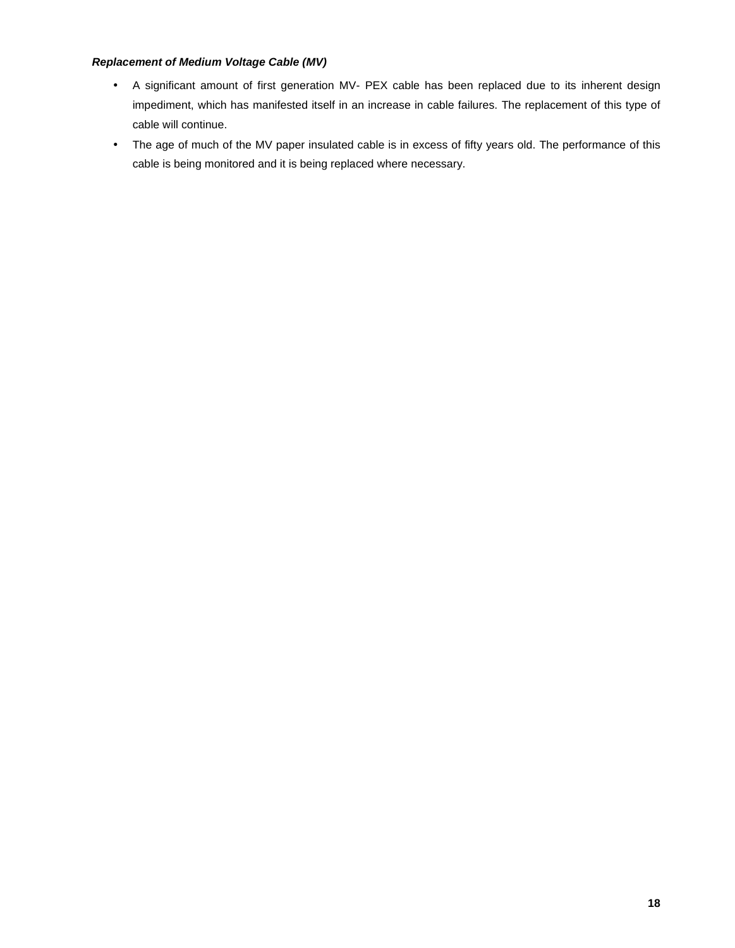# *Replacement of Medium Voltage Cable (MV)*

- A significant amount of first generation MV- PEX cable has been replaced due to its inherent design impediment, which has manifested itself in an increase in cable failures. The replacement of this type of cable will continue.
- The age of much of the MV paper insulated cable is in excess of fifty years old. The performance of this cable is being monitored and it is being replaced where necessary.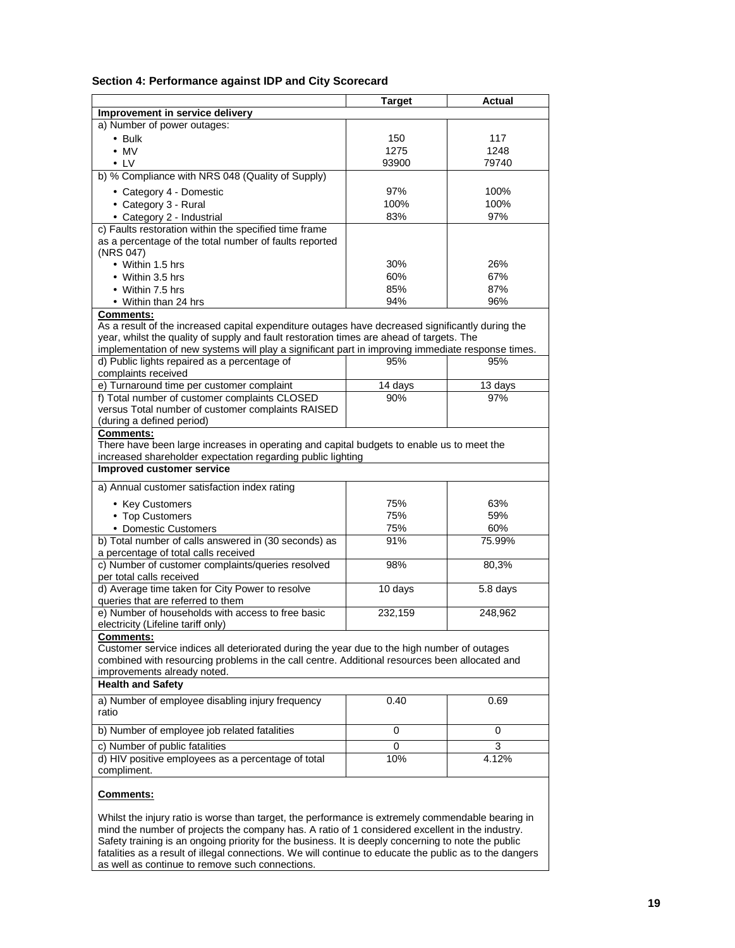#### **Section 4: Performance against IDP and City Scorecard**

|                                                                                                                                                                                              | <b>Target</b> | Actual   |
|----------------------------------------------------------------------------------------------------------------------------------------------------------------------------------------------|---------------|----------|
| Improvement in service delivery                                                                                                                                                              |               |          |
| a) Number of power outages:                                                                                                                                                                  |               |          |
| $\cdot$ Bulk                                                                                                                                                                                 | 150           | 117      |
| $\cdot$ MV                                                                                                                                                                                   | 1275          | 1248     |
| $\cdot$ LV                                                                                                                                                                                   | 93900         | 79740    |
| b) % Compliance with NRS 048 (Quality of Supply)                                                                                                                                             |               |          |
| • Category 4 - Domestic                                                                                                                                                                      | 97%           | 100%     |
| • Category 3 - Rural                                                                                                                                                                         | 100%          | 100%     |
| • Category 2 - Industrial                                                                                                                                                                    | 83%           | 97%      |
| c) Faults restoration within the specified time frame                                                                                                                                        |               |          |
| as a percentage of the total number of faults reported                                                                                                                                       |               |          |
| (NRS 047)                                                                                                                                                                                    |               |          |
| • Within 1.5 hrs                                                                                                                                                                             | 30%           | 26%      |
| • Within 3.5 hrs                                                                                                                                                                             | 60%           | 67%      |
| • Within 7.5 hrs                                                                                                                                                                             | 85%           | 87%      |
| • Within than 24 hrs                                                                                                                                                                         | 94%           | 96%      |
| <b>Comments:</b>                                                                                                                                                                             |               |          |
| As a result of the increased capital expenditure outages have decreased significantly during the<br>year, whilst the quality of supply and fault restoration times are ahead of targets. The |               |          |
| implementation of new systems will play a significant part in improving immediate response times.                                                                                            |               |          |
| d) Public lights repaired as a percentage of                                                                                                                                                 | 95%           | 95%      |
| complaints received                                                                                                                                                                          |               |          |
| e) Turnaround time per customer complaint                                                                                                                                                    | 14 days       | 13 days  |
| f) Total number of customer complaints CLOSED                                                                                                                                                | 90%           | 97%      |
| versus Total number of customer complaints RAISED                                                                                                                                            |               |          |
| (during a defined period)                                                                                                                                                                    |               |          |
| Comments:                                                                                                                                                                                    |               |          |
| There have been large increases in operating and capital budgets to enable us to meet the                                                                                                    |               |          |
| increased shareholder expectation regarding public lighting                                                                                                                                  |               |          |
| <b>Improved customer service</b>                                                                                                                                                             |               |          |
| a) Annual customer satisfaction index rating                                                                                                                                                 |               |          |
| • Key Customers                                                                                                                                                                              | 75%           | 63%      |
| • Top Customers                                                                                                                                                                              | 75%           | 59%      |
| • Domestic Customers                                                                                                                                                                         | 75%           | 60%      |
| b) Total number of calls answered in (30 seconds) as                                                                                                                                         | 91%           | 75.99%   |
| a percentage of total calls received                                                                                                                                                         |               |          |
| c) Number of customer complaints/queries resolved                                                                                                                                            | 98%           | 80,3%    |
| per total calls received                                                                                                                                                                     |               |          |
| d) Average time taken for City Power to resolve                                                                                                                                              | $10$ days     | 5.8 days |
| queries that are referred to them                                                                                                                                                            |               |          |
| e) Number of households with access to free basic<br>electricity (Lifeline tariff only)                                                                                                      | 232,159       | 248,962  |
| <b>Comments:</b>                                                                                                                                                                             |               |          |
| Customer service indices all deteriorated during the year due to the high number of outages                                                                                                  |               |          |
| combined with resourcing problems in the call centre. Additional resources been allocated and                                                                                                |               |          |
| improvements already noted.                                                                                                                                                                  |               |          |
| <b>Health and Safety</b>                                                                                                                                                                     |               |          |
| a) Number of employee disabling injury frequency                                                                                                                                             | 0.40          | 0.69     |
| ratio                                                                                                                                                                                        |               |          |
|                                                                                                                                                                                              |               |          |
| b) Number of employee job related fatalities                                                                                                                                                 | 0             | 0        |
| c) Number of public fatalities                                                                                                                                                               | 0             | 3        |
| d) HIV positive employees as a percentage of total                                                                                                                                           | 10%           | 4.12%    |
| compliment.                                                                                                                                                                                  |               |          |
| Comments:                                                                                                                                                                                    |               |          |

Whilst the injury ratio is worse than target, the performance is extremely commendable bearing in mind the number of projects the company has. A ratio of 1 considered excellent in the industry. Safety training is an ongoing priority for the business. It is deeply concerning to note the public fatalities as a result of illegal connections. We will continue to educate the public as to the dangers as well as continue to remove such connections.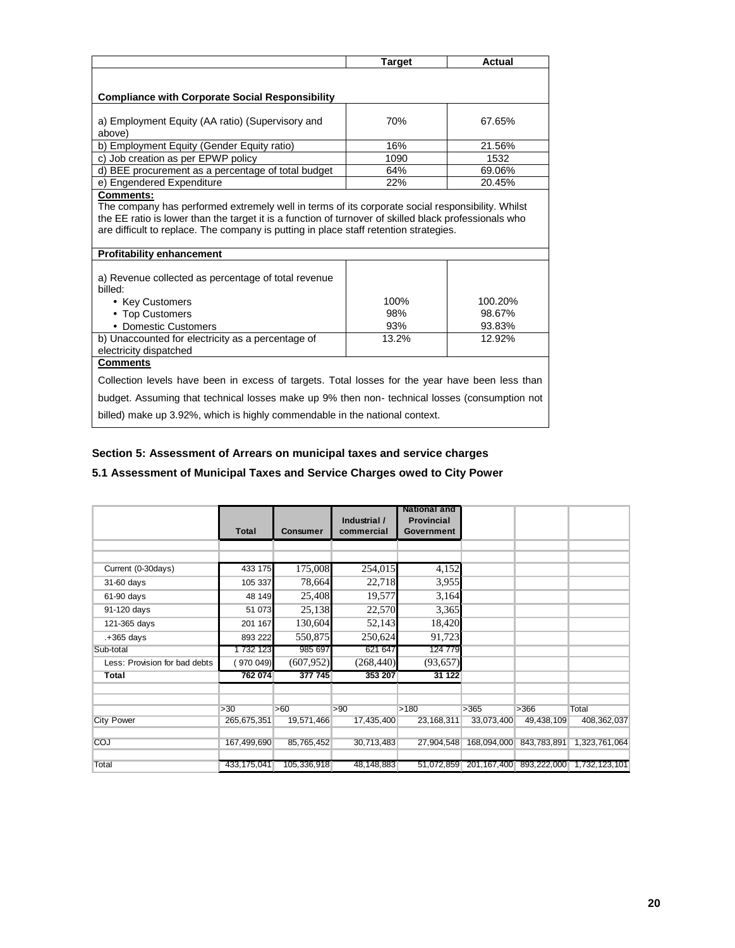|                                                                                                                                                                                                                                                                                                    | <b>Target</b> | Actual  |  |  |  |  |
|----------------------------------------------------------------------------------------------------------------------------------------------------------------------------------------------------------------------------------------------------------------------------------------------------|---------------|---------|--|--|--|--|
|                                                                                                                                                                                                                                                                                                    |               |         |  |  |  |  |
| <b>Compliance with Corporate Social Responsibility</b>                                                                                                                                                                                                                                             |               |         |  |  |  |  |
| a) Employment Equity (AA ratio) (Supervisory and<br>above)                                                                                                                                                                                                                                         | 70%           | 67.65%  |  |  |  |  |
| b) Employment Equity (Gender Equity ratio)                                                                                                                                                                                                                                                         | 16%           | 21.56%  |  |  |  |  |
| c) Job creation as per EPWP policy                                                                                                                                                                                                                                                                 | 1090          | 1532    |  |  |  |  |
| d) BEE procurement as a percentage of total budget                                                                                                                                                                                                                                                 | 64%           | 69.06%  |  |  |  |  |
| e) Engendered Expenditure                                                                                                                                                                                                                                                                          | 22%           | 20.45%  |  |  |  |  |
| The company has performed extremely well in terms of its corporate social responsibility. Whilst<br>the EE ratio is lower than the target it is a function of turnover of skilled black professionals who<br>are difficult to replace. The company is putting in place staff retention strategies. |               |         |  |  |  |  |
| <b>Profitability enhancement</b>                                                                                                                                                                                                                                                                   |               |         |  |  |  |  |
| a) Revenue collected as percentage of total revenue<br>billed:                                                                                                                                                                                                                                     |               |         |  |  |  |  |
| • Key Customers                                                                                                                                                                                                                                                                                    | 100%          | 100.20% |  |  |  |  |
| • Top Customers                                                                                                                                                                                                                                                                                    | 98%           | 98.67%  |  |  |  |  |
| • Domestic Customers                                                                                                                                                                                                                                                                               | 93%           | 93.83%  |  |  |  |  |
| b) Unaccounted for electricity as a percentage of<br>electricity dispatched                                                                                                                                                                                                                        | 13.2%         | 12.92%  |  |  |  |  |
| <b>Comments</b>                                                                                                                                                                                                                                                                                    |               |         |  |  |  |  |
| Collection levels have been in excess of targets. Total losses for the year have been less than                                                                                                                                                                                                    |               |         |  |  |  |  |
| budget. Assuming that technical losses make up 9% then non-technical losses (consumption not                                                                                                                                                                                                       |               |         |  |  |  |  |
| billed) make up 3.92%, which is highly commendable in the national context.                                                                                                                                                                                                                        |               |         |  |  |  |  |

# **Section 5: Assessment of Arrears on municipal taxes and service charges**

# **5.1 Assessment of Municipal Taxes and Service Charges owed to City Power**

|                               | Total         | <b>Consumer</b> | Industrial /<br>commercial | National and<br><b>Provincial</b><br>Government |             |                         |               |
|-------------------------------|---------------|-----------------|----------------------------|-------------------------------------------------|-------------|-------------------------|---------------|
|                               |               |                 |                            |                                                 |             |                         |               |
|                               |               |                 |                            |                                                 |             |                         |               |
| Current (0-30days)            | 433 175       | 175,008         | 254,015                    | 4,152                                           |             |                         |               |
| 31-60 days                    | 105 337       | 78,664          | 22,718                     | 3,955                                           |             |                         |               |
| 61-90 days                    | 48 149        | 25,408          | 19,577                     | 3,164                                           |             |                         |               |
| 91-120 days                   | 51 073        | 25,138          | 22,570                     | 3,365                                           |             |                         |               |
| 121-365 days                  | 201 167       | 130,604         | 52,143                     | 18,420                                          |             |                         |               |
| .+365 days                    | 893 222       | 550,875         | 250,624                    | 91,723                                          |             |                         |               |
| Sub-total                     | 1 732 123     | 985 697         | 621 647                    | 124 779                                         |             |                         |               |
| Less: Provision for bad debts | 970 049)      | (607, 952)      | (268, 440)                 | (93, 657)                                       |             |                         |               |
| Total                         | 762 074       | 377 745         | 353 207                    | 31 122                                          |             |                         |               |
|                               |               |                 |                            |                                                 |             |                         |               |
|                               |               |                 |                            |                                                 |             |                         |               |
|                               | >30           | >60             | >90                        | >180                                            | >365        | >366                    | Total         |
| <b>City Power</b>             | 265,675,351   | 19,571,466      | 17,435,400                 | 23,168,311                                      | 33,073,400  | 49,438,109              | 408,362,037   |
| COJ                           | 167,499,690   | 85,765,452      | 30,713,483                 | 27,904,548                                      | 168,094,000 | 843,783,891             | 1,323,761,064 |
|                               |               |                 |                            |                                                 |             |                         |               |
| Total                         | 433, 175, 041 | 105,336,918     | 48,148,883                 | 51,072,859                                      |             | 201,167,400 893,222,000 | 1,732,123,101 |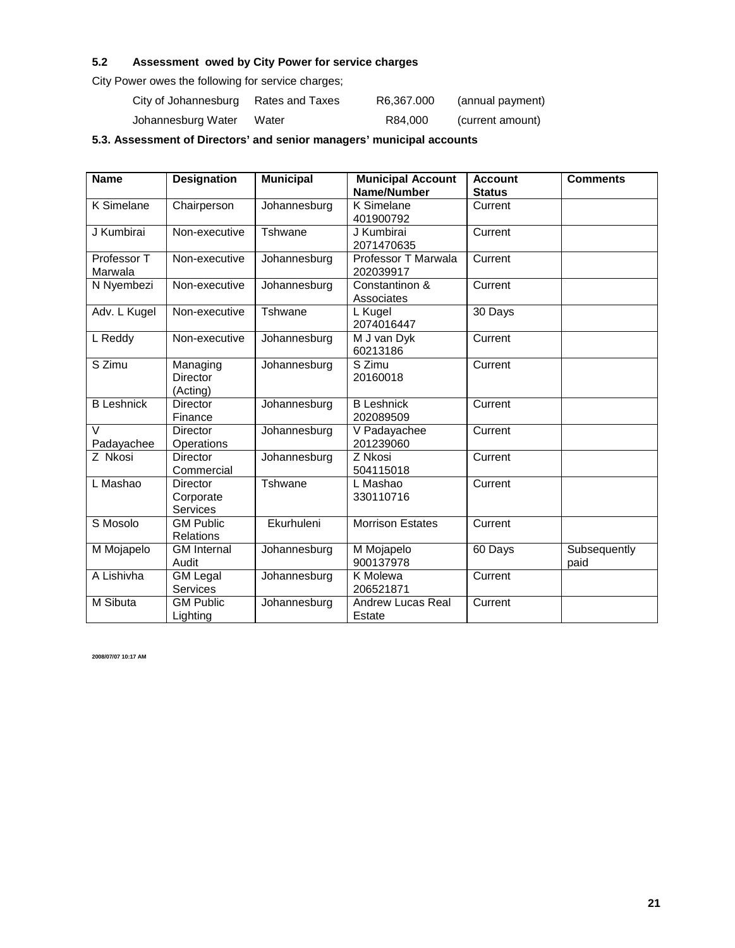# **5.2 Assessment owed by City Power for service charges**

City Power owes the following for service charges;

| City of Johannesburg | Rates and Taxes | R6.367.000 | (annual payment) |
|----------------------|-----------------|------------|------------------|
| Johannesburg Water   | Water           | R84.000    | (current amount) |

**5.3. Assessment of Directors' and senior managers' municipal accounts**

| <b>Name</b>            | <b>Designation</b>                       | <b>Municipal</b> | <b>Municipal Account</b><br>Name/Number | <b>Account</b><br><b>Status</b> | <b>Comments</b>      |
|------------------------|------------------------------------------|------------------|-----------------------------------------|---------------------------------|----------------------|
| K Simelane             | Chairperson                              | Johannesburg     | K Simelane<br>401900792                 | Current                         |                      |
| J Kumbirai             | Non-executive                            | Tshwane          | J Kumbirai<br>2071470635                | Current                         |                      |
| Professor T<br>Marwala | Non-executive                            | Johannesburg     | Professor T Marwala<br>202039917        | Current                         |                      |
| N Nyembezi             | Non-executive                            | Johannesburg     | Constantinon &<br>Associates            | Current                         |                      |
| Adv. L Kugel           | Non-executive                            | Tshwane          | L Kugel<br>2074016447                   | 30 Days                         |                      |
| L Reddy                | Non-executive                            | Johannesburg     | M J van Dyk<br>60213186                 | Current                         |                      |
| S Zimu                 | Managing<br><b>Director</b><br>(Acting)  | Johannesburg     | S Zimu<br>20160018                      | Current                         |                      |
| <b>B</b> Leshnick      | <b>Director</b><br>Finance               | Johannesburg     | <b>B</b> Leshnick<br>202089509          | Current                         |                      |
| $\vee$<br>Padayachee   | <b>Director</b><br>Operations            | Johannesburg     | V Padayachee<br>201239060               | Current                         |                      |
| Z Nkosi                | <b>Director</b><br>Commercial            | Johannesburg     | Z Nkosi<br>504115018                    | Current                         |                      |
| L Mashao               | <b>Director</b><br>Corporate<br>Services | Tshwane          | L Mashao<br>330110716                   | Current                         |                      |
| S Mosolo               | <b>GM Public</b><br><b>Relations</b>     | Ekurhuleni       | <b>Morrison Estates</b>                 | Current                         |                      |
| M Mojapelo             | <b>GM</b> Internal<br>Audit              | Johannesburg     | M Mojapelo<br>900137978                 | 60 Days                         | Subsequently<br>paid |
| A Lishivha             | <b>GM Legal</b><br><b>Services</b>       | Johannesburg     | <b>K</b> Molewa<br>206521871            | Current                         |                      |
| M Sibuta               | <b>GM Public</b><br>Lighting             | Johannesburg     | <b>Andrew Lucas Real</b><br>Estate      | Current                         |                      |

**2008/07/07 10:17 AM**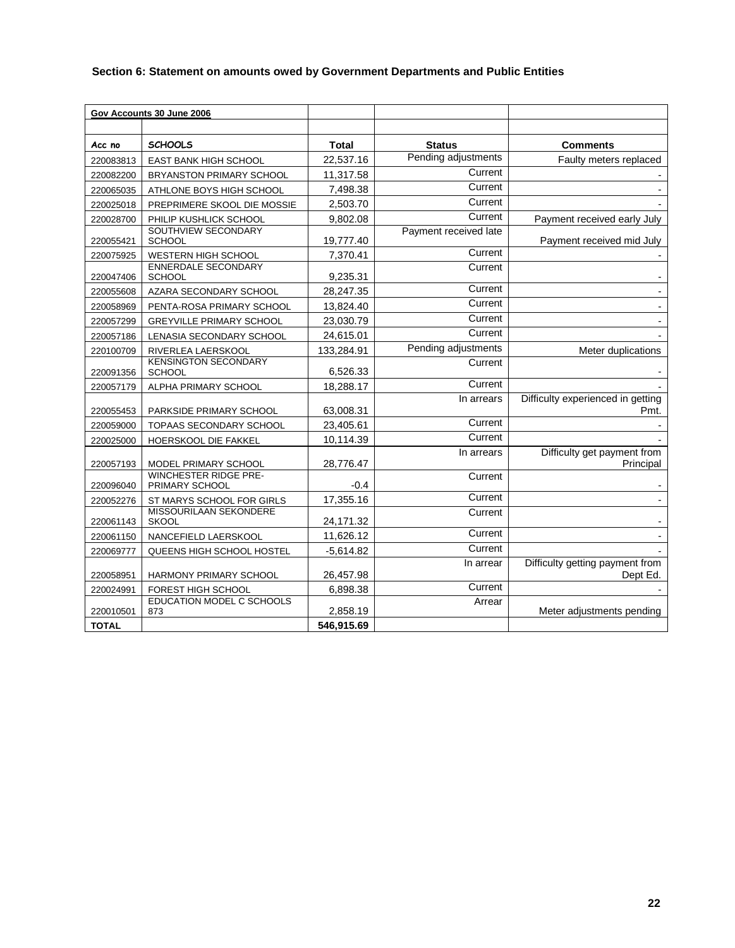# **Section 6: Statement on amounts owed by Government Departments and Public Entities**

|              | Gov Accounts 30 June 2006                              |              |                       |                                           |
|--------------|--------------------------------------------------------|--------------|-----------------------|-------------------------------------------|
|              |                                                        |              |                       |                                           |
| Acc no       | <b>SCHOOLS</b>                                         | <b>Total</b> | <b>Status</b>         | <b>Comments</b>                           |
| 220083813    | EAST BANK HIGH SCHOOL                                  | 22,537.16    | Pending adjustments   | Faulty meters replaced                    |
| 220082200    | BRYANSTON PRIMARY SCHOOL                               | 11,317.58    | Current               |                                           |
| 220065035    | ATHLONE BOYS HIGH SCHOOL                               | 7,498.38     | Current               |                                           |
| 220025018    | PREPRIMERE SKOOL DIE MOSSIE                            | 2,503.70     | Current               |                                           |
| 220028700    | PHILIP KUSHLICK SCHOOL                                 | 9,802.08     | Current               | Payment received early July               |
| 220055421    | SOUTHVIEW SECONDARY<br>SCHOOL                          | 19,777.40    | Payment received late | Payment received mid July                 |
| 220075925    | WESTERN HIGH SCHOOL                                    | 7,370.41     | Current               |                                           |
| 220047406    | <b>ENNERDALE SECONDARY</b><br>SCHOOL                   | 9,235.31     | Current               |                                           |
| 220055608    | AZARA SECONDARY SCHOOL                                 | 28,247.35    | Current               |                                           |
| 220058969    | PENTA-ROSA PRIMARY SCHOOL                              | 13,824.40    | Current               | $\blacksquare$                            |
| 220057299    | <b>GREYVILLE PRIMARY SCHOOL</b>                        | 23,030.79    | Current               |                                           |
| 220057186    | LENASIA SECONDARY SCHOOL                               | 24,615.01    | Current               |                                           |
| 220100709    | RIVERLEA LAERSKOOL                                     | 133,284.91   | Pending adjustments   | Meter duplications                        |
| 220091356    | <b>KENSINGTON SECONDARY</b><br>SCHOOL                  | 6,526.33     | Current               |                                           |
| 220057179    | ALPHA PRIMARY SCHOOL                                   | 18,288.17    | Current               |                                           |
| 220055453    | PARKSIDE PRIMARY SCHOOL                                | 63,008.31    | In arrears            | Difficulty experienced in getting<br>Pmt. |
| 220059000    | TOPAAS SECONDARY SCHOOL                                | 23,405.61    | Current               |                                           |
| 220025000    | HOERSKOOL DIE FAKKEL                                   | 10,114.39    | Current               |                                           |
| 220057193    | MODEL PRIMARY SCHOOL                                   | 28,776.47    | In arrears            | Difficulty get payment from<br>Principal  |
| 220096040    | <b>WINCHESTER RIDGE PRE-</b><br>PRIMARY SCHOOL         | $-0.4$       | Current               |                                           |
| 220052276    | ST MARYS SCHOOL FOR GIRLS                              | 17,355.16    | Current               |                                           |
| 220061143    | MISSOURILAAN SEKONDERE<br><b>SKOOL</b>                 | 24,171.32    | Current               |                                           |
| 220061150    | NANCEFIELD LAERSKOOL                                   | 11,626.12    | Current               |                                           |
| 220069777    | QUEENS HIGH SCHOOL HOSTEL                              | $-5,614.82$  | Current               |                                           |
|              |                                                        |              | In arrear             | Difficulty getting payment from           |
| 220058951    | HARMONY PRIMARY SCHOOL                                 | 26,457.98    | Current               | Dept Ed.                                  |
| 220024991    | FOREST HIGH SCHOOL<br><b>EDUCATION MODEL C SCHOOLS</b> | 6,898.38     | Arrear                |                                           |
| 220010501    | 873                                                    | 2,858.19     |                       | Meter adjustments pending                 |
| <b>TOTAL</b> |                                                        | 546,915.69   |                       |                                           |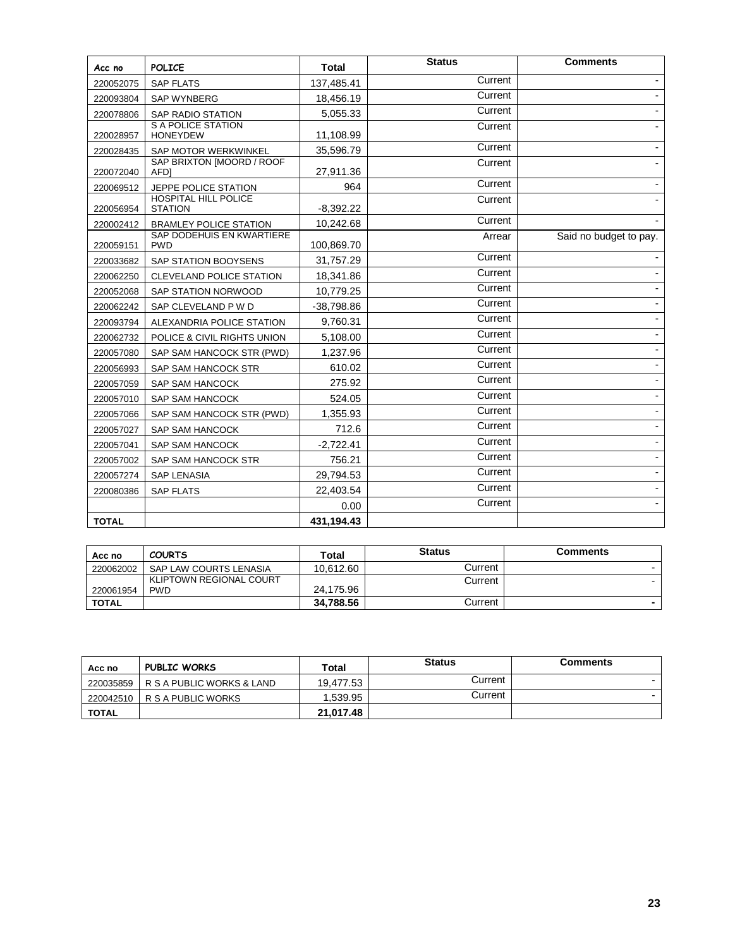| Acc no       | <b>POLICE</b>                                 | <b>Total</b> | <b>Status</b> | <b>Comments</b>        |
|--------------|-----------------------------------------------|--------------|---------------|------------------------|
| 220052075    | <b>SAP FLATS</b>                              | 137,485.41   | Current       |                        |
| 220093804    | <b>SAP WYNBERG</b>                            | 18,456.19    | Current       |                        |
| 220078806    | <b>SAP RADIO STATION</b>                      | 5,055.33     | Current       |                        |
| 220028957    | <b>S A POLICE STATION</b><br><b>HONEYDEW</b>  | 11,108.99    | Current       |                        |
| 220028435    | SAP MOTOR WERKWINKEL                          | 35,596.79    | Current       |                        |
| 220072040    | SAP BRIXTON [MOORD / ROOF<br><b>AFDI</b>      | 27,911.36    | Current       |                        |
| 220069512    | JEPPE POLICE STATION                          | 964          | Current       |                        |
| 220056954    | <b>HOSPITAL HILL POLICE</b><br><b>STATION</b> | $-8,392.22$  | Current       |                        |
| 220002412    | <b>BRAMLEY POLICE STATION</b>                 | 10,242.68    | Current       |                        |
| 220059151    | SAP DODEHUIS EN KWARTIERE<br><b>PWD</b>       | 100,869.70   | Arrear        | Said no budget to pay. |
| 220033682    | SAP STATION BOOYSENS                          | 31,757.29    | Current       |                        |
| 220062250    | <b>CLEVELAND POLICE STATION</b>               | 18,341.86    | Current       |                        |
| 220052068    | SAP STATION NORWOOD                           | 10,779.25    | Current       |                        |
| 220062242    | SAP CLEVELAND P W D                           | $-38,798.86$ | Current       |                        |
| 220093794    | ALEXANDRIA POLICE STATION                     | 9,760.31     | Current       |                        |
| 220062732    | POLICE & CIVIL RIGHTS UNION                   | 5,108.00     | Current       |                        |
| 220057080    | SAP SAM HANCOCK STR (PWD)                     | 1,237.96     | Current       |                        |
| 220056993    | SAP SAM HANCOCK STR                           | 610.02       | Current       |                        |
| 220057059    | SAP SAM HANCOCK                               | 275.92       | Current       |                        |
| 220057010    | SAP SAM HANCOCK                               | 524.05       | Current       |                        |
| 220057066    | SAP SAM HANCOCK STR (PWD)                     | 1,355.93     | Current       |                        |
| 220057027    | SAP SAM HANCOCK                               | 712.6        | Current       |                        |
| 220057041    | <b>SAP SAM HANCOCK</b>                        | $-2,722.41$  | Current       |                        |
| 220057002    | SAP SAM HANCOCK STR                           | 756.21       | Current       |                        |
| 220057274    | SAP LENASIA                                   | 29,794.53    | Current       |                        |
| 220080386    | <b>SAP FLATS</b>                              | 22,403.54    | Current       |                        |
|              |                                               | 0.00         | Current       |                        |
| <b>TOTAL</b> |                                               | 431,194.43   |               |                        |

| Acc no    | <b>COURTS</b>           | Total     | <b>Status</b> | <b>Comments</b> |
|-----------|-------------------------|-----------|---------------|-----------------|
| 220062002 | SAP LAW COURTS LENASIA  | 10.612.60 | Current       |                 |
|           | KLIPTOWN REGIONAL COURT |           | Current       |                 |
| 220061954 | <b>PWD</b>              | 24.175.96 |               |                 |
| TOTAL     |                         | 34.788.56 | Current       |                 |

| Acc no       | <b>PUBLIC WORKS</b>       | Total     | <b>Status</b> | <b>Comments</b> |
|--------------|---------------------------|-----------|---------------|-----------------|
| 220035859    | R S A PUBLIC WORKS & LAND | 19.477.53 | Current       |                 |
| 220042510    | IR SA PUBLIC WORKS        | 1.539.95  | Current       |                 |
| <b>TOTAL</b> |                           | 21.017.48 |               |                 |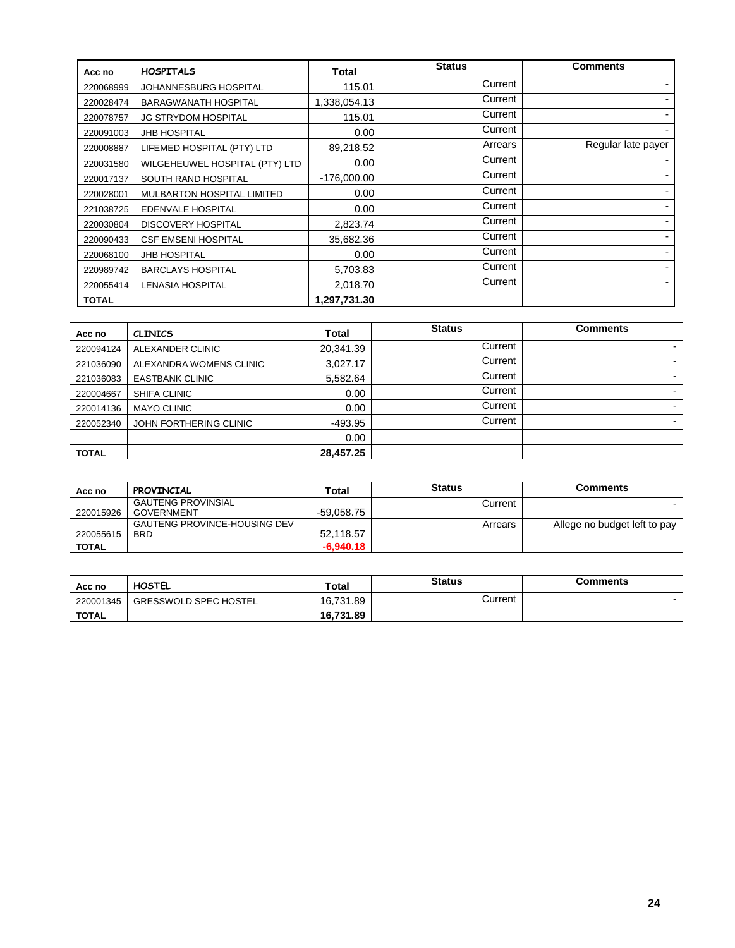| Acc no       | <b>HOSPITALS</b>               | Total         | <b>Status</b> | <b>Comments</b>    |
|--------------|--------------------------------|---------------|---------------|--------------------|
| 220068999    | JOHANNESBURG HOSPITAL          | 115.01        | Current       |                    |
| 220028474    | <b>BARAGWANATH HOSPITAL</b>    | 1,338,054.13  | Current       |                    |
| 220078757    | <b>JG STRYDOM HOSPITAL</b>     | 115.01        | Current       |                    |
| 220091003    | <b>JHB HOSPITAL</b>            | 0.00          | Current       |                    |
| 220008887    | LIFEMED HOSPITAL (PTY) LTD     | 89,218.52     | Arrears       | Regular late payer |
| 220031580    | WILGEHEUWEL HOSPITAL (PTY) LTD | 0.00          | Current       |                    |
| 220017137    | SOUTH RAND HOSPITAL            | $-176,000.00$ | Current       |                    |
| 220028001    | MULBARTON HOSPITAL LIMITED     | 0.00          | Current       |                    |
| 221038725    | EDENVALE HOSPITAL              | 0.00          | Current       |                    |
| 220030804    | <b>DISCOVERY HOSPITAL</b>      | 2,823.74      | Current       |                    |
| 220090433    | <b>CSF EMSENI HOSPITAL</b>     | 35,682.36     | Current       |                    |
| 220068100    | <b>JHB HOSPITAL</b>            | 0.00          | Current       |                    |
| 220989742    | <b>BARCLAYS HOSPITAL</b>       | 5,703.83      | Current       |                    |
| 220055414    | <b>LENASIA HOSPITAL</b>        | 2,018.70      | Current       |                    |
| <b>TOTAL</b> |                                | 1,297,731.30  |               |                    |

| Acc no       | <b>CLINICS</b>          | <b>Total</b> | <b>Status</b> | Comments                 |
|--------------|-------------------------|--------------|---------------|--------------------------|
| 220094124    | ALEXANDER CLINIC        | 20,341.39    | Current       | $\overline{\phantom{0}}$ |
| 221036090    | ALEXANDRA WOMENS CLINIC | 3,027.17     | Current       | $\overline{\phantom{a}}$ |
| 221036083    | <b>EASTBANK CLINIC</b>  | 5,582.64     | Current       | $\overline{\phantom{a}}$ |
| 220004667    | SHIFA CLINIC            | 0.00         | Current       |                          |
| 220014136    | <b>MAYO CLINIC</b>      | 0.00         | Current       | -                        |
| 220052340    | JOHN FORTHERING CLINIC  | -493.95      | Current       | -                        |
|              |                         | 0.00         |               |                          |
| <b>TOTAL</b> |                         | 28,457.25    |               |                          |

| Acc no       | <b>PROVINCIAL</b>                   | Total        | <b>Status</b> | <b>Comments</b>              |
|--------------|-------------------------------------|--------------|---------------|------------------------------|
|              | <b>GAUTENG PROVINSIAL</b>           |              | Current       |                              |
| 220015926    | <b>GOVERNMENT</b>                   | $-59,058.75$ |               |                              |
|              | <b>GAUTENG PROVINCE-HOUSING DEV</b> |              | Arrears       | Allege no budget left to pay |
| 220055615    | <b>BRD</b>                          | 52,118.57    |               |                              |
| <b>TOTAL</b> |                                     | $-6,940.18$  |               |                              |

| Acc no       | <b>HOSTEL</b>                | Total     |         | Comments                 |
|--------------|------------------------------|-----------|---------|--------------------------|
| 220001345    | <b>GRESSWOLD SPEC HOSTEL</b> | 16,731.89 | Current | $\overline{\phantom{0}}$ |
| <b>TOTAL</b> |                              | 16,731.89 |         |                          |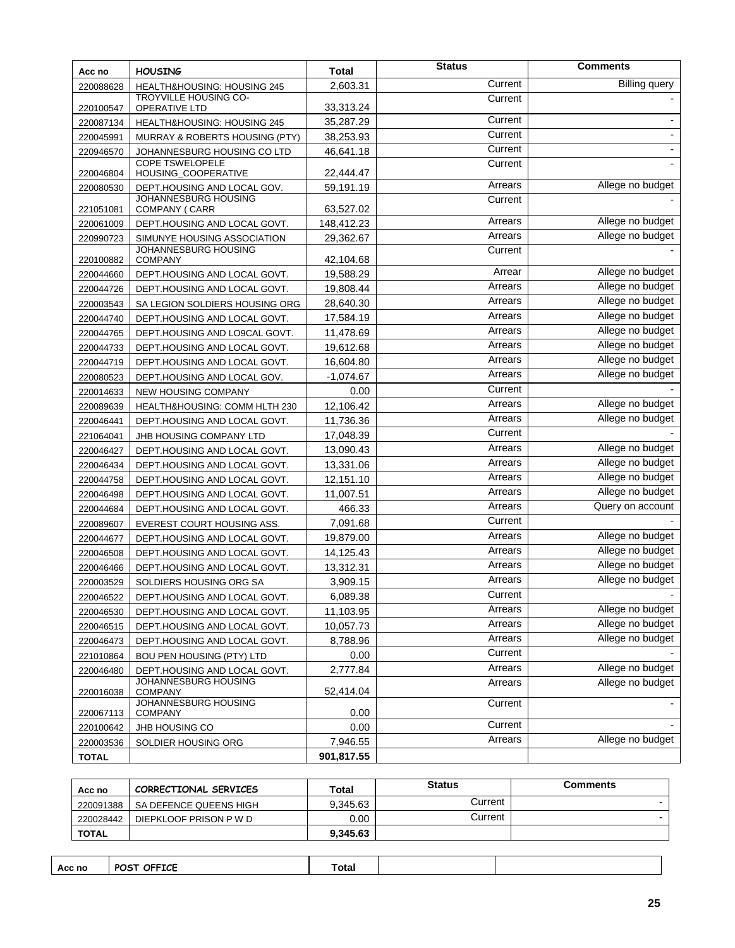| Acc no                 | <b>HOUSING</b>                                        | <b>Total</b>           | <b>Status</b> | <b>Comments</b>      |
|------------------------|-------------------------------------------------------|------------------------|---------------|----------------------|
| 220088628              | HEALTH&HOUSING: HOUSING 245                           | 2,603.31               | Current       | <b>Billing</b> query |
|                        | <b>TROYVILLE HOUSING CO-</b>                          |                        | Current       |                      |
| 220100547              | OPERATIVE LTD                                         | 33,313.24              | Current       |                      |
| 220087134              | HEALTH&HOUSING: HOUSING 245                           | 35,287.29              | Current       |                      |
| 220045991              | MURRAY & ROBERTS HOUSING (PTY)                        | 38,253.93              | Current       |                      |
| 220946570              | JOHANNESBURG HOUSING CO LTD<br><b>COPE TSWELOPELE</b> | 46,641.18              | Current       |                      |
| 220046804              | HOUSING_COOPERATIVE                                   | 22,444.47              |               |                      |
| 220080530              | DEPT.HOUSING AND LOCAL GOV.                           | 59,191.19              | Arrears       | Allege no budget     |
| 221051081              | JOHANNESBURG HOUSING<br>COMPANY (CARR                 | 63,527.02              | Current       |                      |
| 220061009              | DEPT.HOUSING AND LOCAL GOVT.                          | 148,412.23             | Arrears       | Allege no budget     |
| 220990723              | SIMUNYE HOUSING ASSOCIATION                           | 29,362.67              | Arrears       | Allege no budget     |
|                        | JOHANNESBURG HOUSING                                  |                        | Current       |                      |
| 220100882<br>220044660 | <b>COMPANY</b><br>DEPT.HOUSING AND LOCAL GOVT.        | 42,104.68<br>19,588.29 | Arrear        | Allege no budget     |
| 220044726              | DEPT.HOUSING AND LOCAL GOVT.                          | 19,808.44              | Arrears       | Allege no budget     |
| 220003543              | SA LEGION SOLDIERS HOUSING ORG                        | 28,640.30              | Arrears       | Allege no budget     |
| 220044740              | DEPT.HOUSING AND LOCAL GOVT.                          | 17,584.19              | Arrears       | Allege no budget     |
| 220044765              | DEPT.HOUSING AND LO9CAL GOVT.                         | 11,478.69              | Arrears       | Allege no budget     |
| 220044733              | DEPT.HOUSING AND LOCAL GOVT.                          | 19,612.68              | Arrears       | Allege no budget     |
| 220044719              | DEPT.HOUSING AND LOCAL GOVT.                          | 16,604.80              | Arrears       | Allege no budget     |
| 220080523              | DEPT.HOUSING AND LOCAL GOV.                           | $-1,074.67$            | Arrears       | Allege no budget     |
| 220014633              | NEW HOUSING COMPANY                                   | 0.00                   | Current       |                      |
| 220089639              | HEALTH&HOUSING: COMM HLTH 230                         | 12,106.42              | Arrears       | Allege no budget     |
| 220046441              | DEPT.HOUSING AND LOCAL GOVT.                          | 11,736.36              | Arrears       | Allege no budget     |
| 221064041              | JHB HOUSING COMPANY LTD                               | 17,048.39              | Current       |                      |
| 220046427              | DEPT.HOUSING AND LOCAL GOVT.                          | 13,090.43              | Arrears       | Allege no budget     |
| 220046434              | DEPT.HOUSING AND LOCAL GOVT.                          | 13,331.06              | Arrears       | Allege no budget     |
| 220044758              | DEPT.HOUSING AND LOCAL GOVT.                          | 12,151.10              | Arrears       | Allege no budget     |
| 220046498              | DEPT.HOUSING AND LOCAL GOVT.                          | 11,007.51              | Arrears       | Allege no budget     |
| 220044684              | DEPT.HOUSING AND LOCAL GOVT.                          | 466.33                 | Arrears       | Query on account     |
| 220089607              | EVEREST COURT HOUSING ASS.                            | 7,091.68               | Current       |                      |
| 220044677              | DEPT.HOUSING AND LOCAL GOVT.                          | 19,879.00              | Arrears       | Allege no budget     |
| 220046508              | DEPT.HOUSING AND LOCAL GOVT.                          | 14,125.43              | Arrears       | Allege no budget     |
| 220046466              | DEPT.HOUSING AND LOCAL GOVT.                          | 13,312.31              | Arrears       | Allege no budget     |
| 220003529              | SOLDIERS HOUSING ORG SA                               | 3,909.15               | Arrears       | Allege no budget     |
| 220046522              | DEPT.HOUSING AND LOCAL GOVT.                          | 6,089.38               | Current       |                      |
| 220046530              | DEPT.HOUSING AND LOCAL GOVT.                          | 11,103.95              | Arrears       | Allege no budget     |
| 220046515              | DEPT.HOUSING AND LOCAL GOVT.                          | 10,057.73              | Arrears       | Allege no budget     |
| 220046473              | DEPT.HOUSING AND LOCAL GOVT.                          | 8,788.96               | Arrears       | Allege no budget     |
| 221010864              | BOU PEN HOUSING (PTY) LTD                             | 0.00                   | Current       |                      |
| 220046480              | DEPT.HOUSING AND LOCAL GOVT.                          | 2,777.84               | Arrears       | Allege no budget     |
| 220016038              | JOHANNESBURG HOUSING<br><b>COMPANY</b>                | 52,414.04              | Arrears       | Allege no budget     |
| 220067113              | JOHANNESBURG HOUSING<br><b>COMPANY</b>                | 0.00                   | Current       |                      |
| 220100642              | JHB HOUSING CO                                        | 0.00                   | Current       |                      |
| 220003536              | SOLDIER HOUSING ORG                                   | 7,946.55               | Arrears       | Allege no budget     |
| <b>TOTAL</b>           |                                                       | 901,817.55             |               |                      |
|                        |                                                       |                        |               |                      |

| Acc no       | CORRECTIONAL SERVICES  | Total    | <b>Status</b> | Comments |
|--------------|------------------------|----------|---------------|----------|
| 220091388    | SA DEFENCE QUEENS HIGH | 9.345.63 | Current       |          |
| 220028442    | DIEPKLOOF PRISON P W D | 0.00     | Current       |          |
| <b>TOTAL</b> |                        | 9.345.63 |               |          |

| Acc no | POST OFFICE | ˙otal |  |
|--------|-------------|-------|--|
|        |             |       |  |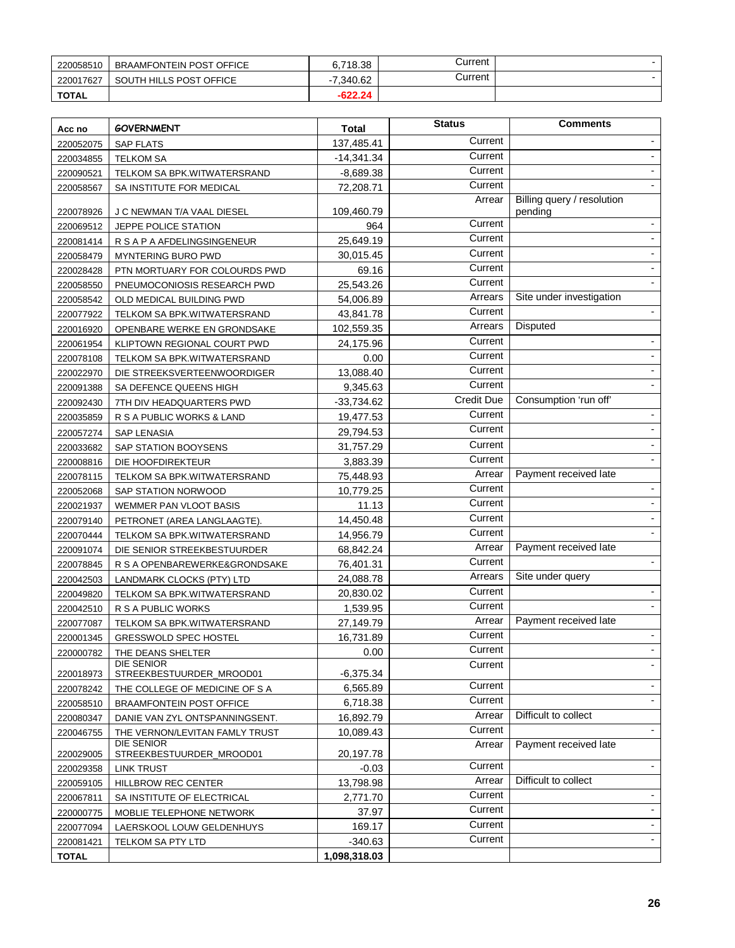| 220058510    | <b>BRAAMFONTEIN POST OFFICE</b> | 6,718.38                             | Current |  |
|--------------|---------------------------------|--------------------------------------|---------|--|
| 220017627    | SOUTH HILLS POST OFFICE         | 7.340.62<br>$\overline{\phantom{a}}$ | Current |  |
| <b>TOTAL</b> |                                 | $-622.24$                            |         |  |

| Acc no       | <b>GOVERNMENT</b>                      | <b>Total</b> | <b>Status</b> | <b>Comments</b>                       |
|--------------|----------------------------------------|--------------|---------------|---------------------------------------|
| 220052075    | <b>SAP FLATS</b>                       | 137,485.41   | Current       |                                       |
| 220034855    | <b>TELKOM SA</b>                       | $-14,341.34$ | Current       | $\blacksquare$                        |
| 220090521    | TELKOM SA BPK.WITWATERSRAND            | $-8,689.38$  | Current       |                                       |
| 220058567    | SA INSTITUTE FOR MEDICAL               | 72,208.71    | Current       |                                       |
| 220078926    | J C NEWMAN T/A VAAL DIESEL             | 109,460.79   | Arrear        | Billing query / resolution<br>pending |
| 220069512    | JEPPE POLICE STATION                   | 964          | Current       |                                       |
| 220081414    | R S A P A AFDELINGSINGENEUR            | 25,649.19    | Current       |                                       |
| 220058479    | <b>MYNTERING BURO PWD</b>              | 30,015.45    | Current       |                                       |
| 220028428    | PTN MORTUARY FOR COLOURDS PWD          | 69.16        | Current       |                                       |
| 220058550    | PNEUMOCONIOSIS RESEARCH PWD            | 25,543.26    | Current       |                                       |
| 220058542    | OLD MEDICAL BUILDING PWD               | 54,006.89    | Arrears       | Site under investigation              |
| 220077922    | TELKOM SA BPK.WITWATERSRAND            | 43,841.78    | Current       | $\overline{\phantom{a}}$              |
| 220016920    | OPENBARE WERKE EN GRONDSAKE            | 102,559.35   | Arrears       | Disputed                              |
| 220061954    | KLIPTOWN REGIONAL COURT PWD            | 24,175.96    | Current       | $\overline{\phantom{a}}$              |
| 220078108    | TELKOM SA BPK.WITWATERSRAND            | 0.00         | Current       | $\overline{\phantom{0}}$              |
| 220022970    | DIE STREEKSVERTEENWOORDIGER            | 13,088.40    | Current       |                                       |
| 220091388    | SA DEFENCE QUEENS HIGH                 | 9,345.63     | Current       |                                       |
| 220092430    | 7TH DIV HEADQUARTERS PWD               | $-33,734.62$ | Credit Due    | Consumption 'run off'                 |
| 220035859    | R S A PUBLIC WORKS & LAND              | 19,477.53    | Current       | $\blacksquare$                        |
| 220057274    | <b>SAP LENASIA</b>                     | 29,794.53    | Current       | $\overline{\phantom{0}}$              |
| 220033682    | SAP STATION BOOYSENS                   | 31,757.29    | Current       |                                       |
| 220008816    | DIE HOOFDIREKTEUR                      | 3,883.39     | Current       |                                       |
| 220078115    | TELKOM SA BPK.WITWATERSRAND            | 75,448.93    | Arrear        | Payment received late                 |
| 220052068    | <b>SAP STATION NORWOOD</b>             | 10,779.25    | Current       |                                       |
| 220021937    | WEMMER PAN VLOOT BASIS                 | 11.13        | Current       | $\overline{\phantom{a}}$              |
| 220079140    | PETRONET (AREA LANGLAAGTE).            | 14,450.48    | Current       |                                       |
| 220070444    | TELKOM SA BPK.WITWATERSRAND            | 14,956.79    | Current       |                                       |
| 220091074    | DIE SENIOR STREEKBESTUURDER            | 68,842.24    | Arrear        | Payment received late                 |
| 220078845    | R S A OPENBAREWERKE&GRONDSAKE          | 76,401.31    | Current       |                                       |
| 220042503    | LANDMARK CLOCKS (PTY) LTD              | 24,088.78    | Arrears       | Site under query                      |
| 220049820    | TELKOM SA BPK.WITWATERSRAND            | 20,830.02    | Current       |                                       |
| 220042510    | R S A PUBLIC WORKS                     | 1,539.95     | Current       |                                       |
| 220077087    | TELKOM SA BPK.WITWATERSRAND            | 27,149.79    | Arrear        | Payment received late                 |
| 220001345    | <b>GRESSWOLD SPEC HOSTEL</b>           | 16,731.89    | Current       |                                       |
| 220000782    | THE DEANS SHELTER                      | 0.00         | Current       |                                       |
| 220018973    | DIE SENIOR<br>STREEKBESTUURDER_MROOD01 | $-6,375.34$  | Current       |                                       |
| 220078242    | THE COLLEGE OF MEDICINE OF S A         | 6,565.89     | Current       |                                       |
| 220058510    | <b>BRAAMFONTEIN POST OFFICE</b>        | 6,718.38     | Current       |                                       |
| 220080347    | DANIE VAN ZYL ONTSPANNINGSENT.         | 16,892.79    | Arrear        | Difficult to collect                  |
| 220046755    | THE VERNON/LEVITAN FAMLY TRUST         | 10,089.43    | Current       | $\overline{\phantom{a}}$              |
| 220029005    | DIE SENIOR<br>STREEKBESTUURDER_MROOD01 | 20,197.78    | Arrear        | Payment received late                 |
| 220029358    | LINK TRUST                             | $-0.03$      | Current       | $\overline{\phantom{a}}$              |
| 220059105    | HILLBROW REC CENTER                    | 13,798.98    | Arrear        | Difficult to collect                  |
| 220067811    | SA INSTITUTE OF ELECTRICAL             | 2,771.70     | Current       | $\overline{\phantom{0}}$              |
| 220000775    | MOBLIE TELEPHONE NETWORK               | 37.97        | Current       | $\overline{\phantom{a}}$              |
| 220077094    | LAERSKOOL LOUW GELDENHUYS              | 169.17       | Current       | $\overline{\phantom{0}}$              |
| 220081421    | TELKOM SA PTY LTD                      | $-340.63$    | Current       | $\overline{\phantom{a}}$              |
| <b>TOTAL</b> |                                        | 1,098,318.03 |               |                                       |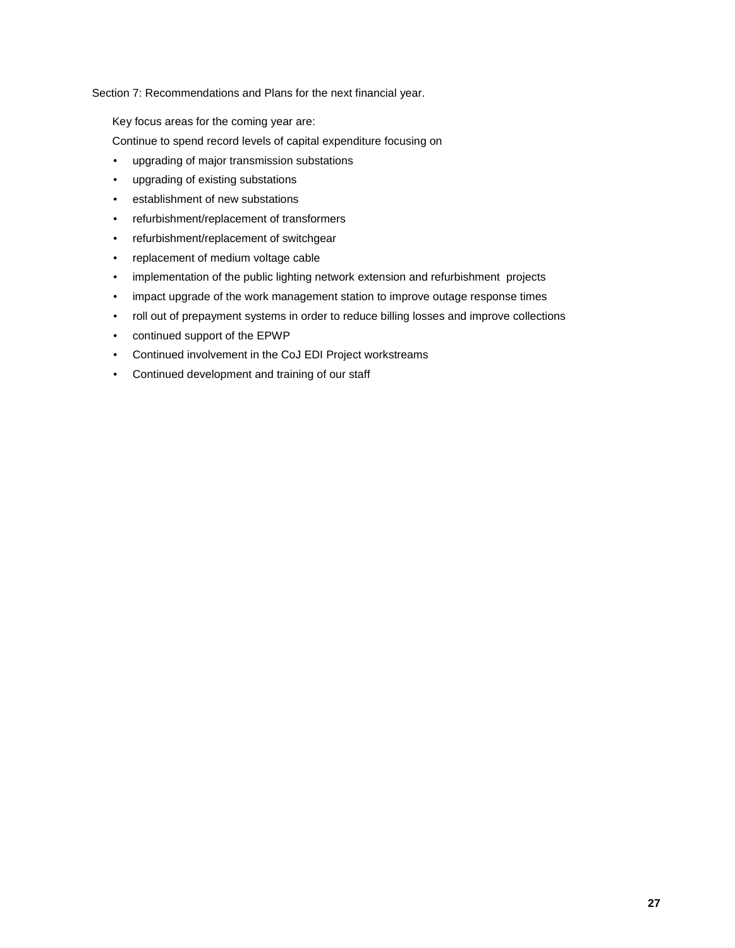Section 7: Recommendations and Plans for the next financial year.

Key focus areas for the coming year are:

Continue to spend record levels of capital expenditure focusing on

- upgrading of major transmission substations
- upgrading of existing substations
- establishment of new substations
- refurbishment/replacement of transformers
- refurbishment/replacement of switchgear
- replacement of medium voltage cable
- implementation of the public lighting network extension and refurbishment projects
- impact upgrade of the work management station to improve outage response times
- roll out of prepayment systems in order to reduce billing losses and improve collections
- continued support of the EPWP
- Continued involvement in the CoJ EDI Project workstreams
- Continued development and training of our staff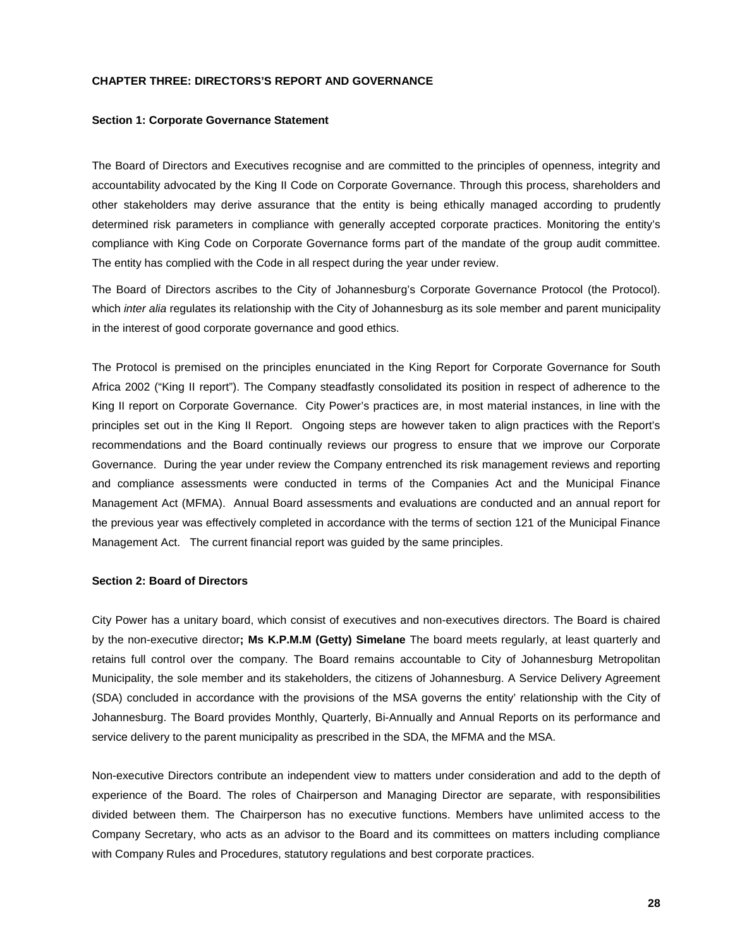#### **CHAPTER THREE: DIRECTORS'S REPORT AND GOVERNANCE**

#### **Section 1: Corporate Governance Statement**

The Board of Directors and Executives recognise and are committed to the principles of openness, integrity and accountability advocated by the King II Code on Corporate Governance. Through this process, shareholders and other stakeholders may derive assurance that the entity is being ethically managed according to prudently determined risk parameters in compliance with generally accepted corporate practices. Monitoring the entity's compliance with King Code on Corporate Governance forms part of the mandate of the group audit committee. The entity has complied with the Code in all respect during the year under review.

The Board of Directors ascribes to the City of Johannesburg's Corporate Governance Protocol (the Protocol). which *inter alia* regulates its relationship with the City of Johannesburg as its sole member and parent municipality in the interest of good corporate governance and good ethics.

The Protocol is premised on the principles enunciated in the King Report for Corporate Governance for South Africa 2002 ("King II report"). The Company steadfastly consolidated its position in respect of adherence to the King II report on Corporate Governance. City Power's practices are, in most material instances, in line with the principles set out in the King II Report. Ongoing steps are however taken to align practices with the Report's recommendations and the Board continually reviews our progress to ensure that we improve our Corporate Governance. During the year under review the Company entrenched its risk management reviews and reporting and compliance assessments were conducted in terms of the Companies Act and the Municipal Finance Management Act (MFMA). Annual Board assessments and evaluations are conducted and an annual report for the previous year was effectively completed in accordance with the terms of section 121 of the Municipal Finance Management Act. The current financial report was guided by the same principles.

#### **Section 2: Board of Directors**

City Power has a unitary board, which consist of executives and non-executives directors. The Board is chaired by the non-executive director**; Ms K.P.M.M (Getty) Simelane** The board meets regularly, at least quarterly and retains full control over the company. The Board remains accountable to City of Johannesburg Metropolitan Municipality, the sole member and its stakeholders, the citizens of Johannesburg. A Service Delivery Agreement (SDA) concluded in accordance with the provisions of the MSA governs the entity' relationship with the City of Johannesburg. The Board provides Monthly, Quarterly, Bi-Annually and Annual Reports on its performance and service delivery to the parent municipality as prescribed in the SDA, the MFMA and the MSA.

Non-executive Directors contribute an independent view to matters under consideration and add to the depth of experience of the Board. The roles of Chairperson and Managing Director are separate, with responsibilities divided between them. The Chairperson has no executive functions. Members have unlimited access to the Company Secretary, who acts as an advisor to the Board and its committees on matters including compliance with Company Rules and Procedures, statutory regulations and best corporate practices.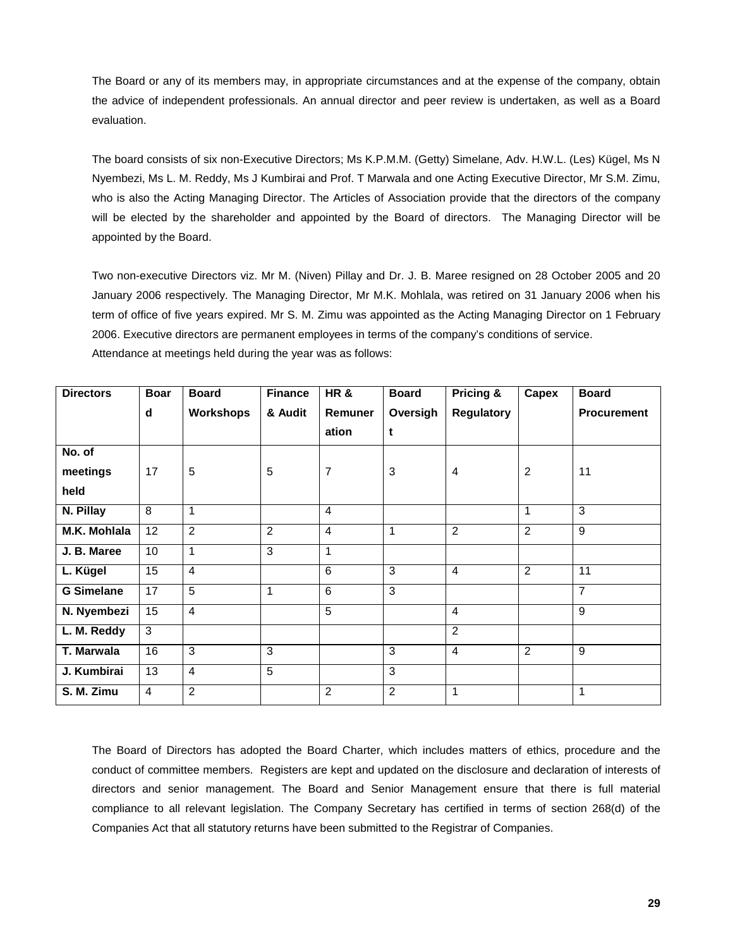The Board or any of its members may, in appropriate circumstances and at the expense of the company, obtain the advice of independent professionals. An annual director and peer review is undertaken, as well as a Board evaluation.

The board consists of six non-Executive Directors; Ms K.P.M.M. (Getty) Simelane, Adv. H.W.L. (Les) Kügel, Ms N Nyembezi, Ms L. M. Reddy, Ms J Kumbirai and Prof. T Marwala and one Acting Executive Director, Mr S.M. Zimu, who is also the Acting Managing Director. The Articles of Association provide that the directors of the company will be elected by the shareholder and appointed by the Board of directors. The Managing Director will be appointed by the Board.

Two non-executive Directors viz. Mr M. (Niven) Pillay and Dr. J. B. Maree resigned on 28 October 2005 and 20 January 2006 respectively. The Managing Director, Mr M.K. Mohlala, was retired on 31 January 2006 when his term of office of five years expired. Mr S. M. Zimu was appointed as the Acting Managing Director on 1 February 2006. Executive directors are permanent employees in terms of the company's conditions of service. Attendance at meetings held during the year was as follows:

| <b>Directors</b>    | <b>Boar</b>    | <b>Board</b>   | <b>Finance</b> | HR&            | <b>Board</b> | Pricing &         | Capex          | <b>Board</b>       |
|---------------------|----------------|----------------|----------------|----------------|--------------|-------------------|----------------|--------------------|
|                     | d              | Workshops      | & Audit        | Remuner        | Oversigh     | <b>Regulatory</b> |                | <b>Procurement</b> |
|                     |                |                |                | ation          | t            |                   |                |                    |
| No. of              |                |                |                |                |              |                   |                |                    |
| meetings            | 17             | 5              | 5              | $\overline{7}$ | 3            | 4                 | $\overline{2}$ | 11                 |
| held                |                |                |                |                |              |                   |                |                    |
| N. Pillay           | 8              | 1              |                | $\overline{4}$ |              |                   | 1              | $\overline{3}$     |
| <b>M.K. Mohlala</b> | 12             | $\overline{2}$ | 2              | 4              | 1            | 2                 | 2              | 9                  |
| J. B. Maree         | 10             | $\mathbf{1}$   | 3              | 1              |              |                   |                |                    |
| L. Kügel            | 15             | $\overline{4}$ |                | $\overline{6}$ | 3            | $\overline{4}$    | $\overline{2}$ | 11                 |
| <b>G Simelane</b>   | 17             | 5              | 1              | 6              | 3            |                   |                | $\overline{7}$     |
| N. Nyembezi         | 15             | $\overline{4}$ |                | $\overline{5}$ |              | $\overline{4}$    |                | 9                  |
| L. M. Reddy         | 3              |                |                |                |              | $\overline{2}$    |                |                    |
| <b>T. Marwala</b>   | 16             | 3              | 3              |                | 3            | $\overline{4}$    | $\overline{2}$ | 9                  |
| J. Kumbirai         | 13             | $\overline{4}$ | 5              |                | 3            |                   |                |                    |
| S. M. Zimu          | $\overline{4}$ | $\overline{2}$ |                | 2              | 2            | $\mathbf{1}$      |                | 1                  |

The Board of Directors has adopted the Board Charter, which includes matters of ethics, procedure and the conduct of committee members. Registers are kept and updated on the disclosure and declaration of interests of directors and senior management. The Board and Senior Management ensure that there is full material compliance to all relevant legislation. The Company Secretary has certified in terms of section 268(d) of the Companies Act that all statutory returns have been submitted to the Registrar of Companies.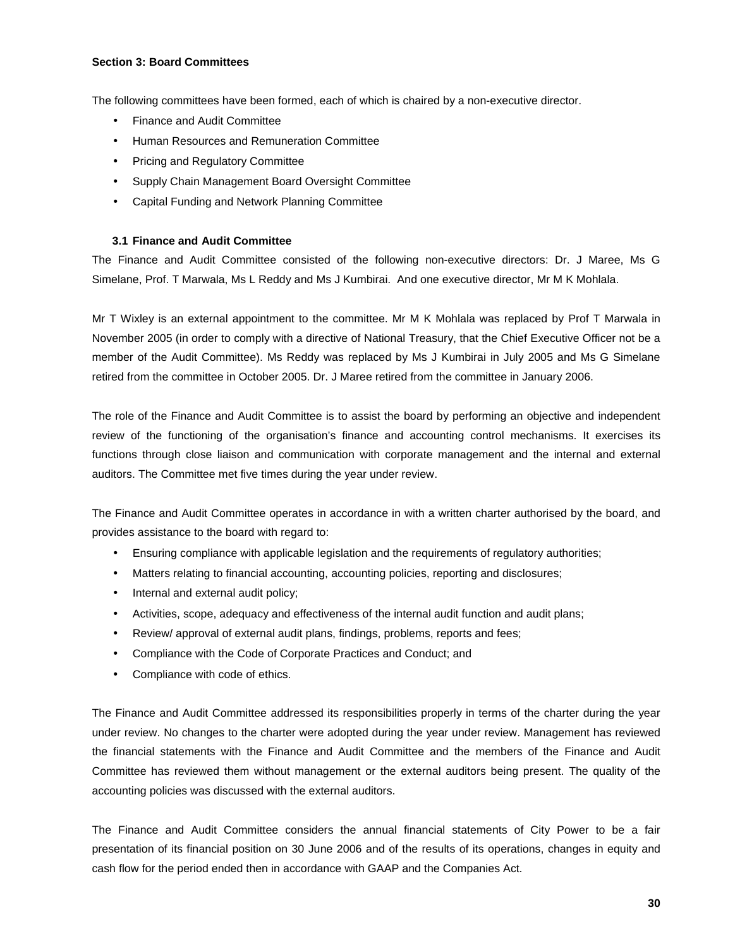#### **Section 3: Board Committees**

The following committees have been formed, each of which is chaired by a non-executive director.

- Finance and Audit Committee
- Human Resources and Remuneration Committee
- Pricing and Regulatory Committee
- Supply Chain Management Board Oversight Committee
- Capital Funding and Network Planning Committee

# **3.1 Finance and Audit Committee**

The Finance and Audit Committee consisted of the following non-executive directors: Dr. J Maree, Ms G Simelane, Prof. T Marwala, Ms L Reddy and Ms J Kumbirai. And one executive director, Mr M K Mohlala.

Mr T Wixley is an external appointment to the committee. Mr M K Mohlala was replaced by Prof T Marwala in November 2005 (in order to comply with a directive of National Treasury, that the Chief Executive Officer not be a member of the Audit Committee). Ms Reddy was replaced by Ms J Kumbirai in July 2005 and Ms G Simelane retired from the committee in October 2005. Dr. J Maree retired from the committee in January 2006.

The role of the Finance and Audit Committee is to assist the board by performing an objective and independent review of the functioning of the organisation's finance and accounting control mechanisms. It exercises its functions through close liaison and communication with corporate management and the internal and external auditors. The Committee met five times during the year under review.

The Finance and Audit Committee operates in accordance in with a written charter authorised by the board, and provides assistance to the board with regard to:

- Ensuring compliance with applicable legislation and the requirements of regulatory authorities;
- Matters relating to financial accounting, accounting policies, reporting and disclosures;
- Internal and external audit policy;
- Activities, scope, adequacy and effectiveness of the internal audit function and audit plans;
- Review/ approval of external audit plans, findings, problems, reports and fees;
- Compliance with the Code of Corporate Practices and Conduct; and
- Compliance with code of ethics.

The Finance and Audit Committee addressed its responsibilities properly in terms of the charter during the year under review. No changes to the charter were adopted during the year under review. Management has reviewed the financial statements with the Finance and Audit Committee and the members of the Finance and Audit Committee has reviewed them without management or the external auditors being present. The quality of the accounting policies was discussed with the external auditors.

The Finance and Audit Committee considers the annual financial statements of City Power to be a fair presentation of its financial position on 30 June 2006 and of the results of its operations, changes in equity and cash flow for the period ended then in accordance with GAAP and the Companies Act.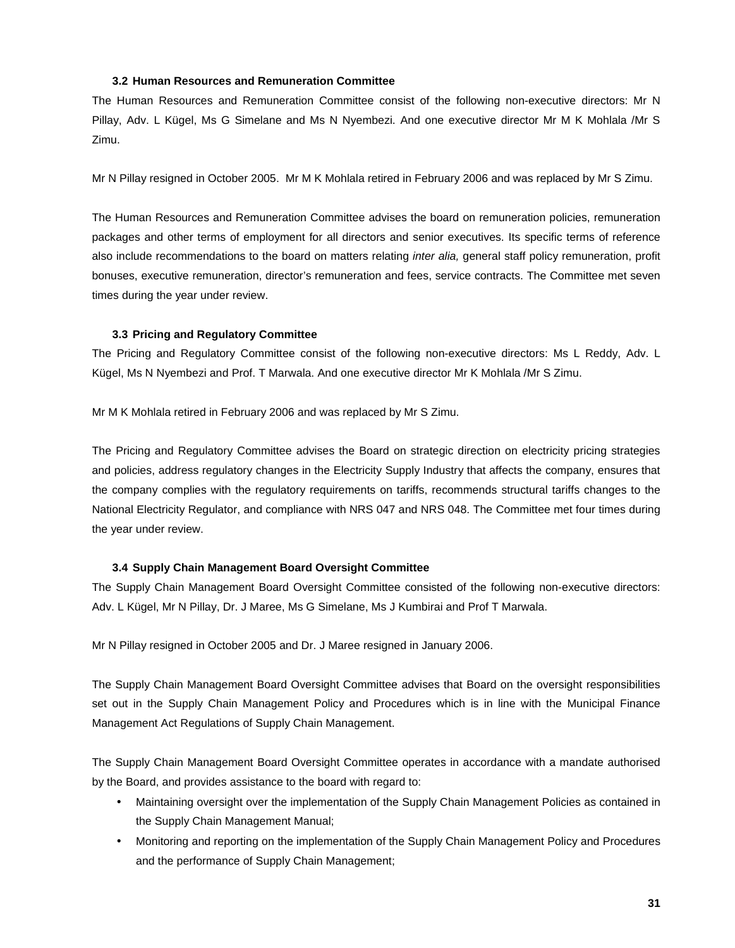#### **3.2 Human Resources and Remuneration Committee**

The Human Resources and Remuneration Committee consist of the following non-executive directors: Mr N Pillay, Adv. L Kügel, Ms G Simelane and Ms N Nyembezi. And one executive director Mr M K Mohlala /Mr S Zimu.

Mr N Pillay resigned in October 2005. Mr M K Mohlala retired in February 2006 and was replaced by Mr S Zimu.

The Human Resources and Remuneration Committee advises the board on remuneration policies, remuneration packages and other terms of employment for all directors and senior executives. Its specific terms of reference also include recommendations to the board on matters relating *inter alia,* general staff policy remuneration, profit bonuses, executive remuneration, director's remuneration and fees, service contracts. The Committee met seven times during the year under review.

#### **3.3 Pricing and Regulatory Committee**

The Pricing and Regulatory Committee consist of the following non-executive directors: Ms L Reddy, Adv. L Kügel, Ms N Nyembezi and Prof. T Marwala. And one executive director Mr K Mohlala /Mr S Zimu.

Mr M K Mohlala retired in February 2006 and was replaced by Mr S Zimu.

The Pricing and Regulatory Committee advises the Board on strategic direction on electricity pricing strategies and policies, address regulatory changes in the Electricity Supply Industry that affects the company, ensures that the company complies with the regulatory requirements on tariffs, recommends structural tariffs changes to the National Electricity Regulator, and compliance with NRS 047 and NRS 048. The Committee met four times during the year under review.

# **3.4 Supply Chain Management Board Oversight Committee**

The Supply Chain Management Board Oversight Committee consisted of the following non-executive directors: Adv. L Kügel, Mr N Pillay, Dr. J Maree, Ms G Simelane, Ms J Kumbirai and Prof T Marwala.

Mr N Pillay resigned in October 2005 and Dr. J Maree resigned in January 2006.

The Supply Chain Management Board Oversight Committee advises that Board on the oversight responsibilities set out in the Supply Chain Management Policy and Procedures which is in line with the Municipal Finance Management Act Regulations of Supply Chain Management.

The Supply Chain Management Board Oversight Committee operates in accordance with a mandate authorised by the Board, and provides assistance to the board with regard to:

- Maintaining oversight over the implementation of the Supply Chain Management Policies as contained in the Supply Chain Management Manual;
- Monitoring and reporting on the implementation of the Supply Chain Management Policy and Procedures and the performance of Supply Chain Management;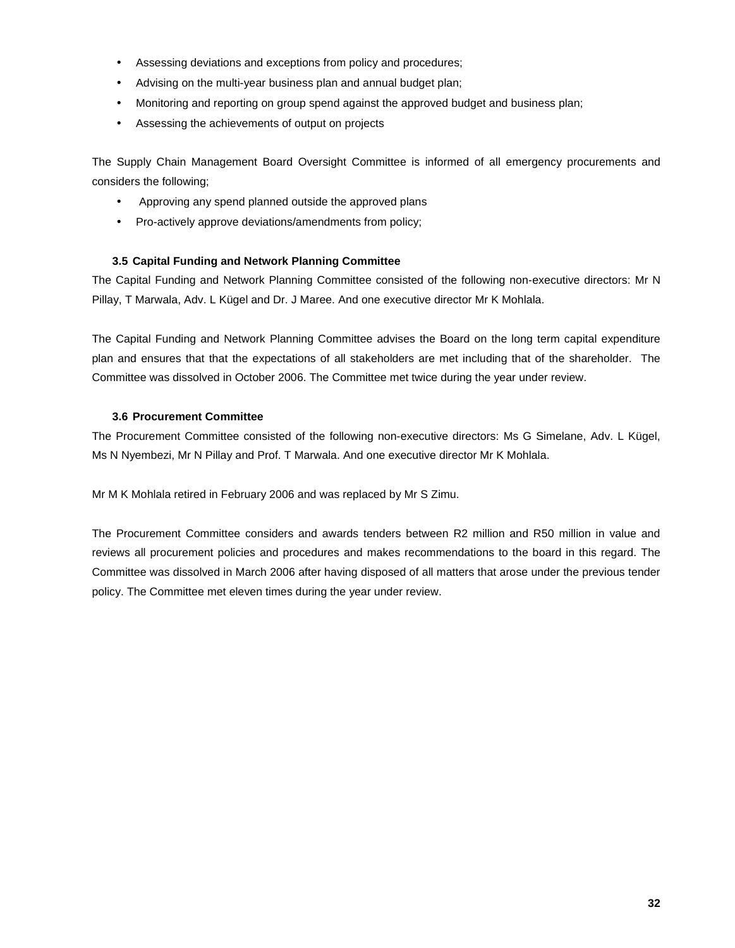- Assessing deviations and exceptions from policy and procedures;
- Advising on the multi-year business plan and annual budget plan;
- Monitoring and reporting on group spend against the approved budget and business plan;
- Assessing the achievements of output on projects

The Supply Chain Management Board Oversight Committee is informed of all emergency procurements and considers the following;

- Approving any spend planned outside the approved plans
- Pro-actively approve deviations/amendments from policy;

# **3.5 Capital Funding and Network Planning Committee**

The Capital Funding and Network Planning Committee consisted of the following non-executive directors: Mr N Pillay, T Marwala, Adv. L Kügel and Dr. J Maree. And one executive director Mr K Mohlala.

The Capital Funding and Network Planning Committee advises the Board on the long term capital expenditure plan and ensures that that the expectations of all stakeholders are met including that of the shareholder. The Committee was dissolved in October 2006. The Committee met twice during the year under review.

# **3.6 Procurement Committee**

The Procurement Committee consisted of the following non-executive directors: Ms G Simelane, Adv. L Kügel, Ms N Nyembezi, Mr N Pillay and Prof. T Marwala. And one executive director Mr K Mohlala.

Mr M K Mohlala retired in February 2006 and was replaced by Mr S Zimu.

The Procurement Committee considers and awards tenders between R2 million and R50 million in value and reviews all procurement policies and procedures and makes recommendations to the board in this regard. The Committee was dissolved in March 2006 after having disposed of all matters that arose under the previous tender policy. The Committee met eleven times during the year under review.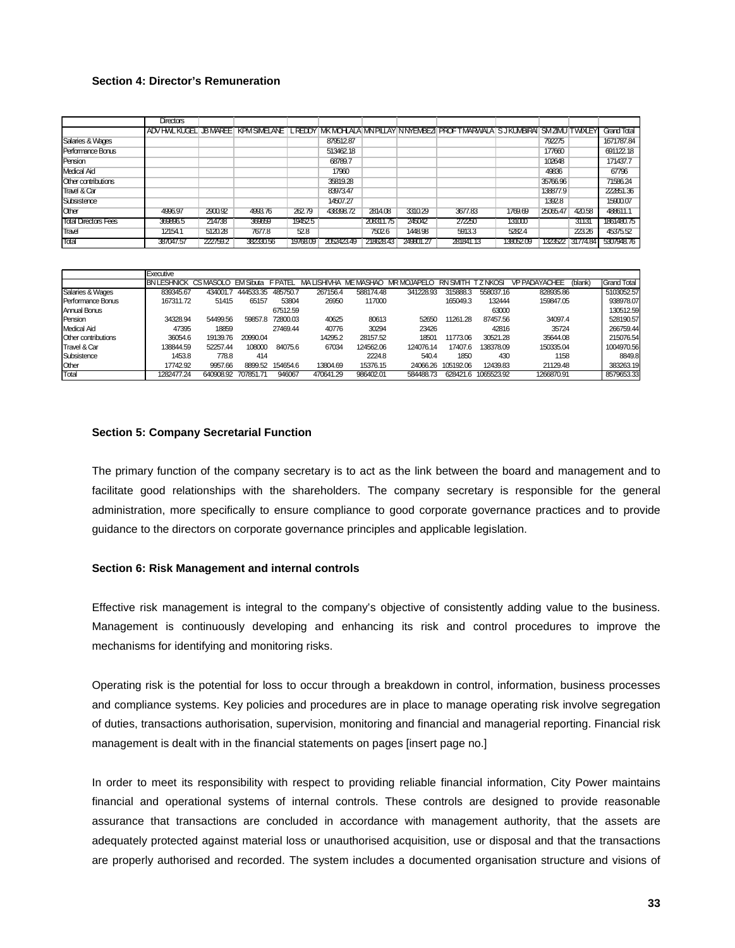#### **Section 4: Director's Remuneration**

|                             | Directors |          |           |          |            |           |           |                                                                                                                                    |           |          |                  |             |
|-----------------------------|-----------|----------|-----------|----------|------------|-----------|-----------|------------------------------------------------------------------------------------------------------------------------------------|-----------|----------|------------------|-------------|
|                             |           |          |           |          |            |           |           | IADV HVL KUGELI JB MAREE I KPM SIMELANE I L REDDY IMK MOHLALA INN PILLAY IN NYEMBEZI PROFT MARWALA IS J KUMBIRAI SM ZIMU IT WIXLEY |           |          |                  | Grand Total |
| Salaries & Wages            |           |          |           |          | 879512.87  |           |           |                                                                                                                                    |           | 792275   |                  | 1671787.84  |
| Performance Bonus           |           |          |           |          | 513462.18  |           |           |                                                                                                                                    |           | 177660   |                  | 691122.18   |
| Pension                     |           |          |           |          | 68789.7    |           |           |                                                                                                                                    |           | 102648   |                  | 171437.7    |
| Medical Aid                 |           |          |           |          | 17960      |           |           |                                                                                                                                    |           | 49836    |                  | 67796       |
| Other contributions         |           |          |           |          | 35819.28   |           |           |                                                                                                                                    |           | 35766.96 |                  | 71586.24    |
| Travel & Car                |           |          |           |          | 83973.47   |           |           |                                                                                                                                    |           | 138877.9 |                  | 222851.36   |
| Subsistence                 |           |          |           |          | 14507.27   |           |           |                                                                                                                                    |           | 1392.8   |                  | 15900.07    |
| <b>Other</b>                | 4996.97   | 2900.92  | 4993.76   | 262.79   | 438398.72  | 2814.08   | 3310.29   | 3677.83                                                                                                                            | 1769.69   | 25065.47 | 420.58           | 488611.1    |
| <b>Total Directors Fees</b> | 369896.5  | 214738   | 369659    | 19452.5  |            | 208311.75 | 245042    | 272250                                                                                                                             | 131000    |          | 31131            | 1861480.75  |
| <b>Travel</b>               | 12154.1   | 5120.28  | 7677.8    | 52.8     |            | 7502.6    | 1448.98   | 5913.3                                                                                                                             | 5282.4    |          | 223.26           | 45375.52    |
| Total                       | 387047.57 | 222759.2 | 382330.56 | 19768.09 | 2052423.49 | 21862843  | 249801.27 | 281841.13                                                                                                                          | 138052.09 |          | 1323522 31774.84 | 5307948.76  |

|                            | Executive          |           |                  |          |                       |           |             |                 |               |                      |         |                    |
|----------------------------|--------------------|-----------|------------------|----------|-----------------------|-----------|-------------|-----------------|---------------|----------------------|---------|--------------------|
|                            | <b>BN LESHNICK</b> | CS MASOL  | <b>EM Sibuta</b> | F PATEL  | <b>LISHIVHA</b><br>MA | ME MASHAO | MR MOJAPELO | <b>RN SMITH</b> | <b>ZNKOSI</b> | <b>VP PADAYACHEE</b> | (blank) | <b>Grand Total</b> |
| Salaries & Wages           | 839345.67          | 434001.7  | 444533.35        | 485750.7 | 267156.4              | 588174.48 | 341228.93   | 315888.3        | 558037.16     | 828935.86            |         | 5103052.57         |
| <b>Performance Bonus</b>   | 167311.72          | 51415     | 65157            | 53804    | 26950                 | 117000    |             | 165049.3        | 132444        | 159847.05            |         | 938978.07          |
| Annual Bonus               |                    |           |                  | 67512.59 |                       |           |             |                 | 63000         |                      |         | 130512.59          |
| <b>I</b> Pension           | 34328.94           | 54499.56  | 59857.8          | 72800.03 | 40625                 | 80613     | 52650       | 11261.28        | 87457.56      | 34097.4              |         | 528190.57          |
| Medical Aid                | 47395              | 18859     |                  | 27469.44 | 40776                 | 30294     | 23426       |                 | 42816         | 35724                |         | 266759.44          |
| <b>Other contributions</b> | 36054.6            | 19139.76  | 20990.04         |          | 14295.2               | 28157.52  | 18501       | 11773.06        | 30521.28      | 35644.08             |         | 215076.54          |
| <b>Travel &amp; Car</b>    | 138844.59          | 52257.44  | 108000           | 84075.6  | 67034                 | 124562.06 | 124076.14   | 17407.6         | 138378.09     | 150335.04            |         | 1004970.56         |
| Subsistence                | 1453.8             | 778.8     | 414              |          |                       | 2224.8    | 540.4       | 1850            | 430           | 1158                 |         | 8849.8             |
| <b>Other</b>               | 17742.92           | 9957.66   | 8899.52          | 154654.6 | 13804.69              | 15376.15  | 24066.26    | 105192.06       | 12439.83      | 21129.48             |         | 383263.19          |
| Total                      | 1282477.24         | 640908.92 | 707851<br>-71    | 946067   | 470641.29             | 986402.01 | 584488.73   | 628421.6        | 1065523.92    | 1266870.91           |         | 8579653.33         |

#### **Section 5: Company Secretarial Function**

The primary function of the company secretary is to act as the link between the board and management and to facilitate good relationships with the shareholders. The company secretary is responsible for the general administration, more specifically to ensure compliance to good corporate governance practices and to provide guidance to the directors on corporate governance principles and applicable legislation.

#### **Section 6: Risk Management and internal controls**

Effective risk management is integral to the company's objective of consistently adding value to the business. Management is continuously developing and enhancing its risk and control procedures to improve the mechanisms for identifying and monitoring risks.

Operating risk is the potential for loss to occur through a breakdown in control, information, business processes and compliance systems. Key policies and procedures are in place to manage operating risk involve segregation of duties, transactions authorisation, supervision, monitoring and financial and managerial reporting. Financial risk management is dealt with in the financial statements on pages [insert page no.]

In order to meet its responsibility with respect to providing reliable financial information, City Power maintains financial and operational systems of internal controls. These controls are designed to provide reasonable assurance that transactions are concluded in accordance with management authority, that the assets are adequately protected against material loss or unauthorised acquisition, use or disposal and that the transactions are properly authorised and recorded. The system includes a documented organisation structure and visions of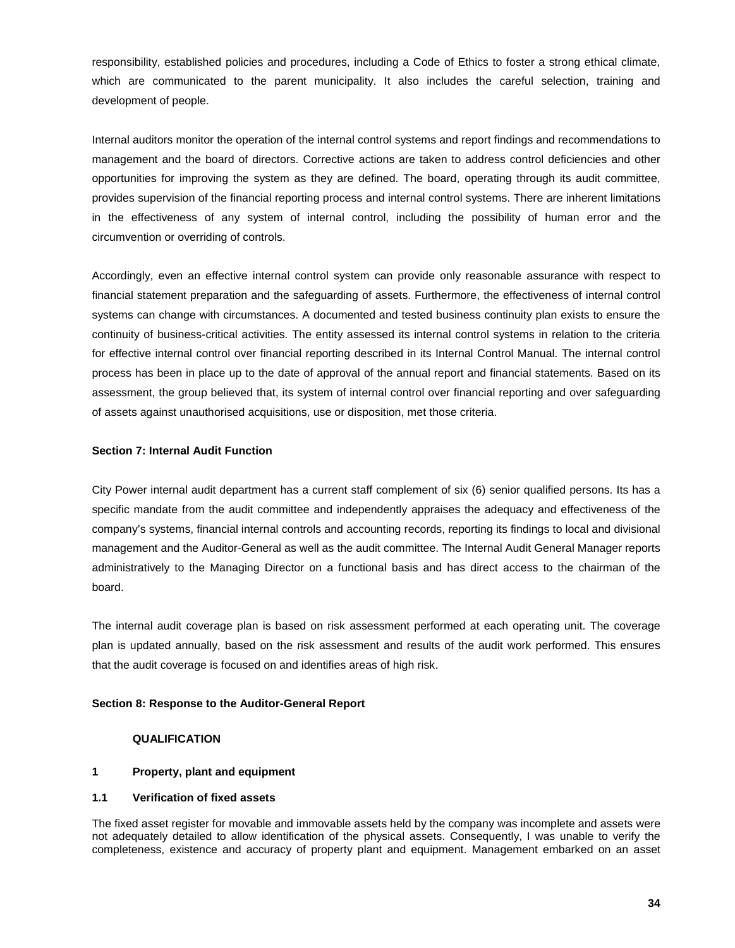responsibility, established policies and procedures, including a Code of Ethics to foster a strong ethical climate, which are communicated to the parent municipality. It also includes the careful selection, training and development of people.

Internal auditors monitor the operation of the internal control systems and report findings and recommendations to management and the board of directors. Corrective actions are taken to address control deficiencies and other opportunities for improving the system as they are defined. The board, operating through its audit committee, provides supervision of the financial reporting process and internal control systems. There are inherent limitations in the effectiveness of any system of internal control, including the possibility of human error and the circumvention or overriding of controls.

Accordingly, even an effective internal control system can provide only reasonable assurance with respect to financial statement preparation and the safeguarding of assets. Furthermore, the effectiveness of internal control systems can change with circumstances. A documented and tested business continuity plan exists to ensure the continuity of business-critical activities. The entity assessed its internal control systems in relation to the criteria for effective internal control over financial reporting described in its Internal Control Manual. The internal control process has been in place up to the date of approval of the annual report and financial statements. Based on its assessment, the group believed that, its system of internal control over financial reporting and over safeguarding of assets against unauthorised acquisitions, use or disposition, met those criteria.

# **Section 7: Internal Audit Function**

City Power internal audit department has a current staff complement of six (6) senior qualified persons. Its has a specific mandate from the audit committee and independently appraises the adequacy and effectiveness of the company's systems, financial internal controls and accounting records, reporting its findings to local and divisional management and the Auditor-General as well as the audit committee. The Internal Audit General Manager reports administratively to the Managing Director on a functional basis and has direct access to the chairman of the board.

The internal audit coverage plan is based on risk assessment performed at each operating unit. The coverage plan is updated annually, based on the risk assessment and results of the audit work performed. This ensures that the audit coverage is focused on and identifies areas of high risk.

# **Section 8: Response to the Auditor-General Report**

#### **QUALIFICATION**

#### **1 Property, plant and equipment**

#### **1.1 Verification of fixed assets**

The fixed asset register for movable and immovable assets held by the company was incomplete and assets were not adequately detailed to allow identification of the physical assets. Consequently, I was unable to verify the completeness, existence and accuracy of property plant and equipment. Management embarked on an asset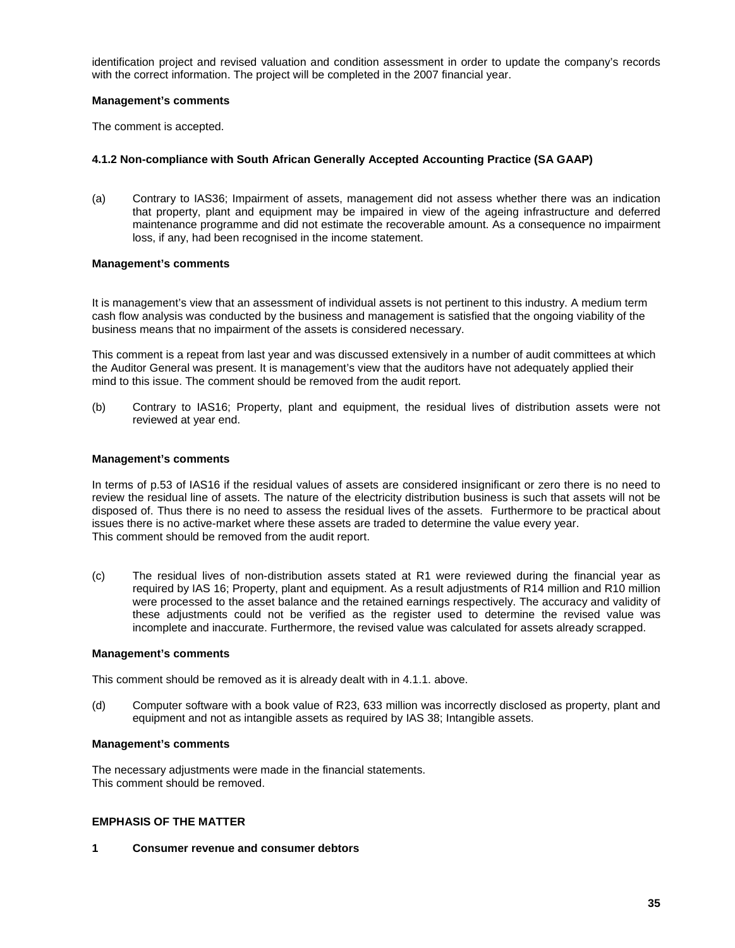identification project and revised valuation and condition assessment in order to update the company's records with the correct information. The project will be completed in the 2007 financial year.

#### **Management's comments**

The comment is accepted.

#### **4.1.2 Non-compliance with South African Generally Accepted Accounting Practice (SA GAAP)**

(a) Contrary to IAS36; Impairment of assets, management did not assess whether there was an indication that property, plant and equipment may be impaired in view of the ageing infrastructure and deferred maintenance programme and did not estimate the recoverable amount. As a consequence no impairment loss, if any, had been recognised in the income statement.

#### **Management's comments**

It is management's view that an assessment of individual assets is not pertinent to this industry. A medium term cash flow analysis was conducted by the business and management is satisfied that the ongoing viability of the business means that no impairment of the assets is considered necessary.

This comment is a repeat from last year and was discussed extensively in a number of audit committees at which the Auditor General was present. It is management's view that the auditors have not adequately applied their mind to this issue. The comment should be removed from the audit report.

(b) Contrary to IAS16; Property, plant and equipment, the residual lives of distribution assets were not reviewed at year end.

#### **Management's comments**

In terms of p.53 of IAS16 if the residual values of assets are considered insignificant or zero there is no need to review the residual line of assets. The nature of the electricity distribution business is such that assets will not be disposed of. Thus there is no need to assess the residual lives of the assets. Furthermore to be practical about issues there is no active-market where these assets are traded to determine the value every year. This comment should be removed from the audit report.

(c) The residual lives of non-distribution assets stated at R1 were reviewed during the financial year as required by IAS 16; Property, plant and equipment. As a result adjustments of R14 million and R10 million were processed to the asset balance and the retained earnings respectively. The accuracy and validity of these adjustments could not be verified as the register used to determine the revised value was incomplete and inaccurate. Furthermore, the revised value was calculated for assets already scrapped.

#### **Management's comments**

This comment should be removed as it is already dealt with in 4.1.1. above.

(d) Computer software with a book value of R23, 633 million was incorrectly disclosed as property, plant and equipment and not as intangible assets as required by IAS 38; Intangible assets.

#### **Management's comments**

The necessary adjustments were made in the financial statements. This comment should be removed.

#### **EMPHASIS OF THE MATTER**

**1 Consumer revenue and consumer debtors**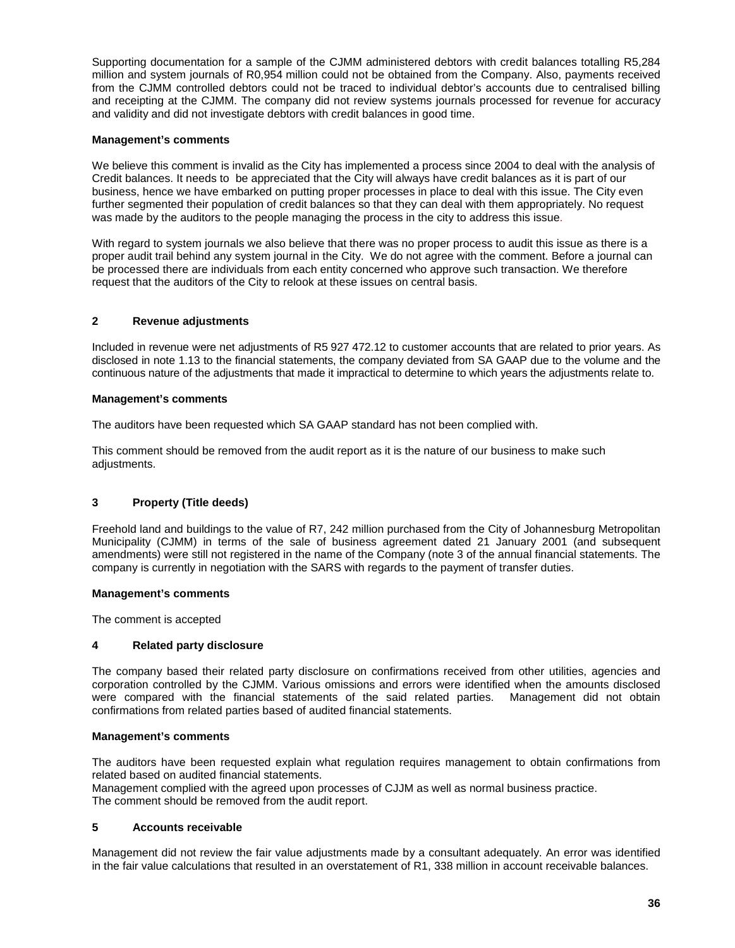Supporting documentation for a sample of the CJMM administered debtors with credit balances totalling R5,284 million and system journals of R0,954 million could not be obtained from the Company. Also, payments received from the CJMM controlled debtors could not be traced to individual debtor's accounts due to centralised billing and receipting at the CJMM. The company did not review systems journals processed for revenue for accuracy and validity and did not investigate debtors with credit balances in good time.

# **Management's comments**

We believe this comment is invalid as the City has implemented a process since 2004 to deal with the analysis of Credit balances. It needs to be appreciated that the City will always have credit balances as it is part of our business, hence we have embarked on putting proper processes in place to deal with this issue. The City even further segmented their population of credit balances so that they can deal with them appropriately. No request was made by the auditors to the people managing the process in the city to address this issue.

With regard to system journals we also believe that there was no proper process to audit this issue as there is a proper audit trail behind any system journal in the City. We do not agree with the comment. Before a journal can be processed there are individuals from each entity concerned who approve such transaction. We therefore request that the auditors of the City to relook at these issues on central basis.

# **2 Revenue adjustments**

Included in revenue were net adjustments of R5 927 472.12 to customer accounts that are related to prior years. As disclosed in note 1.13 to the financial statements, the company deviated from SA GAAP due to the volume and the continuous nature of the adjustments that made it impractical to determine to which years the adjustments relate to.

#### **Management's comments**

The auditors have been requested which SA GAAP standard has not been complied with.

This comment should be removed from the audit report as it is the nature of our business to make such adjustments.

# **3 Property (Title deeds)**

Freehold land and buildings to the value of R7, 242 million purchased from the City of Johannesburg Metropolitan Municipality (CJMM) in terms of the sale of business agreement dated 21 January 2001 (and subsequent amendments) were still not registered in the name of the Company (note 3 of the annual financial statements. The company is currently in negotiation with the SARS with regards to the payment of transfer duties.

#### **Management's comments**

The comment is accepted

# **4 Related party disclosure**

The company based their related party disclosure on confirmations received from other utilities, agencies and corporation controlled by the CJMM. Various omissions and errors were identified when the amounts disclosed were compared with the financial statements of the said related parties. Management did not obtain confirmations from related parties based of audited financial statements.

#### **Management's comments**

The auditors have been requested explain what regulation requires management to obtain confirmations from related based on audited financial statements.

Management complied with the agreed upon processes of CJJM as well as normal business practice. The comment should be removed from the audit report.

#### **5 Accounts receivable**

Management did not review the fair value adjustments made by a consultant adequately. An error was identified in the fair value calculations that resulted in an overstatement of R1, 338 million in account receivable balances.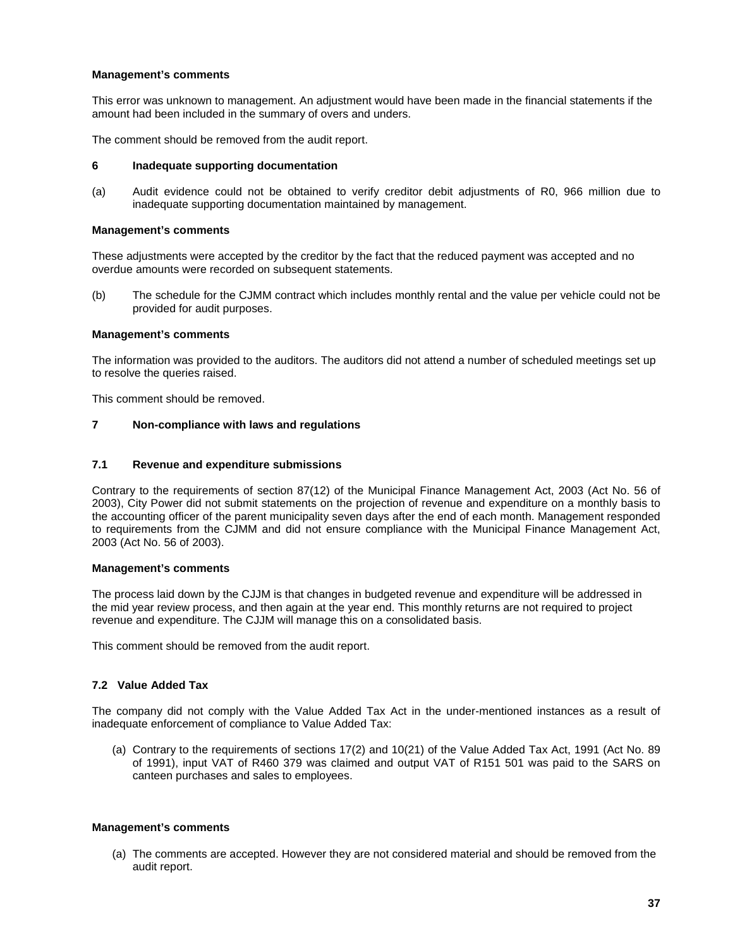#### **Management's comments**

This error was unknown to management. An adjustment would have been made in the financial statements if the amount had been included in the summary of overs and unders.

The comment should be removed from the audit report.

#### **6 Inadequate supporting documentation**

(a) Audit evidence could not be obtained to verify creditor debit adjustments of R0, 966 million due to inadequate supporting documentation maintained by management.

#### **Management's comments**

These adjustments were accepted by the creditor by the fact that the reduced payment was accepted and no overdue amounts were recorded on subsequent statements.

(b) The schedule for the CJMM contract which includes monthly rental and the value per vehicle could not be provided for audit purposes.

#### **Management's comments**

The information was provided to the auditors. The auditors did not attend a number of scheduled meetings set up to resolve the queries raised.

This comment should be removed.

#### **7 Non-compliance with laws and regulations**

#### **7.1 Revenue and expenditure submissions**

Contrary to the requirements of section 87(12) of the Municipal Finance Management Act, 2003 (Act No. 56 of 2003), City Power did not submit statements on the projection of revenue and expenditure on a monthly basis to the accounting officer of the parent municipality seven days after the end of each month. Management responded to requirements from the CJMM and did not ensure compliance with the Municipal Finance Management Act, 2003 (Act No. 56 of 2003).

#### **Management's comments**

The process laid down by the CJJM is that changes in budgeted revenue and expenditure will be addressed in the mid year review process, and then again at the year end. This monthly returns are not required to project revenue and expenditure. The CJJM will manage this on a consolidated basis.

This comment should be removed from the audit report.

# **7.2 Value Added Tax**

The company did not comply with the Value Added Tax Act in the under-mentioned instances as a result of inadequate enforcement of compliance to Value Added Tax:

(a) Contrary to the requirements of sections 17(2) and 10(21) of the Value Added Tax Act, 1991 (Act No. 89 of 1991), input VAT of R460 379 was claimed and output VAT of R151 501 was paid to the SARS on canteen purchases and sales to employees.

#### **Management's comments**

(a) The comments are accepted. However they are not considered material and should be removed from the audit report.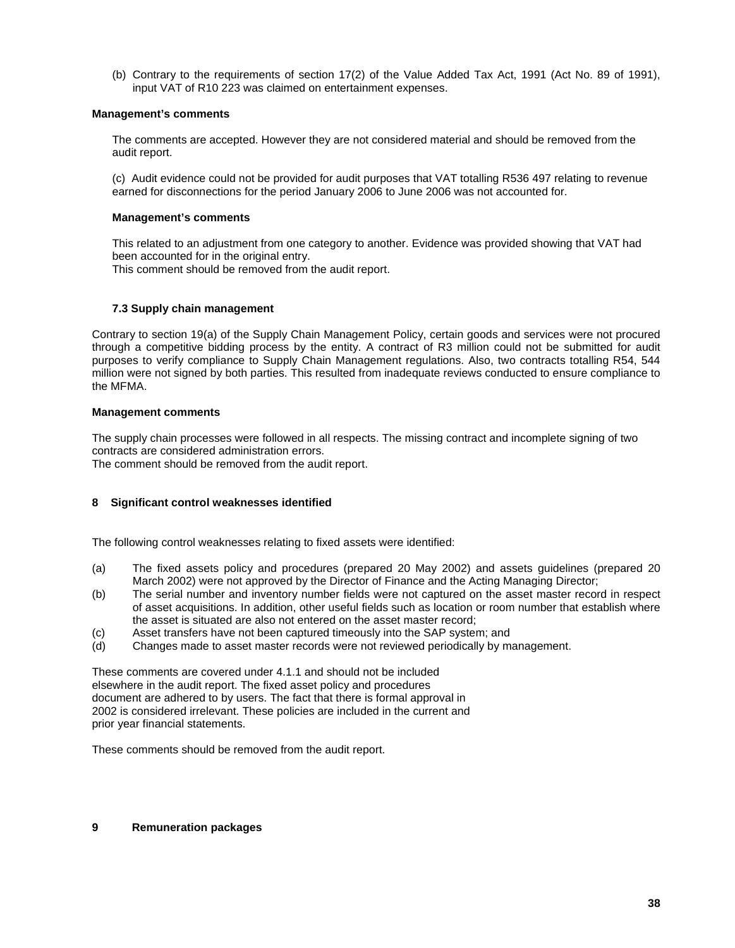(b) Contrary to the requirements of section 17(2) of the Value Added Tax Act, 1991 (Act No. 89 of 1991), input VAT of R10 223 was claimed on entertainment expenses.

#### **Management's comments**

The comments are accepted. However they are not considered material and should be removed from the audit report.

(c) Audit evidence could not be provided for audit purposes that VAT totalling R536 497 relating to revenue earned for disconnections for the period January 2006 to June 2006 was not accounted for.

#### **Management's comments**

This related to an adjustment from one category to another. Evidence was provided showing that VAT had been accounted for in the original entry.

This comment should be removed from the audit report.

# **7.3 Supply chain management**

Contrary to section 19(a) of the Supply Chain Management Policy, certain goods and services were not procured through a competitive bidding process by the entity. A contract of R3 million could not be submitted for audit purposes to verify compliance to Supply Chain Management regulations. Also, two contracts totalling R54, 544 million were not signed by both parties. This resulted from inadequate reviews conducted to ensure compliance to the MFMA.

#### **Management comments**

The supply chain processes were followed in all respects. The missing contract and incomplete signing of two contracts are considered administration errors.

The comment should be removed from the audit report.

# **8 Significant control weaknesses identified**

The following control weaknesses relating to fixed assets were identified:

- (a) The fixed assets policy and procedures (prepared 20 May 2002) and assets guidelines (prepared 20 March 2002) were not approved by the Director of Finance and the Acting Managing Director;
- (b) The serial number and inventory number fields were not captured on the asset master record in respect of asset acquisitions. In addition, other useful fields such as location or room number that establish where the asset is situated are also not entered on the asset master record;
- (c) Asset transfers have not been captured timeously into the SAP system; and
- (d) Changes made to asset master records were not reviewed periodically by management.

These comments are covered under 4.1.1 and should not be included elsewhere in the audit report. The fixed asset policy and procedures document are adhered to by users. The fact that there is formal approval in 2002 is considered irrelevant. These policies are included in the current and prior year financial statements.

These comments should be removed from the audit report.

#### **9 Remuneration packages**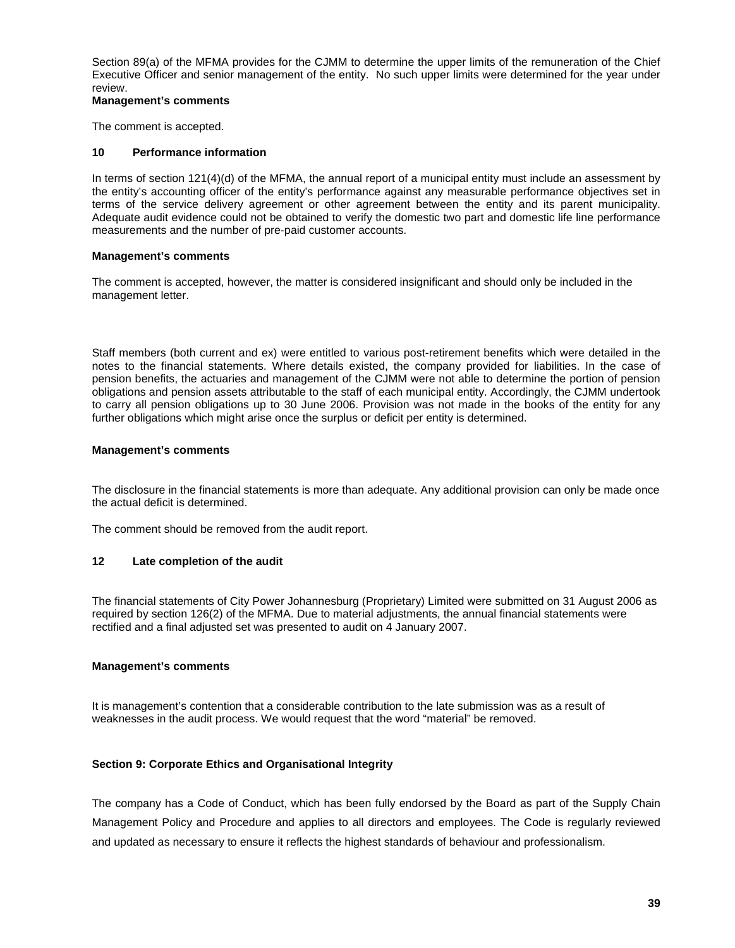Section 89(a) of the MFMA provides for the CJMM to determine the upper limits of the remuneration of the Chief Executive Officer and senior management of the entity. No such upper limits were determined for the year under review.

#### **Management's comments**

The comment is accepted.

#### **10 Performance information**

In terms of section 121(4)(d) of the MFMA, the annual report of a municipal entity must include an assessment by the entity's accounting officer of the entity's performance against any measurable performance objectives set in terms of the service delivery agreement or other agreement between the entity and its parent municipality. Adequate audit evidence could not be obtained to verify the domestic two part and domestic life line performance measurements and the number of pre-paid customer accounts.

#### **Management's comments**

The comment is accepted, however, the matter is considered insignificant and should only be included in the management letter.

Staff members (both current and ex) were entitled to various post-retirement benefits which were detailed in the notes to the financial statements. Where details existed, the company provided for liabilities. In the case of pension benefits, the actuaries and management of the CJMM were not able to determine the portion of pension obligations and pension assets attributable to the staff of each municipal entity. Accordingly, the CJMM undertook to carry all pension obligations up to 30 June 2006. Provision was not made in the books of the entity for any further obligations which might arise once the surplus or deficit per entity is determined.

#### **Management's comments**

The disclosure in the financial statements is more than adequate. Any additional provision can only be made once the actual deficit is determined.

The comment should be removed from the audit report.

# **12 Late completion of the audit**

The financial statements of City Power Johannesburg (Proprietary) Limited were submitted on 31 August 2006 as required by section 126(2) of the MFMA. Due to material adjustments, the annual financial statements were rectified and a final adjusted set was presented to audit on 4 January 2007.

# **Management's comments**

It is management's contention that a considerable contribution to the late submission was as a result of weaknesses in the audit process. We would request that the word "material" be removed.

# **Section 9: Corporate Ethics and Organisational Integrity**

The company has a Code of Conduct, which has been fully endorsed by the Board as part of the Supply Chain Management Policy and Procedure and applies to all directors and employees. The Code is regularly reviewed and updated as necessary to ensure it reflects the highest standards of behaviour and professionalism.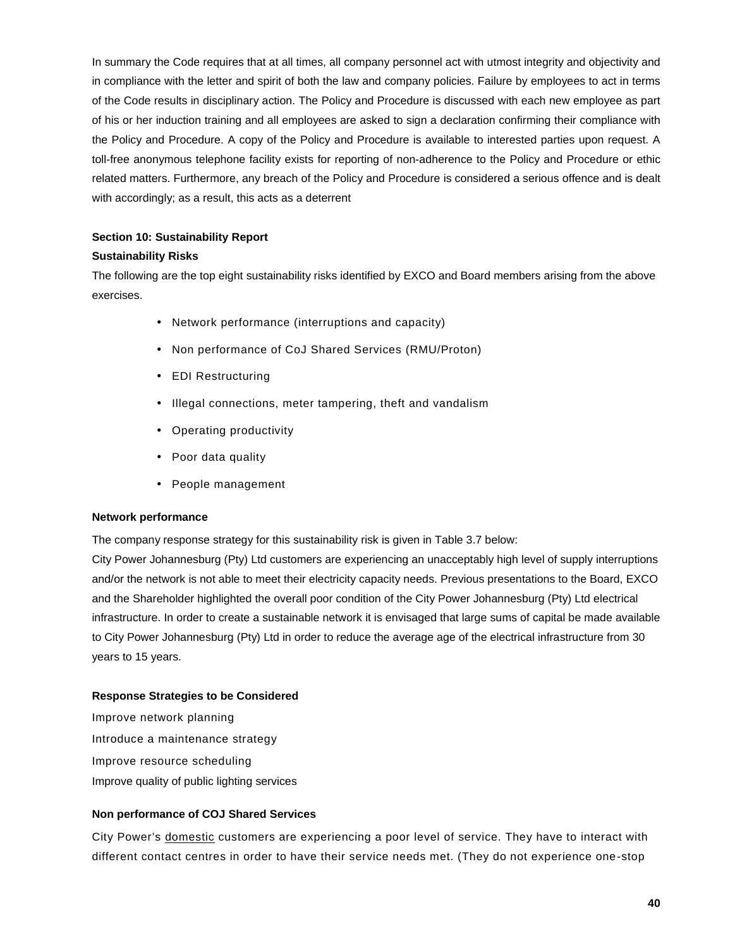In summary the Code requires that at all times, all company personnel act with utmost integrity and objectivity and in compliance with the letter and spirit of both the law and company policies. Failure by employees to act in terms of the Code results in disciplinary action. The Policy and Procedure is discussed with each new employee as part of his or her induction training and all employees are asked to sign a declaration confirming their compliance with the Policy and Procedure. A copy of the Policy and Procedure is available to interested parties upon request. A toll-free anonymous telephone facility exists for reporting of non-adherence to the Policy and Procedure or ethic related matters. Furthermore, any breach of the Policy and Procedure is considered a serious offence and is dealt with accordingly; as a result, this acts as a deterrent

# **Section 10: Sustainability Report**

# **Sustainability Risks**

The following are the top eight sustainability risks identified by EXCO and Board members arising from the above exercises.

- Network performance (interruptions and capacity)
- Non performance of CoJ Shared Services (RMU/Proton)
- EDI Restructuring
- Illegal connections, meter tampering, theft and vandalism
- Operating productivity
- Poor data quality
- People management

# **Network performance**

The company response strategy for this sustainability risk is given in Table 3.7 below:

City Power Johannesburg (Pty) Ltd customers are experiencing an unacceptably high level of supply interruptions and/or the network is not able to meet their electricity capacity needs. Previous presentations to the Board, EXCO and the Shareholder highlighted the overall poor condition of the City Power Johannesburg (Pty) Ltd electrical infrastructure. In order to create a sustainable network it is envisaged that large sums of capital be made available to City Power Johannesburg (Pty) Ltd in order to reduce the average age of the electrical infrastructure from 30 years to 15 years.

# **Response Strategies to be Considered**

Improve network planning Introduce a maintenance strategy Improve resource scheduling Improve quality of public lighting services

# **Non performance of COJ Shared Services**

City Power's domestic customers are experiencing a poor level of service. They have to interact with different contact centres in order to have their service needs met. (They do not experience one-stop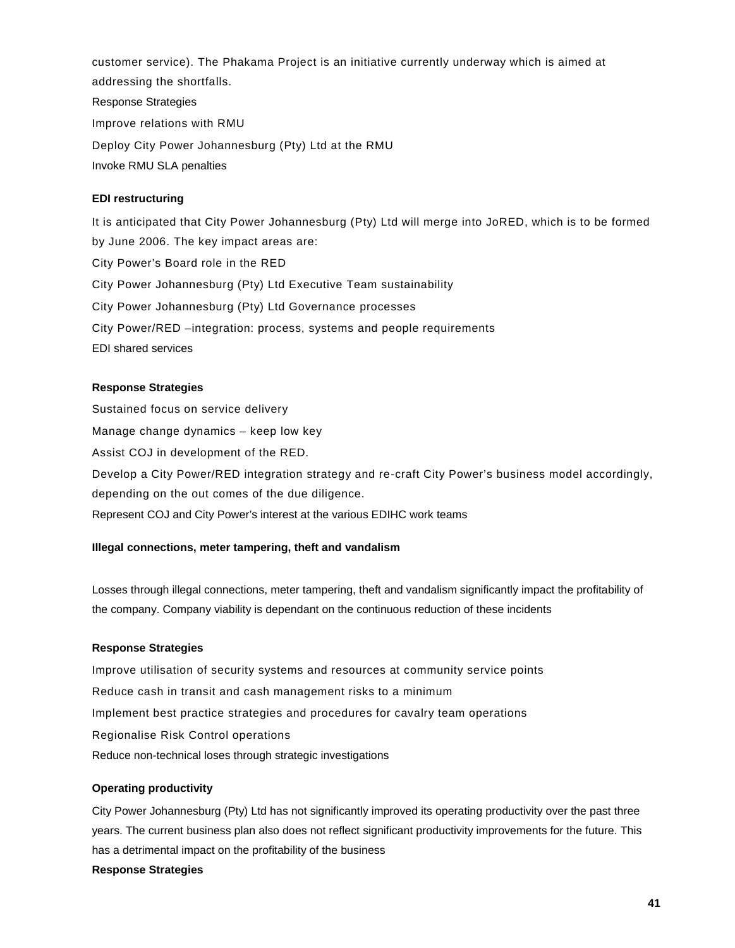customer service). The Phakama Project is an initiative currently underway which is aimed at addressing the shortfalls. Response Strategies Improve relations with RMU Deploy City Power Johannesburg (Pty) Ltd at the RMU Invoke RMU SLA penalties

# **EDI restructuring**

It is anticipated that City Power Johannesburg (Pty) Ltd will merge into JoRED, which is to be formed by June 2006. The key impact areas are: City Power's Board role in the RED City Power Johannesburg (Pty) Ltd Executive Team sustainability City Power Johannesburg (Pty) Ltd Governance processes City Power/RED –integration: process, systems and people requirements EDI shared services

#### **Response Strategies**

Sustained focus on service delivery Manage change dynamics – keep low key Assist COJ in development of the RED. Develop a City Power/RED integration strategy and re-craft City Power's business model accordingly, depending on the out comes of the due diligence. Represent COJ and City Power's interest at the various EDIHC work teams

#### **Illegal connections, meter tampering, theft and vandalism**

Losses through illegal connections, meter tampering, theft and vandalism significantly impact the profitability of the company. Company viability is dependant on the continuous reduction of these incidents

#### **Response Strategies**

Improve utilisation of security systems and resources at community service points Reduce cash in transit and cash management risks to a minimum Implement best practice strategies and procedures for cavalry team operations Regionalise Risk Control operations Reduce non-technical loses through strategic investigations

#### **Operating productivity**

City Power Johannesburg (Pty) Ltd has not significantly improved its operating productivity over the past three years. The current business plan also does not reflect significant productivity improvements for the future. This has a detrimental impact on the profitability of the business **Response Strategies**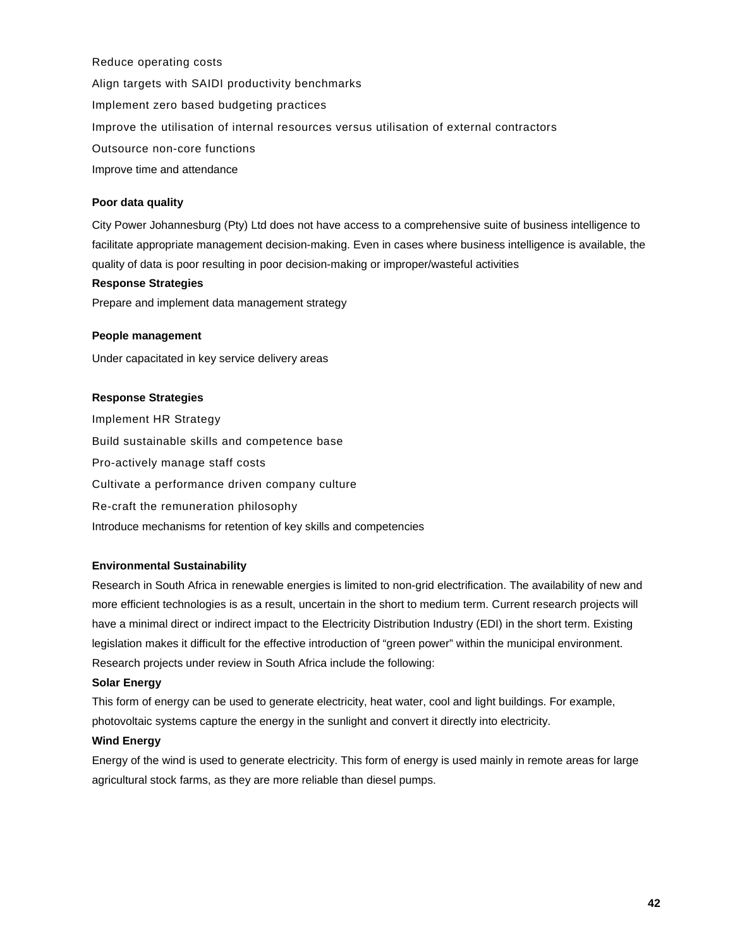Reduce operating costs Align targets with SAIDI productivity benchmarks Implement zero based budgeting practices Improve the utilisation of internal resources versus utilisation of external contractors Outsource non-core functions Improve time and attendance

# **Poor data quality**

City Power Johannesburg (Pty) Ltd does not have access to a comprehensive suite of business intelligence to facilitate appropriate management decision-making. Even in cases where business intelligence is available, the quality of data is poor resulting in poor decision-making or improper/wasteful activities

#### **Response Strategies**

Prepare and implement data management strategy

#### **People management**

Under capacitated in key service delivery areas

#### **Response Strategies**

Implement HR Strategy Build sustainable skills and competence base Pro-actively manage staff costs Cultivate a performance driven company culture Re-craft the remuneration philosophy Introduce mechanisms for retention of key skills and competencies

#### **Environmental Sustainability**

Research in South Africa in renewable energies is limited to non-grid electrification. The availability of new and more efficient technologies is as a result, uncertain in the short to medium term. Current research projects will have a minimal direct or indirect impact to the Electricity Distribution Industry (EDI) in the short term. Existing legislation makes it difficult for the effective introduction of "green power" within the municipal environment. Research projects under review in South Africa include the following:

#### **Solar Energy**

This form of energy can be used to generate electricity, heat water, cool and light buildings. For example, photovoltaic systems capture the energy in the sunlight and convert it directly into electricity.

# **Wind Energy**

Energy of the wind is used to generate electricity. This form of energy is used mainly in remote areas for large agricultural stock farms, as they are more reliable than diesel pumps.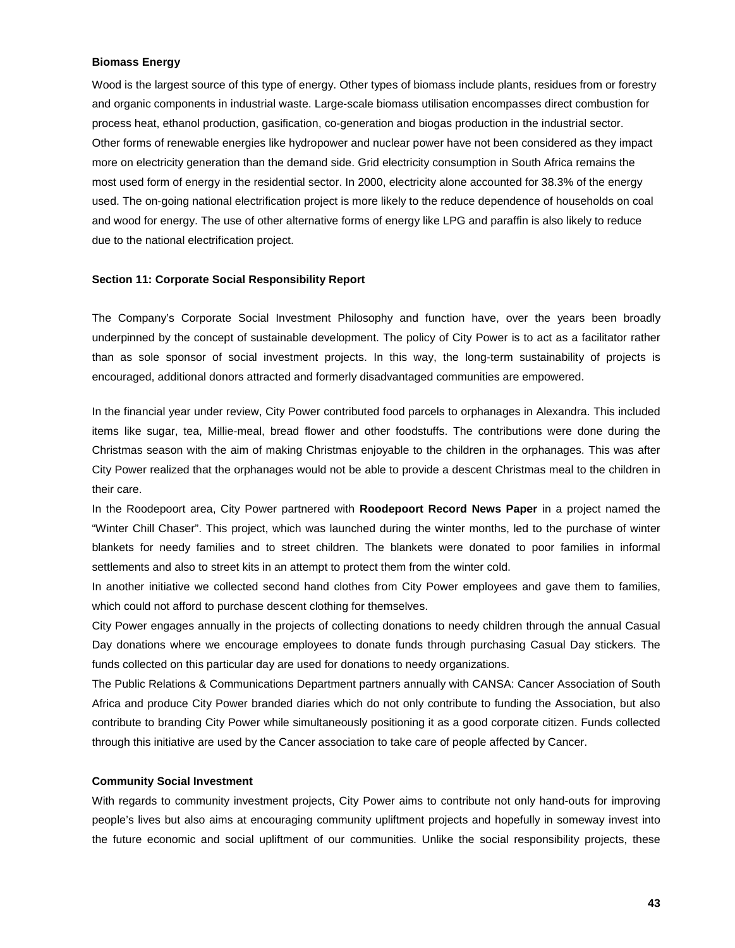#### **Biomass Energy**

Wood is the largest source of this type of energy. Other types of biomass include plants, residues from or forestry and organic components in industrial waste. Large-scale biomass utilisation encompasses direct combustion for process heat, ethanol production, gasification, co-generation and biogas production in the industrial sector. Other forms of renewable energies like hydropower and nuclear power have not been considered as they impact more on electricity generation than the demand side. Grid electricity consumption in South Africa remains the most used form of energy in the residential sector. In 2000, electricity alone accounted for 38.3% of the energy used. The on-going national electrification project is more likely to the reduce dependence of households on coal and wood for energy. The use of other alternative forms of energy like LPG and paraffin is also likely to reduce due to the national electrification project.

#### **Section 11: Corporate Social Responsibility Report**

The Company's Corporate Social Investment Philosophy and function have, over the years been broadly underpinned by the concept of sustainable development. The policy of City Power is to act as a facilitator rather than as sole sponsor of social investment projects. In this way, the long-term sustainability of projects is encouraged, additional donors attracted and formerly disadvantaged communities are empowered.

In the financial year under review, City Power contributed food parcels to orphanages in Alexandra. This included items like sugar, tea, Millie-meal, bread flower and other foodstuffs. The contributions were done during the Christmas season with the aim of making Christmas enjoyable to the children in the orphanages. This was after City Power realized that the orphanages would not be able to provide a descent Christmas meal to the children in their care.

In the Roodepoort area, City Power partnered with **Roodepoort Record News Paper** in a project named the "Winter Chill Chaser". This project, which was launched during the winter months, led to the purchase of winter blankets for needy families and to street children. The blankets were donated to poor families in informal settlements and also to street kits in an attempt to protect them from the winter cold.

In another initiative we collected second hand clothes from City Power employees and gave them to families, which could not afford to purchase descent clothing for themselves.

City Power engages annually in the projects of collecting donations to needy children through the annual Casual Day donations where we encourage employees to donate funds through purchasing Casual Day stickers. The funds collected on this particular day are used for donations to needy organizations.

The Public Relations & Communications Department partners annually with CANSA: Cancer Association of South Africa and produce City Power branded diaries which do not only contribute to funding the Association, but also contribute to branding City Power while simultaneously positioning it as a good corporate citizen. Funds collected through this initiative are used by the Cancer association to take care of people affected by Cancer.

#### **Community Social Investment**

With regards to community investment projects, City Power aims to contribute not only hand-outs for improving people's lives but also aims at encouraging community upliftment projects and hopefully in someway invest into the future economic and social upliftment of our communities. Unlike the social responsibility projects, these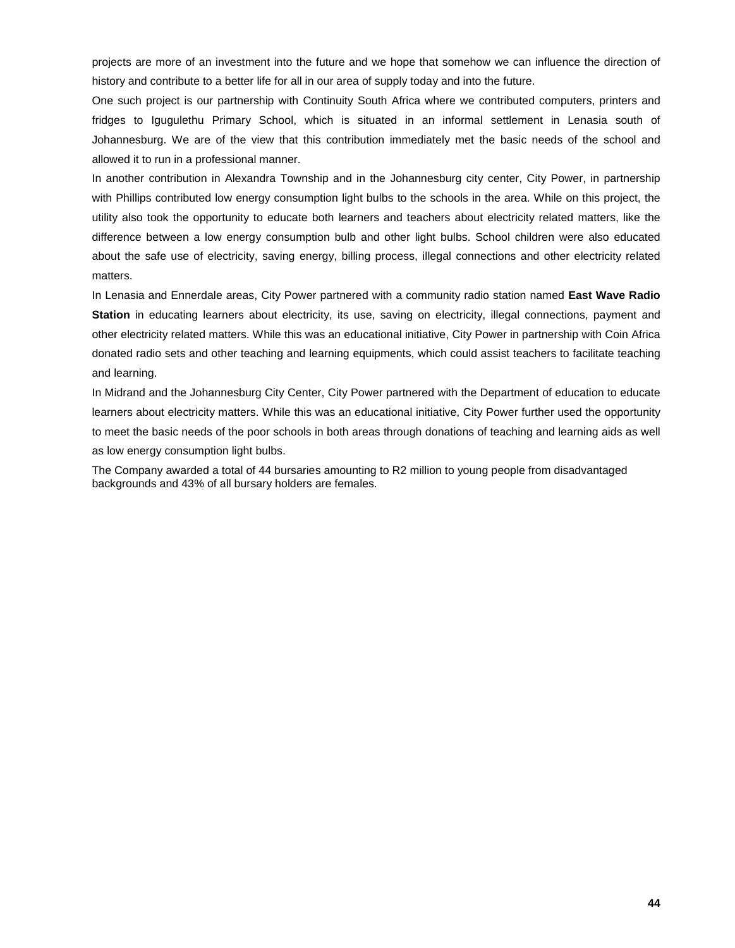projects are more of an investment into the future and we hope that somehow we can influence the direction of history and contribute to a better life for all in our area of supply today and into the future.

One such project is our partnership with Continuity South Africa where we contributed computers, printers and fridges to Igugulethu Primary School, which is situated in an informal settlement in Lenasia south of Johannesburg. We are of the view that this contribution immediately met the basic needs of the school and allowed it to run in a professional manner.

In another contribution in Alexandra Township and in the Johannesburg city center, City Power, in partnership with Phillips contributed low energy consumption light bulbs to the schools in the area. While on this project, the utility also took the opportunity to educate both learners and teachers about electricity related matters, like the difference between a low energy consumption bulb and other light bulbs. School children were also educated about the safe use of electricity, saving energy, billing process, illegal connections and other electricity related matters.

In Lenasia and Ennerdale areas, City Power partnered with a community radio station named **East Wave Radio Station** in educating learners about electricity, its use, saving on electricity, illegal connections, payment and other electricity related matters. While this was an educational initiative, City Power in partnership with Coin Africa donated radio sets and other teaching and learning equipments, which could assist teachers to facilitate teaching and learning.

In Midrand and the Johannesburg City Center, City Power partnered with the Department of education to educate learners about electricity matters. While this was an educational initiative, City Power further used the opportunity to meet the basic needs of the poor schools in both areas through donations of teaching and learning aids as well as low energy consumption light bulbs.

The Company awarded a total of 44 bursaries amounting to R2 million to young people from disadvantaged backgrounds and 43% of all bursary holders are females.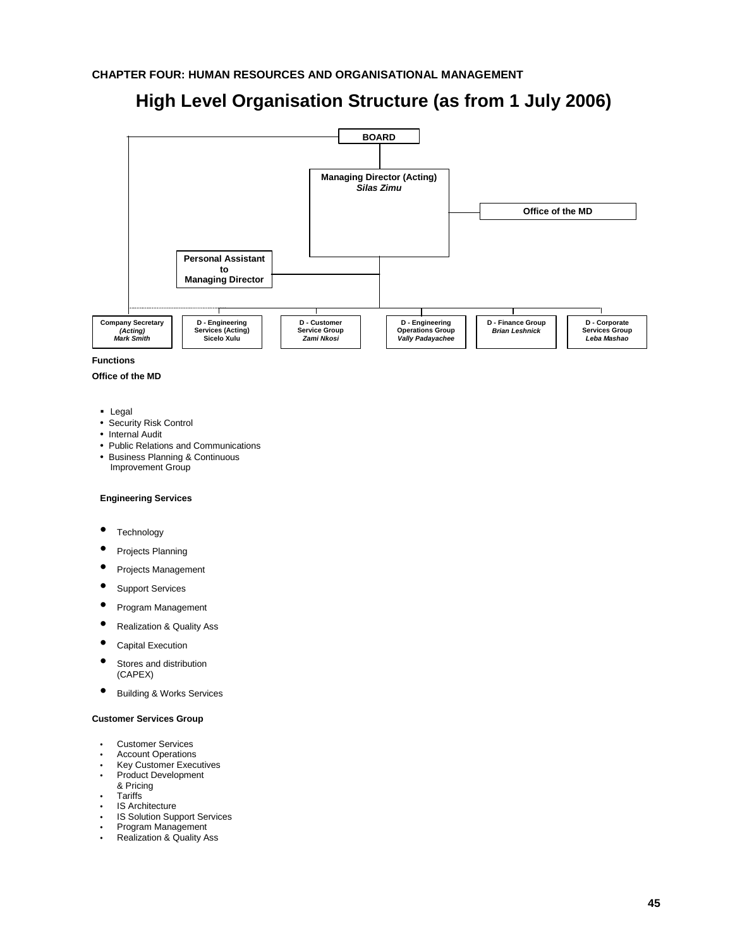# **High Level Organisation Structure (as from 1 July 2006)**



**Functions**

#### **Office of the MD**

- **Legal**
- Security Risk Control
- Internal Audit
- Public Relations and Communications
- Business Planning & Continuous Improvement Group

# **Engineering Services**

- **Technology**
- Projects Planning
- Projects Management
- Support Services
- Program Management
- Realization & Quality Ass
- Capital Execution
- Stores and distribution (CAPEX)
- Building & Works Services

# **Customer Services Group**

- Customer Services
- **Account Operations**
- Key Customer Executives • Product Development
- & Pricing
- **Tariffs**
- **IS Architecture**
- 
- IS Solution Support Services<br>• Program Management
- Program Management<br>• Realization & Quality A • Realization & Quality Ass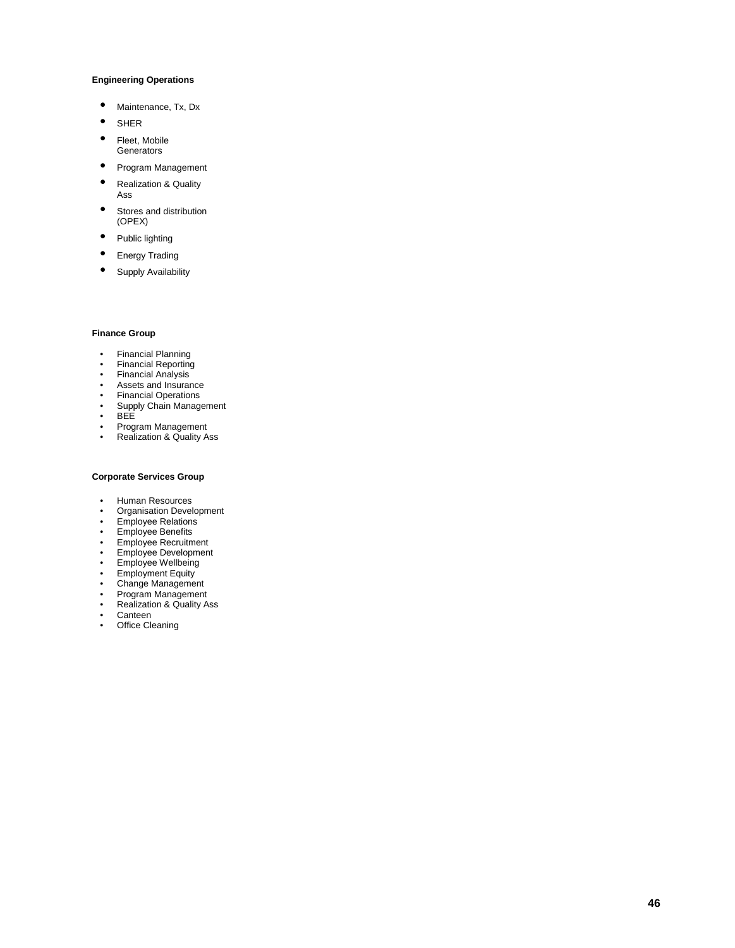#### **Engineering Operations**

- 
- 
- **Generators**
- Program Management
- Maintenance, Tx, Dx<br>
SHER<br>
 Fleet, Mobile<br>
Generators<br>
 Program Managemen<br>
 Realization & Quality<br>
Ass<br>
 Stores and distributior<br>
(OPEX)<br>
 Wublic lighting<br>
 Energy Trading<br>
 Supply Availability<br>
 Supply Availabi • Realization & Quality Ass
- Stores and distribution (OPEX)
- Public lighting
- Energy Trading
- Supply Availability

#### **Finance Group**

- Financial Planning
- Financial Reporting
- Financial Analysis
- Assets and Insurance<br>• Financial Operations
- 
- Financial Operations<br>• Supply Chain Manage<br>• RFF • Supply Chain Management
- BEE<br>• Progr
- Program Management<br>• Realization & Quality A
- Realization & Quality Ass

- Human Resources<br>• Organisation Devel
- Organisation Development
- Employee Relations
- Employee Benefits
- Employee Recruitment
- Employee Development<br>• Employee Wellheing
- Employee Wellbeing
- Employment Equity
- Change Management
- Program Management
- Realization & Quality Ass
- Canteen
- Office Cleaning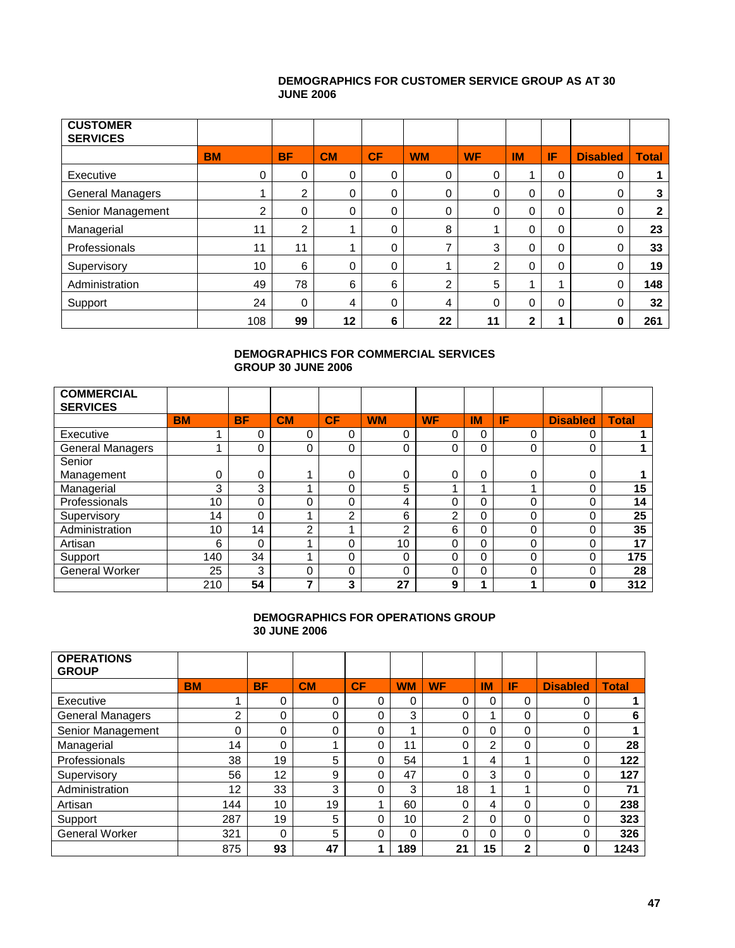# **DEMOGRAPHICS FOR CUSTOMER SERVICE GROUP AS AT 30 JUNE 2006**

| <b>CUSTOMER</b><br><b>SERVICES</b> |           |           |           |             |           |                |              |          |                 |              |
|------------------------------------|-----------|-----------|-----------|-------------|-----------|----------------|--------------|----------|-----------------|--------------|
|                                    | <b>BM</b> | <b>BF</b> | <b>CM</b> | CF          | <b>WM</b> | <b>WF</b>      | <b>IM</b>    | IF       | <b>Disabled</b> | <b>Total</b> |
| Executive                          | 0         | 0         | 0         | 0           | 0         | 0              |              | 0        | 0               |              |
| <b>General Managers</b>            |           | 2         | 0         | $\mathbf 0$ | 0         | 0              | $\mathbf{0}$ | 0        | 0               | 3            |
| Senior Management                  | 2         | 0         | 0         | 0           | $\Omega$  | 0              | 0            | 0        | 0               | $\mathbf{2}$ |
| Managerial                         | 11        | 2         |           | $\Omega$    | 8         |                | $\Omega$     | $\Omega$ | 0               | 23           |
| Professionals                      | 11        | 11        |           | $\mathbf 0$ |           | 3              | $\Omega$     | 0        | 0               | 33           |
| Supervisory                        | 10        | 6         | 0         | $\mathbf 0$ |           | $\mathfrak{p}$ | $\mathbf 0$  | $\Omega$ | 0               | 19           |
| Administration                     | 49        | 78        | 6         | 6           | 2         | 5              |              |          | 0               | 148          |
| Support                            | 24        | $\Omega$  | 4         | $\mathbf 0$ | 4         | $\Omega$       | $\Omega$     | $\Omega$ | 0               | 32           |
|                                    | 108       | 99        | 12        | 6           | 22        | 11             | 2            |          | 0               | 261          |

# **DEMOGRAPHICS FOR COMMERCIAL SERVICES GROUP 30 JUNE 2006**

| <b>COMMERCIAL</b><br><b>SERVICES</b> |                 |           |           |    |                 |                |           |          |                 |              |
|--------------------------------------|-----------------|-----------|-----------|----|-----------------|----------------|-----------|----------|-----------------|--------------|
|                                      | <b>BM</b>       | <b>BF</b> | <b>CM</b> | CF | <b>WM</b>       | <b>WF</b>      | <b>IM</b> | IF       | <b>Disabled</b> | <b>Total</b> |
|                                      |                 |           |           |    |                 |                |           |          |                 |              |
| Executive                            |                 | 0         |           |    | 0               | 0              | 0         | 0        | 0               |              |
| <b>General Managers</b>              |                 | 0         | $\Omega$  | 0  | 0               | 0              | 0         | 0        | 0               |              |
| Senior                               |                 |           |           |    |                 |                |           |          |                 |              |
| Management                           | 0               | 0         |           | 0  | 0               | 0              | 0         | 0        | 0               |              |
| Managerial                           | 3               | 3         |           |    | 5               |                |           |          |                 | 15           |
| Professionals                        | 10 <sup>1</sup> | 0         |           |    | 4               | 0              | 0         | $\Omega$ | 0               | 14           |
| Supervisory                          | 14              | 0         |           | C  | 6               | $\overline{2}$ | 0         | 0        |                 | 25           |
| Administration                       | 10              | 14        | ⌒         |    | $\mathfrak{p}$  | 6              | 0         | 0        | 0               | 35           |
| Artisan                              | 6               | 0         |           |    | 10 <sup>1</sup> | 0              | 0         | 0        |                 | 17           |
| Support                              | 140             | 34        |           | 0  | $\Omega$        | 0              | 0         | 0        | 0               | 175          |
| <b>General Worker</b>                | 25              | 3         | 0         |    | 0               | 0              | 0         | 0        | 0               | 28           |
|                                      | 210             | 54        |           | 3  | 27              | 9              | л         |          | 0               | 312          |

# **DEMOGRAPHICS FOR OPERATIONS GROUP 30 JUNE 2006**

| <b>OPERATIONS</b><br><b>GROUP</b> |           |           |           |    |           |           |                |              |                 |              |
|-----------------------------------|-----------|-----------|-----------|----|-----------|-----------|----------------|--------------|-----------------|--------------|
|                                   | <b>BM</b> | <b>BF</b> | <b>CM</b> | CF | <b>WM</b> | <b>WF</b> | <b>IM</b>      | IF           | <b>Disabled</b> | <b>Total</b> |
| Executive                         |           | 0         | 0         | 0  | 0         | 0         | 0              | 0            | 0               |              |
| <b>General Managers</b>           | ⌒         | 0         | 0         | 0  | 3         | 0         |                | 0            | 0               | 6            |
| Senior Management                 |           | 0         | 0         | 0  |           | 0         | 0              | $\Omega$     | 0               |              |
| Managerial                        | 14        | 0         |           | 0  | 11        | 0         | $\overline{2}$ | $\Omega$     | 0               | 28           |
| Professionals                     | 38        | 19        | 5         | U  | 54        |           | 4              | л            | 0               | 122          |
| Supervisory                       | 56        | 12        | 9         | 0  | 47        | 0         | 3              | 0            | 0               | 127          |
| Administration                    | 12        | 33        | 3         | O  | 3         | 18        |                | ◢            | 0               | 71           |
| Artisan                           | 144       | 10        | 19        |    | 60        | 0         | 4              | $\Omega$     | 0               | 238          |
| Support                           | 287       | 19        | 5         | 0  | 10        | 2         | 0              | $\Omega$     | 0               | 323          |
| <b>General Worker</b>             | 321       | 0         | 5         | 0  | 0         | 0         | O              | $\Omega$     | 0               | 326          |
|                                   | 875       | 93        | 47        |    | 189       | 21        | 15             | $\mathbf{2}$ | 0               | 1243         |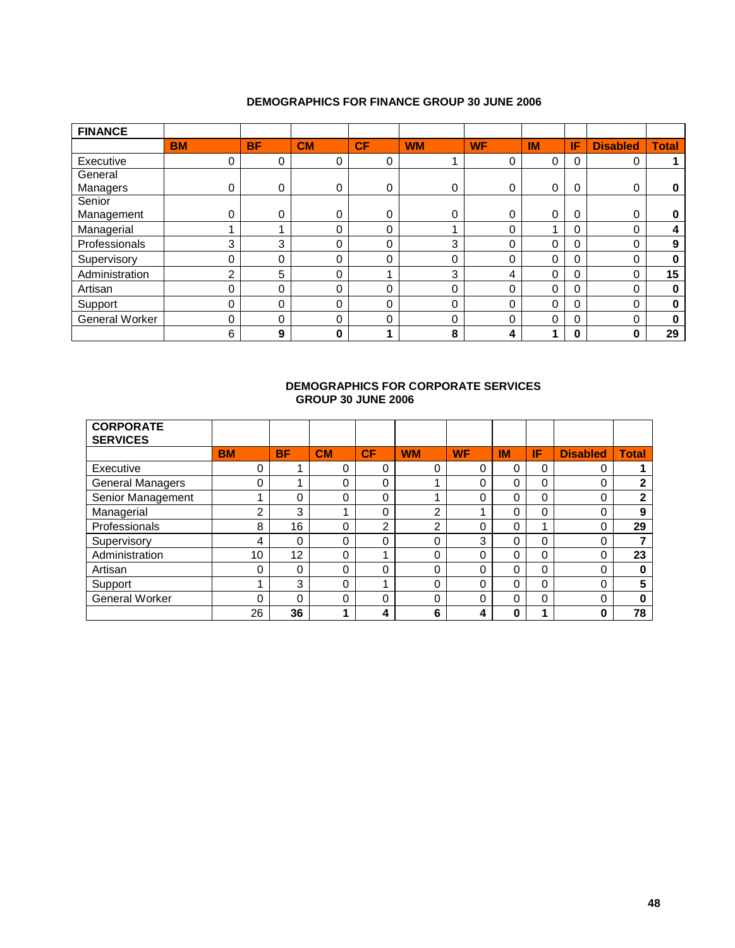# **DEMOGRAPHICS FOR FINANCE GROUP 30 JUNE 2006**

| <b>FINANCE</b>        |           |           |           |             |           |           |           |          |                 |              |
|-----------------------|-----------|-----------|-----------|-------------|-----------|-----------|-----------|----------|-----------------|--------------|
|                       | <b>BM</b> | <b>BF</b> | <b>CM</b> | CF          | <b>WM</b> | <b>WF</b> | <b>IM</b> | IF       | <b>Disabled</b> | <b>Total</b> |
| Executive             | 0         | 0         | 0         | 0           |           | 0         | 0         | 0        | 0               |              |
| General               |           |           |           |             |           |           |           |          |                 |              |
| Managers              | 0         | 0         | 0         | 0           | 0         | 0         | 0         | 0        | 0               | 0            |
| Senior                |           |           |           |             |           |           |           |          |                 |              |
| Management            | 0         | 0         | 0         | $\mathbf 0$ | 0         | 0         | 0         | 0        | $\Omega$        | 0            |
| Managerial            |           |           | 0         | 0           |           | 0         |           | 0        | 0               | 4            |
| Professionals         | 3         | 3         | 0         | $\Omega$    | 3         | 0         | 0         | $\Omega$ | $\Omega$        | 9            |
| Supervisory           | O         | 0         | 0         | 0           | 0         | 0         | 0         | $\Omega$ | $\Omega$        | $\bf{0}$     |
| Administration        | ⌒         | 5         | 0         |             | 3         | 4         | 0         | 0        | $\Omega$        | 15           |
| Artisan               | 0         | 0         | 0         | 0           | 0         | 0         | 0         | $\Omega$ | 0               | 0            |
| Support               | 0         | 0         | 0         | $\Omega$    | 0         | $\Omega$  | 0         | 0        | $\Omega$        | 0            |
| <b>General Worker</b> | 0         | 0         | 0         | 0           | 0         | 0         | 0         | $\Omega$ | 0               | 0            |
|                       | 6         | 9         | 0         |             | 8         | 4         |           | 0        | 0               | 29           |

# **DEMOGRAPHICS FOR CORPORATE SERVICES GROUP 30 JUNE 2006**

| <b>CORPORATE</b><br><b>SERVICES</b> |           |           |           |    |                |           |           |    |                 |              |
|-------------------------------------|-----------|-----------|-----------|----|----------------|-----------|-----------|----|-----------------|--------------|
|                                     | <b>BM</b> | <b>BF</b> | <b>CM</b> | CF | <b>WM</b>      | <b>WF</b> | <b>IM</b> | IF | <b>Disabled</b> | <b>Total</b> |
| Executive                           | 0         |           | 0         | 0  | 0              | 0         | 0         | 0  | 0               |              |
| <b>General Managers</b>             | 0         |           | 0         | 0  |                | 0         | 0         | 0  | 0               | $\mathbf{2}$ |
| Senior Management                   |           | 0         | 0         | 0  |                | 0         | 0         | 0  | 0               | 2            |
| Managerial                          | っ         | 3         |           | 0  | າ              |           | 0         | 0  | 0               | 9            |
| Professionals                       | 8         | 16        | 0         | 2  | $\overline{2}$ | 0         | 0         |    | 0               | 29           |
| Supervisory                         | 4         | 0         | 0         | 0  | 0              | 3         | 0         | 0  | 0               |              |
| Administration                      | 10        | 12        | 0         |    | 0              | 0         | 0         | 0  | 0               | 23           |
| Artisan                             | 0         | 0         | 0         | 0  | 0              | 0         | 0         | 0  | 0               | $\bf{0}$     |
| Support                             |           | 3         | 0         |    | 0              | 0         | 0         | 0  | 0               | 5            |
| <b>General Worker</b>               | 0         | 0         | 0         | 0  | 0              | 0         | 0         | 0  | 0               | $\bf{0}$     |
|                                     | 26        | 36        |           | 4  | 6              | 4         | 0         |    | 0               | 78           |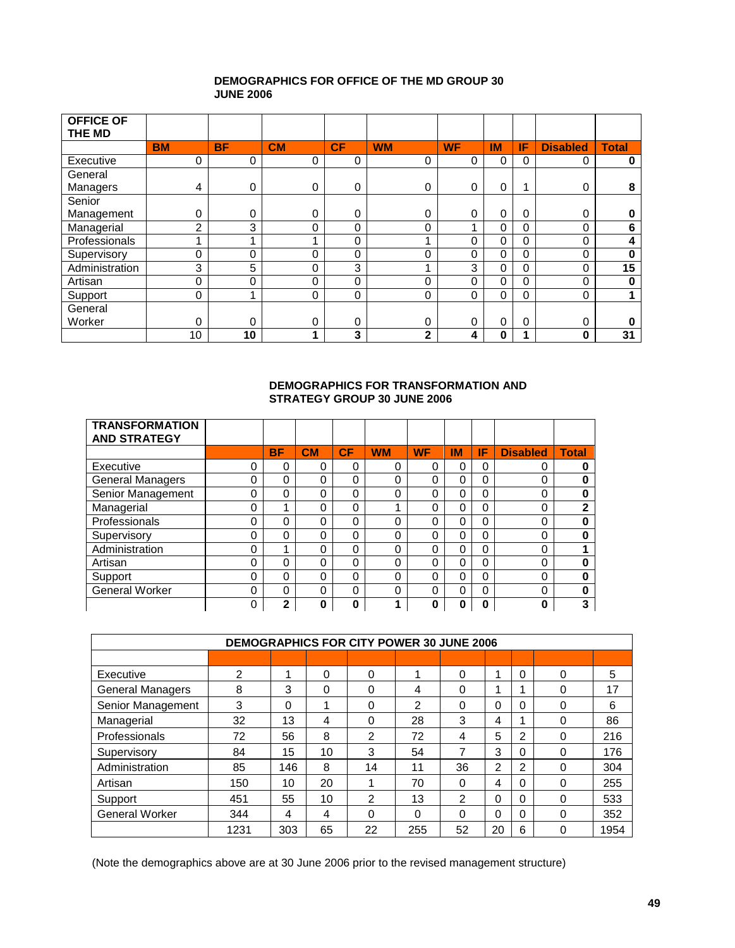# **DEMOGRAPHICS FOR OFFICE OF THE MD GROUP 30 JUNE 2006**

| <b>OFFICE OF</b><br>THE MD |           |             |           |           |              |           |           |          |                 |              |
|----------------------------|-----------|-------------|-----------|-----------|--------------|-----------|-----------|----------|-----------------|--------------|
|                            | <b>BM</b> | <b>BF</b>   | <b>CM</b> | <b>CF</b> | <b>WM</b>    | <b>WF</b> | <b>IM</b> | IF       | <b>Disabled</b> | <b>Total</b> |
| Executive                  | 0         | 0           | 0         | 0         | 0            | 0         | $\Omega$  | $\Omega$ | 0               | 0            |
| General                    |           |             |           |           |              |           |           |          |                 |              |
| Managers                   | 4         | 0           | 0         | 0         | 0            | 0         | 0         |          | 0               | 8            |
| Senior                     |           |             |           |           |              |           |           |          |                 |              |
| Management                 | 0         | 0           | 0         | 0         | 0            | 0         | 0         | $\Omega$ | $\Omega$        | 0            |
| Managerial                 | 2         | 3           | 0         | 0         | 0            |           | 0         | $\Omega$ | 0               | 6            |
| Professionals              |           | ۸           |           | 0         |              | 0         | 0         | $\Omega$ | 0               | 4            |
| Supervisory                | 0         | $\mathbf 0$ | 0         | 0         | 0            | 0         | $\Omega$  | $\Omega$ | 0               | 0            |
| Administration             | 3         | 5           | 0         | 3         |              | 3         | 0         | $\Omega$ | 0               | 15           |
| Artisan                    | 0         | 0           | 0         | 0         | 0            | $\Omega$  | $\Omega$  | $\Omega$ | 0               | 0            |
| Support                    | 0         | и           | 0         | 0         | 0            | 0         | $\Omega$  | $\Omega$ | 0               |              |
| General                    |           |             |           |           |              |           |           |          |                 |              |
| Worker                     | 0         | 0           | 0         | 0         | 0            | 0         | $\Omega$  | $\Omega$ | 0               | 0            |
|                            | 10        | 10          | 4         | 3         | $\mathbf{2}$ | 4         | O         |          | 0               | 31           |

# **DEMOGRAPHICS FOR TRANSFORMATION AND STRATEGY GROUP 30 JUNE 2006**

| <b>TRANSFORMATION</b>   |   |           |    |    |           |           |    |    |                 |              |
|-------------------------|---|-----------|----|----|-----------|-----------|----|----|-----------------|--------------|
| <b>AND STRATEGY</b>     |   |           |    |    |           |           |    |    |                 |              |
|                         |   | <b>BF</b> | CM | CF | <b>WM</b> | <b>WF</b> | IM | IF | <b>Disabled</b> | <b>Total</b> |
| Executive               | 0 | 0         |    | 0  |           | 0         |    | 0  | 0               |              |
| <b>General Managers</b> | 0 | 0         |    | 0  | 0         | 0         | 0  | 0  | 0               |              |
| Senior Management       | 0 | 0         |    | 0  |           | 0         |    | 0  |                 |              |
| Managerial              | 0 |           |    | 0  |           | 0         | O  | 0  |                 | 2            |
| Professionals           | 0 | 0         |    | 0  | $\Omega$  | 0         |    | 0  | 0               |              |
| Supervisory             | 0 | 0         |    | 0  | $\Omega$  | O         | 0  | 0  |                 |              |
| Administration          | 0 |           |    | 0  | 0         | 0         | 0  | 0  | 0               |              |
| Artisan                 | 0 | 0         | 0  | 0  | 0         | 0         | 0  | 0  | 0               |              |
| Support                 | 0 | 0         | 0  | 0  | 0         | 0         | 0  | 0  |                 |              |
| <b>General Worker</b>   | 0 | 0         |    | 0  | 0         | ∩         | U  | 0  | ∩               | ŋ            |
|                         | 0 | 2         | 0  | 0  |           | 0         | 0  | 0  | 0               |              |

| <b>DEMOGRAPHICS FOR CITY POWER 30 JUNE 2006</b> |      |     |    |                |     |               |    |   |   |      |
|-------------------------------------------------|------|-----|----|----------------|-----|---------------|----|---|---|------|
|                                                 |      |     |    |                |     |               |    |   |   |      |
| Executive                                       | 2    |     | 0  | 0              |     | 0             | ◢  | 0 | 0 | 5    |
| <b>General Managers</b>                         | 8    | 3   | 0  | 0              | 4   | 0             | 4  |   | 0 | 17   |
| Senior Management                               | 3    | 0   |    | 0              | 2   | 0             | 0  | 0 | 0 | 6    |
| Managerial                                      | 32   | 13  | 4  | 0              | 28  | 3             | 4  |   | 0 | 86   |
| Professionals                                   | 72   | 56  | 8  | $\mathfrak{p}$ | 72  | 4             | 5  | 2 | 0 | 216  |
| Supervisory                                     | 84   | 15  | 10 | 3              | 54  | 7             | 3  | 0 | 0 | 176  |
| Administration                                  | 85   | 146 | 8  | 14             | 11  | 36            | 2  | 2 | 0 | 304  |
| Artisan                                         | 150  | 10  | 20 | и              | 70  | 0             | 4  | 0 | 0 | 255  |
| Support                                         | 451  | 55  | 10 | $\mathfrak{p}$ | 13  | $\mathcal{P}$ | 0  | 0 | 0 | 533  |
| General Worker                                  | 344  | 4   | 4  | 0              | 0   | 0             | 0  | 0 | 0 | 352  |
|                                                 | 1231 | 303 | 65 | 22             | 255 | 52            | 20 | 6 |   | 1954 |

(Note the demographics above are at 30 June 2006 prior to the revised management structure)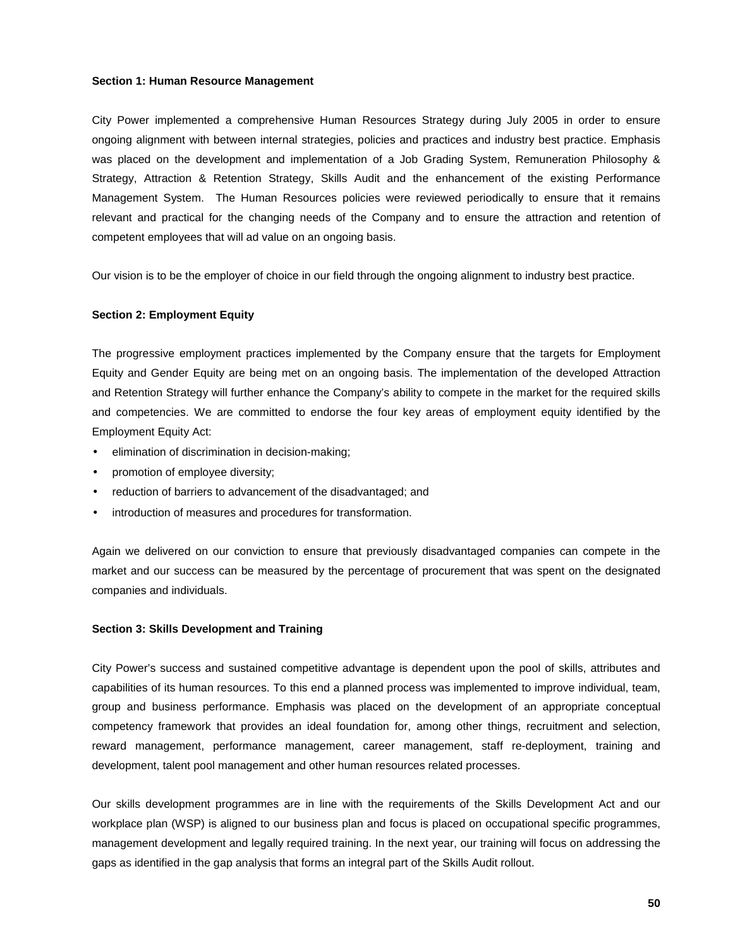#### **Section 1: Human Resource Management**

City Power implemented a comprehensive Human Resources Strategy during July 2005 in order to ensure ongoing alignment with between internal strategies, policies and practices and industry best practice. Emphasis was placed on the development and implementation of a Job Grading System, Remuneration Philosophy & Strategy, Attraction & Retention Strategy, Skills Audit and the enhancement of the existing Performance Management System. The Human Resources policies were reviewed periodically to ensure that it remains relevant and practical for the changing needs of the Company and to ensure the attraction and retention of competent employees that will ad value on an ongoing basis.

Our vision is to be the employer of choice in our field through the ongoing alignment to industry best practice.

#### **Section 2: Employment Equity**

The progressive employment practices implemented by the Company ensure that the targets for Employment Equity and Gender Equity are being met on an ongoing basis. The implementation of the developed Attraction and Retention Strategy will further enhance the Company's ability to compete in the market for the required skills and competencies. We are committed to endorse the four key areas of employment equity identified by the Employment Equity Act:

- elimination of discrimination in decision-making;
- promotion of employee diversity;
- reduction of barriers to advancement of the disadvantaged; and
- $\cdot$  introduction of measures and procedures for transformation.

Again we delivered on our conviction to ensure that previously disadvantaged companies can compete in the market and our success can be measured by the percentage of procurement that was spent on the designated companies and individuals.

#### **Section 3: Skills Development and Training**

City Power's success and sustained competitive advantage is dependent upon the pool of skills, attributes and capabilities of its human resources. To this end a planned process was implemented to improve individual, team, group and business performance. Emphasis was placed on the development of an appropriate conceptual competency framework that provides an ideal foundation for, among other things, recruitment and selection, reward management, performance management, career management, staff re-deployment, training and development, talent pool management and other human resources related processes.

Our skills development programmes are in line with the requirements of the Skills Development Act and our workplace plan (WSP) is aligned to our business plan and focus is placed on occupational specific programmes, management development and legally required training. In the next year, our training will focus on addressing the gaps as identified in the gap analysis that forms an integral part of the Skills Audit rollout.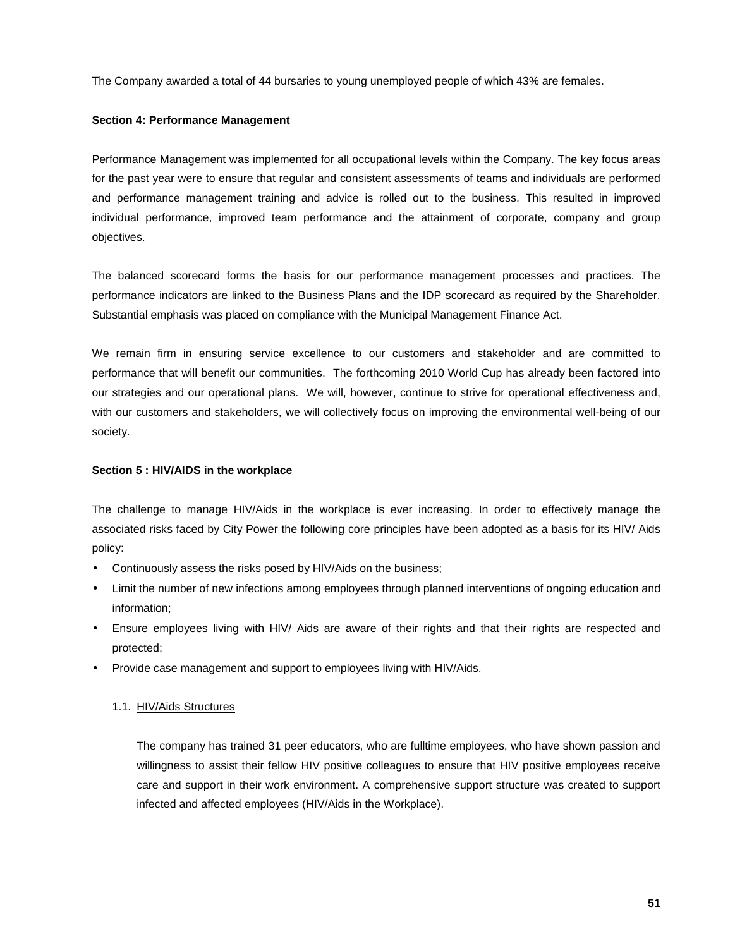The Company awarded a total of 44 bursaries to young unemployed people of which 43% are females.

# **Section 4: Performance Management**

Performance Management was implemented for all occupational levels within the Company. The key focus areas for the past year were to ensure that regular and consistent assessments of teams and individuals are performed and performance management training and advice is rolled out to the business. This resulted in improved individual performance, improved team performance and the attainment of corporate, company and group objectives.

The balanced scorecard forms the basis for our performance management processes and practices. The performance indicators are linked to the Business Plans and the IDP scorecard as required by the Shareholder. Substantial emphasis was placed on compliance with the Municipal Management Finance Act.

We remain firm in ensuring service excellence to our customers and stakeholder and are committed to performance that will benefit our communities. The forthcoming 2010 World Cup has already been factored into our strategies and our operational plans. We will, however, continue to strive for operational effectiveness and, with our customers and stakeholders, we will collectively focus on improving the environmental well-being of our society.

# **Section 5 : HIV/AIDS in the workplace**

The challenge to manage HIV/Aids in the workplace is ever increasing. In order to effectively manage the associated risks faced by City Power the following core principles have been adopted as a basis for its HIV/ Aids policy:

- Continuously assess the risks posed by HIV/Aids on the business;
- Limit the number of new infections among employees through planned interventions of ongoing education and information;
- Ensure employees living with HIV/ Aids are aware of their rights and that their rights are respected and protected;
- Provide case management and support to employees living with HIV/Aids.

# 1.1. HIV/Aids Structures

The company has trained 31 peer educators, who are fulltime employees, who have shown passion and willingness to assist their fellow HIV positive colleagues to ensure that HIV positive employees receive care and support in their work environment. A comprehensive support structure was created to support infected and affected employees (HIV/Aids in the Workplace).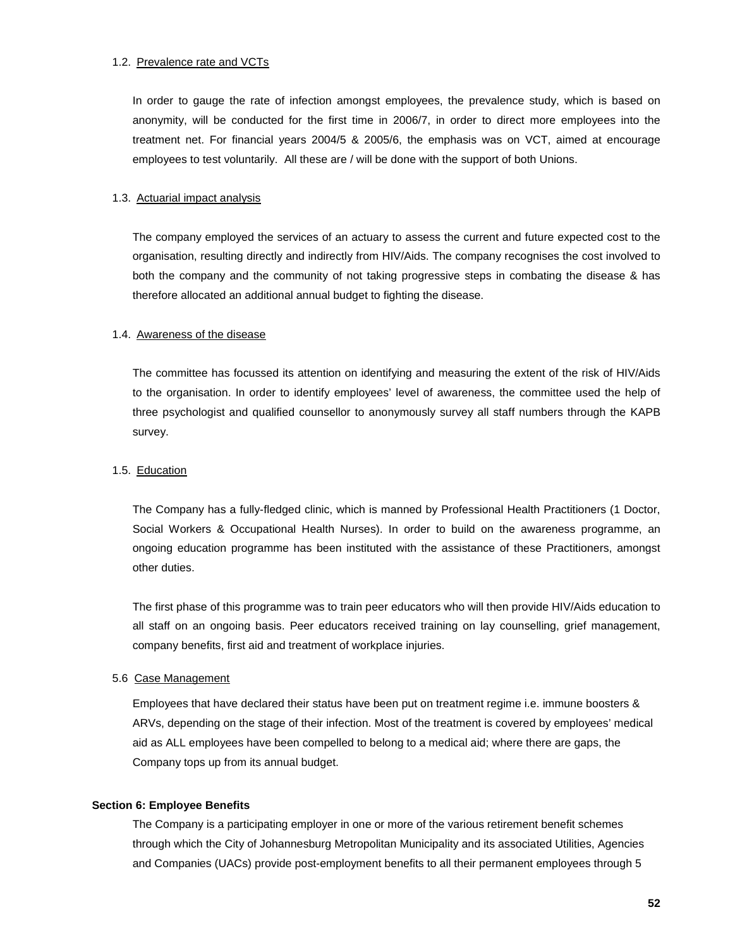#### 1.2. Prevalence rate and VCTs

In order to gauge the rate of infection amongst employees, the prevalence study, which is based on anonymity, will be conducted for the first time in 2006/7, in order to direct more employees into the treatment net. For financial years 2004/5 & 2005/6, the emphasis was on VCT, aimed at encourage employees to test voluntarily. All these are / will be done with the support of both Unions.

#### 1.3. Actuarial impact analysis

The company employed the services of an actuary to assess the current and future expected cost to the organisation, resulting directly and indirectly from HIV/Aids. The company recognises the cost involved to both the company and the community of not taking progressive steps in combating the disease & has therefore allocated an additional annual budget to fighting the disease.

#### 1.4. Awareness of the disease

The committee has focussed its attention on identifying and measuring the extent of the risk of HIV/Aids to the organisation. In order to identify employees' level of awareness, the committee used the help of three psychologist and qualified counsellor to anonymously survey all staff numbers through the KAPB survey.

# 1.5. Education

The Company has a fully-fledged clinic, which is manned by Professional Health Practitioners (1 Doctor, Social Workers & Occupational Health Nurses). In order to build on the awareness programme, an ongoing education programme has been instituted with the assistance of these Practitioners, amongst other duties.

The first phase of this programme was to train peer educators who will then provide HIV/Aids education to all staff on an ongoing basis. Peer educators received training on lay counselling, grief management, company benefits, first aid and treatment of workplace injuries.

#### 5.6 Case Management

Employees that have declared their status have been put on treatment regime i.e. immune boosters & ARVs, depending on the stage of their infection. Most of the treatment is covered by employees' medical aid as ALL employees have been compelled to belong to a medical aid; where there are gaps, the Company tops up from its annual budget.

#### **Section 6: Employee Benefits**

The Company is a participating employer in one or more of the various retirement benefit schemes through which the City of Johannesburg Metropolitan Municipality and its associated Utilities, Agencies and Companies (UACs) provide post-employment benefits to all their permanent employees through 5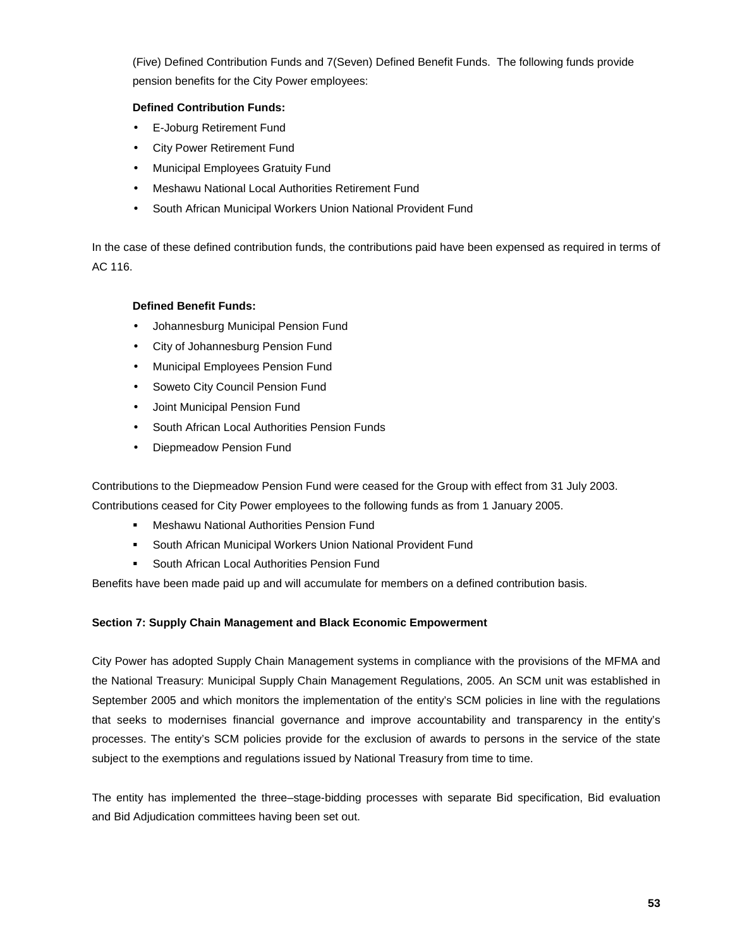(Five) Defined Contribution Funds and 7(Seven) Defined Benefit Funds. The following funds provide pension benefits for the City Power employees:

# **Defined Contribution Funds:**

- E-Joburg Retirement Fund
- City Power Retirement Fund
- Municipal Employees Gratuity Fund
- Meshawu National Local Authorities Retirement Fund
- South African Municipal Workers Union National Provident Fund

In the case of these defined contribution funds, the contributions paid have been expensed as required in terms of AC 116.

# **Defined Benefit Funds:**

- Johannesburg Municipal Pension Fund
- City of Johannesburg Pension Fund
- Municipal Employees Pension Fund
- Soweto City Council Pension Fund
- Joint Municipal Pension Fund
- South African Local Authorities Pension Funds
- Diepmeadow Pension Fund

Contributions to the Diepmeadow Pension Fund were ceased for the Group with effect from 31 July 2003.

Contributions ceased for City Power employees to the following funds as from 1 January 2005.

- Meshawu National Authorities Pension Fund
- **South African Municipal Workers Union National Provident Fund**
- **South African Local Authorities Pension Fund**

Benefits have been made paid up and will accumulate for members on a defined contribution basis.

# **Section 7: Supply Chain Management and Black Economic Empowerment**

City Power has adopted Supply Chain Management systems in compliance with the provisions of the MFMA and the National Treasury: Municipal Supply Chain Management Regulations, 2005. An SCM unit was established in September 2005 and which monitors the implementation of the entity's SCM policies in line with the regulations that seeks to modernises financial governance and improve accountability and transparency in the entity's processes. The entity's SCM policies provide for the exclusion of awards to persons in the service of the state subject to the exemptions and regulations issued by National Treasury from time to time.

The entity has implemented the three–stage-bidding processes with separate Bid specification, Bid evaluation and Bid Adjudication committees having been set out.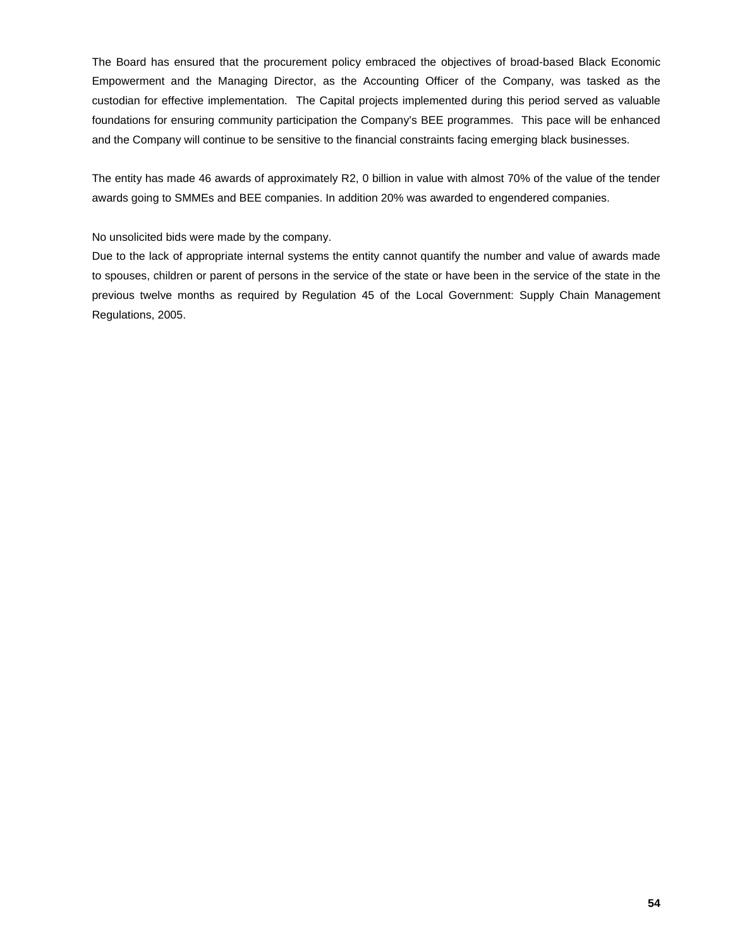The Board has ensured that the procurement policy embraced the objectives of broad-based Black Economic Empowerment and the Managing Director, as the Accounting Officer of the Company, was tasked as the custodian for effective implementation. The Capital projects implemented during this period served as valuable foundations for ensuring community participation the Company's BEE programmes. This pace will be enhanced and the Company will continue to be sensitive to the financial constraints facing emerging black businesses.

The entity has made 46 awards of approximately R2, 0 billion in value with almost 70% of the value of the tender awards going to SMMEs and BEE companies. In addition 20% was awarded to engendered companies.

# No unsolicited bids were made by the company.

Due to the lack of appropriate internal systems the entity cannot quantify the number and value of awards made to spouses, children or parent of persons in the service of the state or have been in the service of the state in the previous twelve months as required by Regulation 45 of the Local Government: Supply Chain Management Regulations, 2005.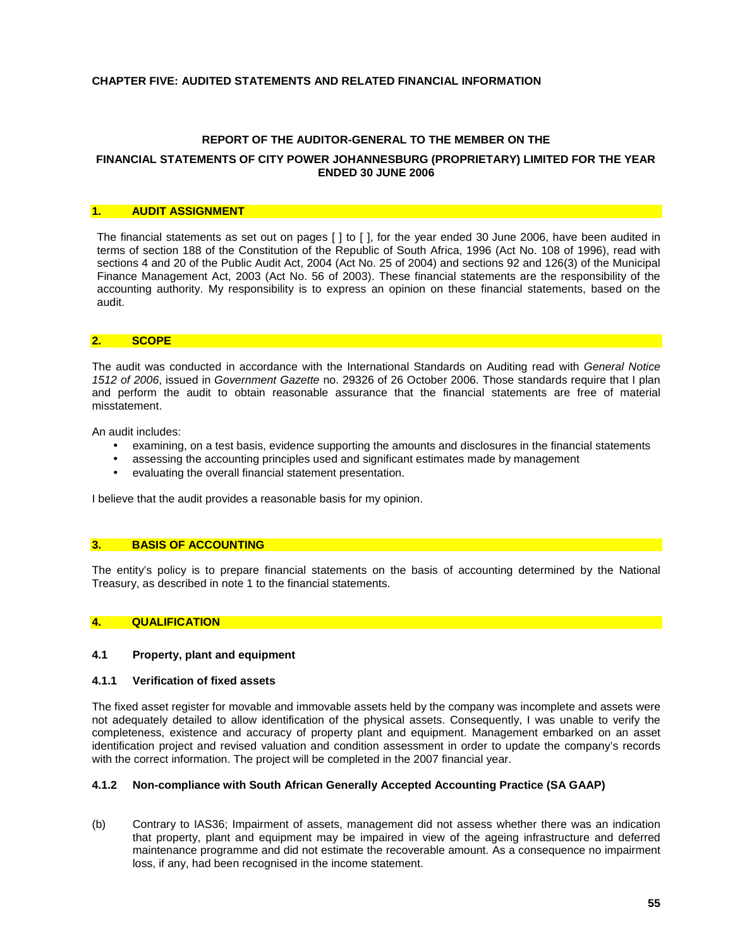#### **CHAPTER FIVE: AUDITED STATEMENTS AND RELATED FINANCIAL INFORMATION**

#### **REPORT OF THE AUDITOR-GENERAL TO THE MEMBER ON THE**

#### **FINANCIAL STATEMENTS OF CITY POWER JOHANNESBURG (PROPRIETARY) LIMITED FOR THE YEAR ENDED 30 JUNE 2006**

#### **1. AUDIT ASSIGNMENT**

The financial statements as set out on pages [ ] to [ ], for the year ended 30 June 2006, have been audited in terms of section 188 of the Constitution of the Republic of South Africa, 1996 (Act No. 108 of 1996), read with sections 4 and 20 of the Public Audit Act, 2004 (Act No. 25 of 2004) and sections 92 and 126(3) of the Municipal Finance Management Act, 2003 (Act No. 56 of 2003). These financial statements are the responsibility of the accounting authority. My responsibility is to express an opinion on these financial statements, based on the audit.

#### **2. SCOPE**

The audit was conducted in accordance with the International Standards on Auditing read with *General Notice 1512 of 2006*, issued in *Government Gazette* no. 29326 of 26 October 2006. Those standards require that I plan and perform the audit to obtain reasonable assurance that the financial statements are free of material misstatement.

An audit includes:

- examining, on a test basis, evidence supporting the amounts and disclosures in the financial statements
- assessing the accounting principles used and significant estimates made by management
- evaluating the overall financial statement presentation.

I believe that the audit provides a reasonable basis for my opinion.

#### **3. BASIS OF ACCOUNTING**

The entity's policy is to prepare financial statements on the basis of accounting determined by the National Treasury, as described in note 1 to the financial statements.

#### **4. QUALIFICATION**

#### **4.1 Property, plant and equipment**

#### **4.1.1 Verification of fixed assets**

The fixed asset register for movable and immovable assets held by the company was incomplete and assets were not adequately detailed to allow identification of the physical assets. Consequently, I was unable to verify the completeness, existence and accuracy of property plant and equipment. Management embarked on an asset identification project and revised valuation and condition assessment in order to update the company's records with the correct information. The project will be completed in the 2007 financial year.

# **4.1.2 Non-compliance with South African Generally Accepted Accounting Practice (SA GAAP)**

(b) Contrary to IAS36; Impairment of assets, management did not assess whether there was an indication that property, plant and equipment may be impaired in view of the ageing infrastructure and deferred maintenance programme and did not estimate the recoverable amount. As a consequence no impairment loss, if any, had been recognised in the income statement.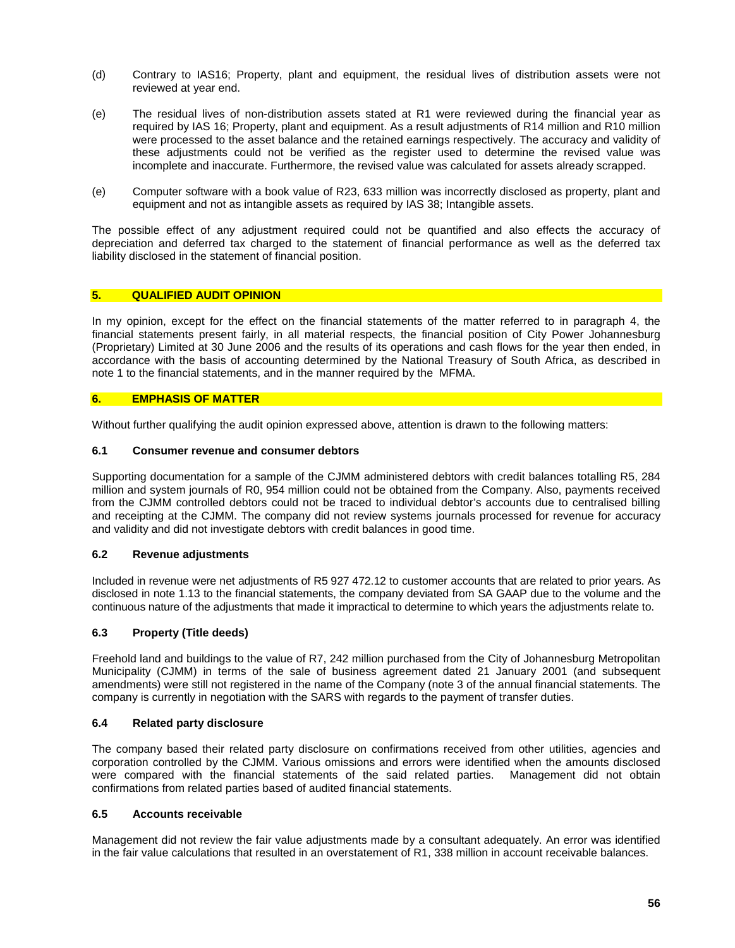- (d) Contrary to IAS16; Property, plant and equipment, the residual lives of distribution assets were not reviewed at year end.
- (e) The residual lives of non-distribution assets stated at R1 were reviewed during the financial year as required by IAS 16; Property, plant and equipment. As a result adjustments of R14 million and R10 million were processed to the asset balance and the retained earnings respectively. The accuracy and validity of these adjustments could not be verified as the register used to determine the revised value was incomplete and inaccurate. Furthermore, the revised value was calculated for assets already scrapped.
- (e) Computer software with a book value of R23, 633 million was incorrectly disclosed as property, plant and equipment and not as intangible assets as required by IAS 38; Intangible assets.

The possible effect of any adjustment required could not be quantified and also effects the accuracy of depreciation and deferred tax charged to the statement of financial performance as well as the deferred tax liability disclosed in the statement of financial position.

#### **5. QUALIFIED AUDIT OPINION**

In my opinion, except for the effect on the financial statements of the matter referred to in paragraph 4, the financial statements present fairly, in all material respects, the financial position of City Power Johannesburg (Proprietary) Limited at 30 June 2006 and the results of its operations and cash flows for the year then ended, in accordance with the basis of accounting determined by the National Treasury of South Africa, as described in note 1 to the financial statements, and in the manner required by the MFMA.

#### **6. EMPHASIS OF MATTER**

Without further qualifying the audit opinion expressed above, attention is drawn to the following matters:

#### **6.1 Consumer revenue and consumer debtors**

Supporting documentation for a sample of the CJMM administered debtors with credit balances totalling R5, 284 million and system journals of R0, 954 million could not be obtained from the Company. Also, payments received from the CJMM controlled debtors could not be traced to individual debtor's accounts due to centralised billing and receipting at the CJMM. The company did not review systems journals processed for revenue for accuracy and validity and did not investigate debtors with credit balances in good time.

#### **6.2 Revenue adjustments**

Included in revenue were net adjustments of R5 927 472.12 to customer accounts that are related to prior years. As disclosed in note 1.13 to the financial statements, the company deviated from SA GAAP due to the volume and the continuous nature of the adjustments that made it impractical to determine to which years the adjustments relate to.

#### **6.3 Property (Title deeds)**

Freehold land and buildings to the value of R7, 242 million purchased from the City of Johannesburg Metropolitan Municipality (CJMM) in terms of the sale of business agreement dated 21 January 2001 (and subsequent amendments) were still not registered in the name of the Company (note 3 of the annual financial statements. The company is currently in negotiation with the SARS with regards to the payment of transfer duties.

#### **6.4 Related party disclosure**

The company based their related party disclosure on confirmations received from other utilities, agencies and corporation controlled by the CJMM. Various omissions and errors were identified when the amounts disclosed were compared with the financial statements of the said related parties. Management did not obtain confirmations from related parties based of audited financial statements.

#### **6.5 Accounts receivable**

Management did not review the fair value adjustments made by a consultant adequately. An error was identified in the fair value calculations that resulted in an overstatement of R1, 338 million in account receivable balances.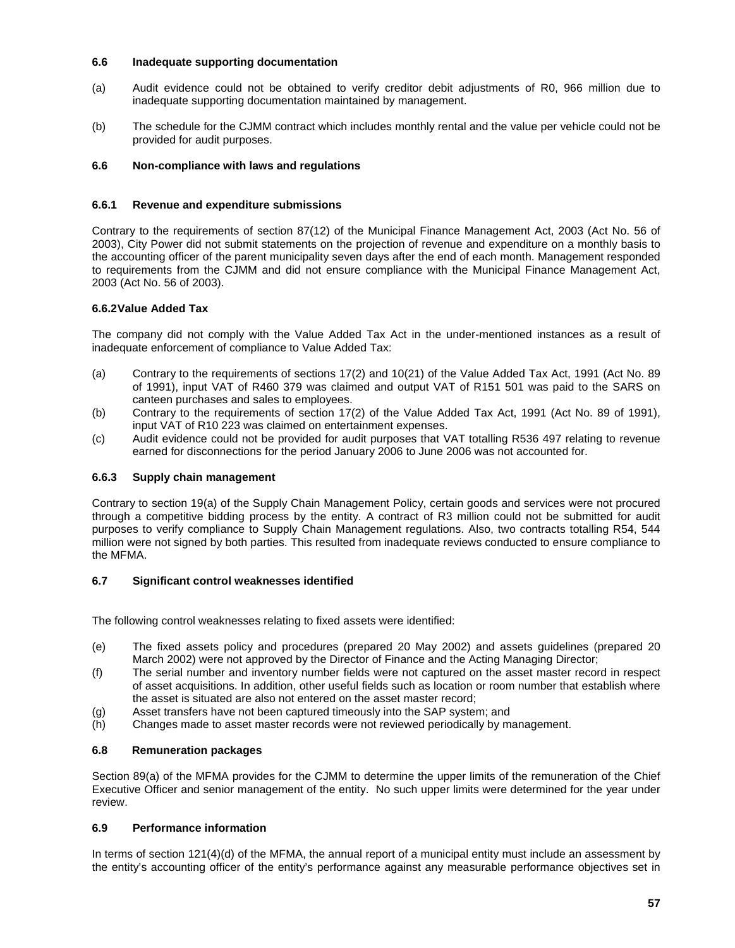#### **6.6 Inadequate supporting documentation**

- (a) Audit evidence could not be obtained to verify creditor debit adjustments of R0, 966 million due to inadequate supporting documentation maintained by management.
- (b) The schedule for the CJMM contract which includes monthly rental and the value per vehicle could not be provided for audit purposes.

# **6.6 Non-compliance with laws and regulations**

# **6.6.1 Revenue and expenditure submissions**

Contrary to the requirements of section 87(12) of the Municipal Finance Management Act, 2003 (Act No. 56 of 2003), City Power did not submit statements on the projection of revenue and expenditure on a monthly basis to the accounting officer of the parent municipality seven days after the end of each month. Management responded to requirements from the CJMM and did not ensure compliance with the Municipal Finance Management Act, 2003 (Act No. 56 of 2003).

# **6.6.2Value Added Tax**

The company did not comply with the Value Added Tax Act in the under-mentioned instances as a result of inadequate enforcement of compliance to Value Added Tax:

- (a) Contrary to the requirements of sections 17(2) and 10(21) of the Value Added Tax Act, 1991 (Act No. 89 of 1991), input VAT of R460 379 was claimed and output VAT of R151 501 was paid to the SARS on canteen purchases and sales to employees.
- (b) Contrary to the requirements of section 17(2) of the Value Added Tax Act, 1991 (Act No. 89 of 1991), input VAT of R10 223 was claimed on entertainment expenses.
- (c) Audit evidence could not be provided for audit purposes that VAT totalling R536 497 relating to revenue earned for disconnections for the period January 2006 to June 2006 was not accounted for.

# **6.6.3 Supply chain management**

Contrary to section 19(a) of the Supply Chain Management Policy, certain goods and services were not procured through a competitive bidding process by the entity. A contract of R3 million could not be submitted for audit purposes to verify compliance to Supply Chain Management regulations. Also, two contracts totalling R54, 544 million were not signed by both parties. This resulted from inadequate reviews conducted to ensure compliance to the MFMA.

# **6.7 Significant control weaknesses identified**

The following control weaknesses relating to fixed assets were identified:

- (e) The fixed assets policy and procedures (prepared 20 May 2002) and assets guidelines (prepared 20 March 2002) were not approved by the Director of Finance and the Acting Managing Director;
- (f) The serial number and inventory number fields were not captured on the asset master record in respect of asset acquisitions. In addition, other useful fields such as location or room number that establish where the asset is situated are also not entered on the asset master record;
- (g) Asset transfers have not been captured timeously into the SAP system; and
- (h) Changes made to asset master records were not reviewed periodically by management.

# **6.8 Remuneration packages**

Section 89(a) of the MFMA provides for the CJMM to determine the upper limits of the remuneration of the Chief Executive Officer and senior management of the entity. No such upper limits were determined for the year under review.

# **6.9 Performance information**

In terms of section 121(4)(d) of the MFMA, the annual report of a municipal entity must include an assessment by the entity's accounting officer of the entity's performance against any measurable performance objectives set in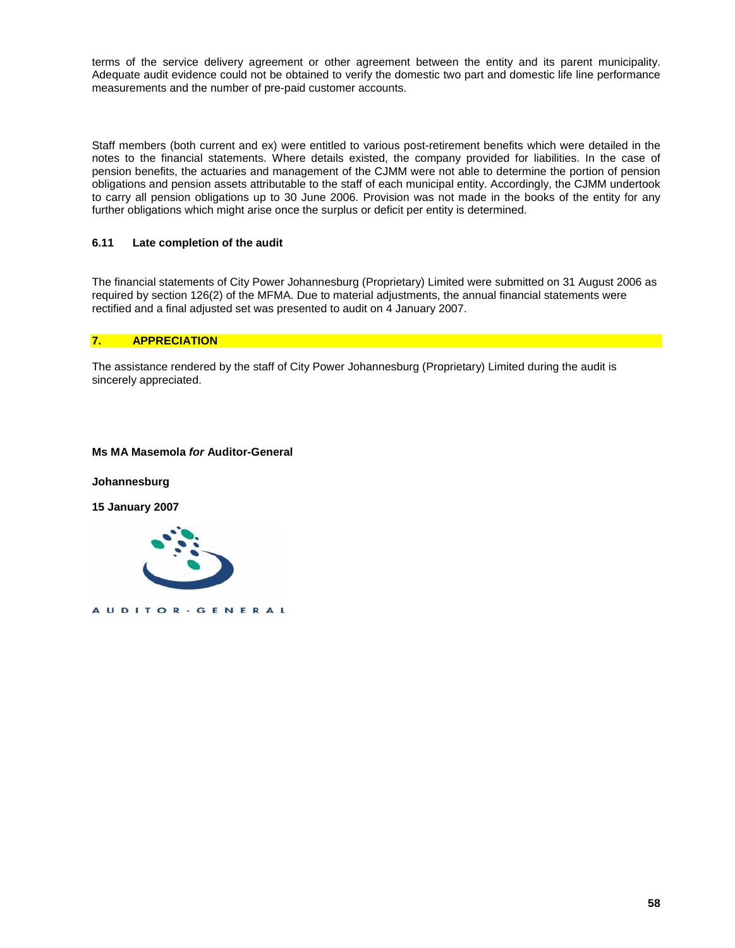terms of the service delivery agreement or other agreement between the entity and its parent municipality. Adequate audit evidence could not be obtained to verify the domestic two part and domestic life line performance measurements and the number of pre-paid customer accounts.

Staff members (both current and ex) were entitled to various post-retirement benefits which were detailed in the notes to the financial statements. Where details existed, the company provided for liabilities. In the case of pension benefits, the actuaries and management of the CJMM were not able to determine the portion of pension obligations and pension assets attributable to the staff of each municipal entity. Accordingly, the CJMM undertook to carry all pension obligations up to 30 June 2006. Provision was not made in the books of the entity for any further obligations which might arise once the surplus or deficit per entity is determined.

# **6.11 Late completion of the audit**

The financial statements of City Power Johannesburg (Proprietary) Limited were submitted on 31 August 2006 as required by section 126(2) of the MFMA. Due to material adjustments, the annual financial statements were rectified and a final adjusted set was presented to audit on 4 January 2007.

#### **7. APPRECIATION**

The assistance rendered by the staff of City Power Johannesburg (Proprietary) Limited during the audit is sincerely appreciated.

#### **Ms MA Masemola** *for* **Auditor-General**

**Johannesburg**

**15 January 2007**



AUDITOR - GENERAL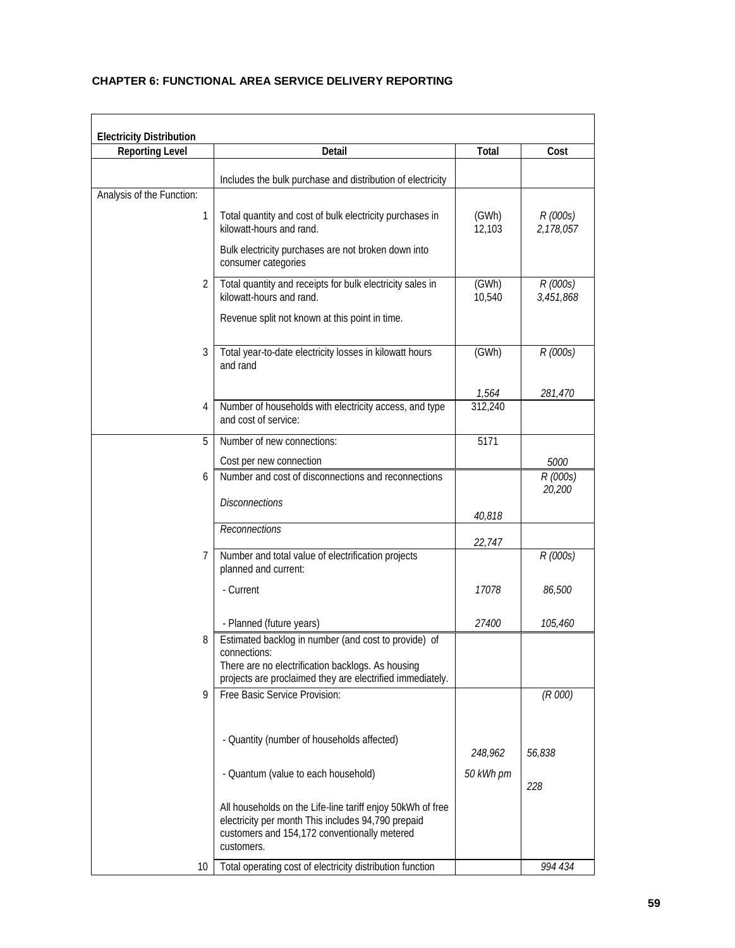# **CHAPTER 6: FUNCTIONAL AREA SERVICE DELIVERY REPORTING**

| <b>Electricity Distribution</b> |                                                                                                                                                                                |                 |                       |
|---------------------------------|--------------------------------------------------------------------------------------------------------------------------------------------------------------------------------|-----------------|-----------------------|
| <b>Reporting Level</b>          | Detail                                                                                                                                                                         | Total           | Cost                  |
|                                 | Includes the bulk purchase and distribution of electricity                                                                                                                     |                 |                       |
| Analysis of the Function:       |                                                                                                                                                                                |                 |                       |
| 1                               | Total quantity and cost of bulk electricity purchases in<br>kilowatt-hours and rand.                                                                                           | (GWh)<br>12,103 | R (000s)<br>2,178,057 |
|                                 | Bulk electricity purchases are not broken down into<br>consumer categories                                                                                                     |                 |                       |
| 2                               | Total quantity and receipts for bulk electricity sales in<br>kilowatt-hours and rand.                                                                                          | (GWh)<br>10,540 | R (000s)<br>3,451,868 |
|                                 | Revenue split not known at this point in time.                                                                                                                                 |                 |                       |
| 3                               | Total year-to-date electricity losses in kilowatt hours<br>and rand                                                                                                            | (GWh)           | R (000s)              |
|                                 |                                                                                                                                                                                | 1,564           | 281,470               |
| 4                               | Number of households with electricity access, and type<br>and cost of service:                                                                                                 | 312,240         |                       |
| 5                               | Number of new connections:                                                                                                                                                     | 5171            |                       |
|                                 | Cost per new connection                                                                                                                                                        |                 | 5000                  |
| 6                               | Number and cost of disconnections and reconnections                                                                                                                            |                 | R (000s)<br>20,200    |
|                                 | <b>Disconnections</b>                                                                                                                                                          | 40,818          |                       |
|                                 | Reconnections                                                                                                                                                                  | 22,747          |                       |
| 7                               | Number and total value of electrification projects<br>planned and current:                                                                                                     |                 | R (000s)              |
|                                 | - Current                                                                                                                                                                      | 17078           | 86,500                |
|                                 | - Planned (future years)                                                                                                                                                       | 27400           | 105,460               |
| 8                               | Estimated backlog in number (and cost to provide) of                                                                                                                           |                 |                       |
|                                 | connections:<br>There are no electrification backlogs. As housing<br>projects are proclaimed they are electrified immediately.                                                 |                 |                       |
| 9                               | Free Basic Service Provision:                                                                                                                                                  |                 | (R 000)               |
|                                 |                                                                                                                                                                                |                 |                       |
|                                 | - Quantity (number of households affected)                                                                                                                                     |                 |                       |
|                                 |                                                                                                                                                                                | 248,962         | 56,838                |
|                                 | - Quantum (value to each household)                                                                                                                                            | 50 kWh pm       | 228                   |
|                                 |                                                                                                                                                                                |                 |                       |
|                                 | All households on the Life-line tariff enjoy 50kWh of free<br>electricity per month This includes 94,790 prepaid<br>customers and 154,172 conventionally metered<br>customers. |                 |                       |
| 10                              | Total operating cost of electricity distribution function                                                                                                                      |                 | 994 434               |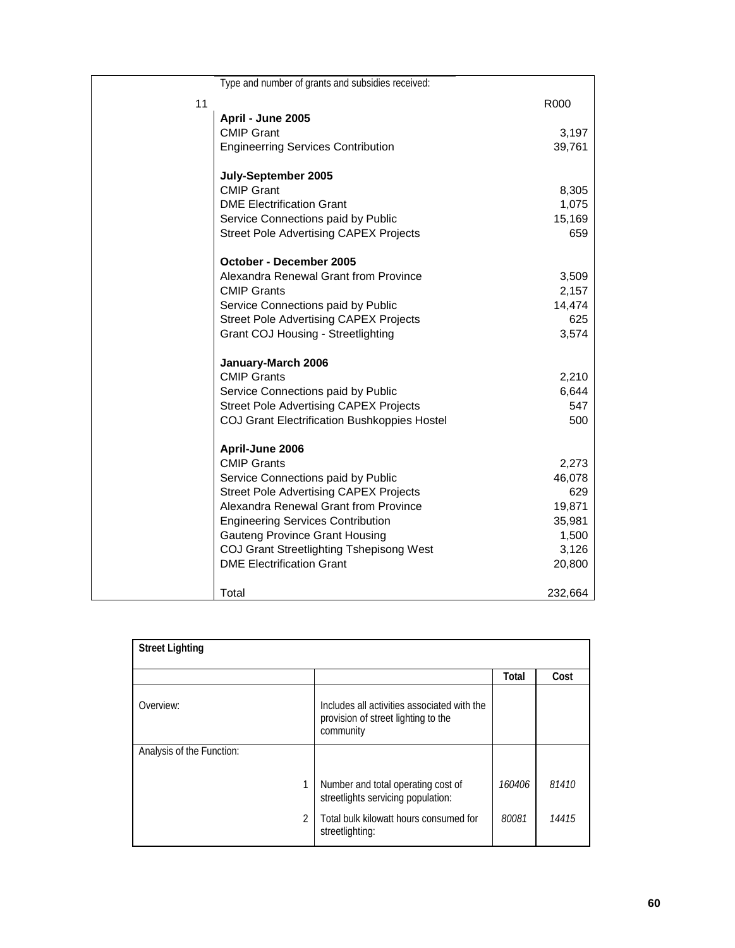|    | Type and number of grants and subsidies received:   |         |
|----|-----------------------------------------------------|---------|
| 11 |                                                     | R000    |
|    | April - June 2005                                   |         |
|    | <b>CMIP Grant</b>                                   | 3,197   |
|    | <b>Engineerring Services Contribution</b>           | 39,761  |
|    | July-September 2005                                 |         |
|    | <b>CMIP Grant</b>                                   | 8,305   |
|    | <b>DME Electrification Grant</b>                    | 1,075   |
|    | Service Connections paid by Public                  | 15,169  |
|    | <b>Street Pole Advertising CAPEX Projects</b>       | 659     |
|    | October - December 2005                             |         |
|    | Alexandra Renewal Grant from Province               | 3,509   |
|    | <b>CMIP Grants</b>                                  | 2,157   |
|    | Service Connections paid by Public                  | 14,474  |
|    | <b>Street Pole Advertising CAPEX Projects</b>       | 625     |
|    | <b>Grant COJ Housing - Streetlighting</b>           | 3,574   |
|    | January-March 2006                                  |         |
|    | <b>CMIP Grants</b>                                  | 2,210   |
|    | Service Connections paid by Public                  | 6,644   |
|    | <b>Street Pole Advertising CAPEX Projects</b>       | 547     |
|    | <b>COJ Grant Electrification Bushkoppies Hostel</b> | 500     |
|    | April-June 2006                                     |         |
|    | <b>CMIP Grants</b>                                  | 2,273   |
|    | Service Connections paid by Public                  | 46,078  |
|    | <b>Street Pole Advertising CAPEX Projects</b>       | 629     |
|    | Alexandra Renewal Grant from Province               | 19,871  |
|    | <b>Engineering Services Contribution</b>            | 35,981  |
|    | <b>Gauteng Province Grant Housing</b>               | 1,500   |
|    | COJ Grant Streetlighting Tshepisong West            | 3,126   |
|    | <b>DME Electrification Grant</b>                    | 20,800  |
|    | Total                                               | 232,664 |

| <b>Street Lighting</b>    |                                                                                                 |        |       |
|---------------------------|-------------------------------------------------------------------------------------------------|--------|-------|
|                           |                                                                                                 | Total  | Cost  |
| Overview:                 | Includes all activities associated with the<br>provision of street lighting to the<br>community |        |       |
| Analysis of the Function: |                                                                                                 |        |       |
|                           | Number and total operating cost of<br>streetlights servicing population:                        | 160406 | 81410 |
| $\mathfrak{p}$            | Total bulk kilowatt hours consumed for<br>streetlighting:                                       | 80081  | 14415 |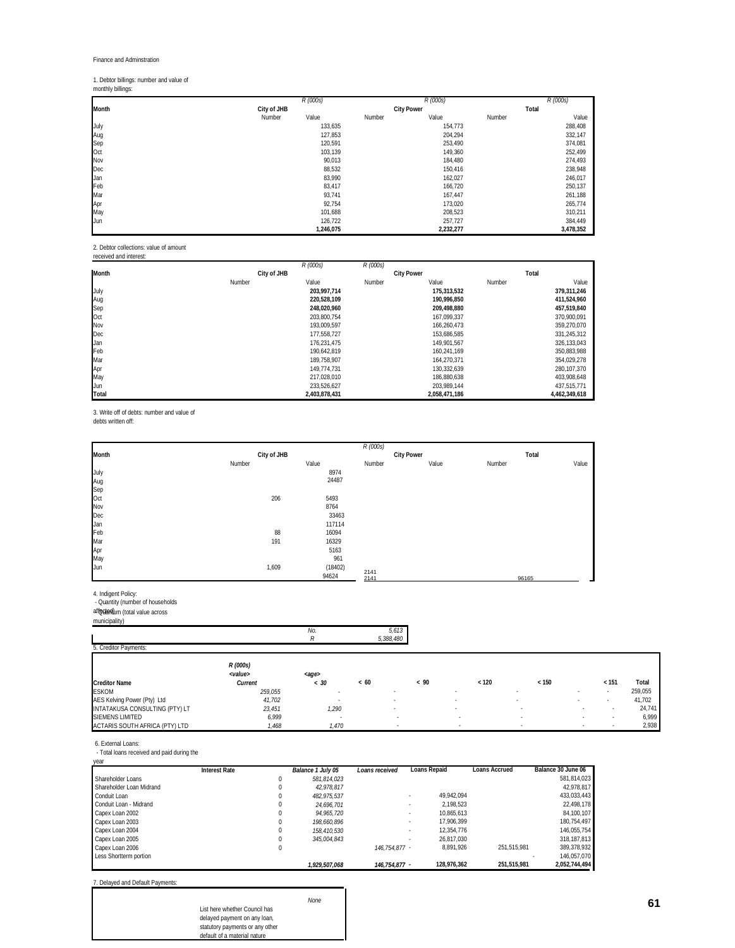# 1. Debtor billings: number and value of monthly billings:

|                           |             | R (000s)  |        | R (000s)          |        | R (000s)  |
|---------------------------|-------------|-----------|--------|-------------------|--------|-----------|
| Month                     | City of JHB |           |        | <b>City Power</b> | Total  |           |
|                           | Number      | Value     | Number | Value             | Number | Value     |
|                           |             | 133,635   |        | 154,773           |        | 288,408   |
|                           |             | 127,853   |        | 204,294           |        | 332,147   |
|                           |             | 120,591   |        | 253,490           |        | 374,081   |
| July<br>Aug<br>Sep<br>Oct |             | 103,139   |        | 149,360           |        | 252,499   |
| Nov                       |             | 90,013    |        | 184,480           |        | 274,493   |
| Dec                       |             | 88,532    |        | 150,416           |        | 238,948   |
| Jan                       |             | 83,990    |        | 162,027           |        | 246,017   |
| Feb<br>Mar                |             | 83,417    |        | 166,720           |        | 250,137   |
|                           |             | 93,741    |        | 167,447           |        | 261,188   |
|                           |             | 92,754    |        | 173,020           |        | 265,774   |
| Apr<br>May                |             | 101,688   |        | 208,523           |        | 310,211   |
| Jun                       |             | 126,722   |        | 257,727           |        | 384,449   |
|                           |             | 1,246,075 |        | 2,232,277         |        | 3,478,352 |

2. Debtor collections: value of amount received and interest:

| ו מפועמות מווחדות ומותר |             |               |          |                   |        |               |
|-------------------------|-------------|---------------|----------|-------------------|--------|---------------|
|                         |             | R (000s)      | R (000s) |                   |        |               |
| Month                   | City of JHB |               |          | <b>City Power</b> |        | Total         |
|                         | Number      | Value         | Number   | Value             | Number | Value         |
| July                    |             | 203.997.714   |          | 175,313,532       |        | 379,311,246   |
| Aug                     |             | 220.528.109   |          | 190.996.850       |        | 411,524,960   |
| Sep                     |             | 248.020.960   |          | 209.498.880       |        | 457,519,840   |
| Oct                     |             | 203.800.754   |          | 167.099.337       |        | 370.900.091   |
| Nov                     |             | 193.009.597   |          | 166.260.473       |        | 359,270,070   |
| Dec                     |             | 177.558.727   |          | 153.686.585       |        | 331,245,312   |
| Jan                     |             | 176,231,475   |          | 149,901,567       |        | 326, 133, 043 |
| Feb                     |             | 190,642,819   |          | 160.241.169       |        | 350,883,988   |
| Mar                     |             | 189,758,907   |          | 164.270.371       |        | 354,029,278   |
| Apr                     |             | 149.774.731   |          | 130.332.639       |        | 280, 107, 370 |
| May                     |             | 217.028.010   |          | 186.880.638       |        | 403,908,648   |
| Jun                     |             | 233,526,627   |          | 203.989.144       |        | 437,515,771   |
| Total                   |             | 2,403,878,431 |          | 2,058,471,186     |        | 4.462.349.618 |

3. Write off of debts: number and value of

debts written off:

|                                                     |        |             |       |         | R (000s)     |            |       |        |       |       |
|-----------------------------------------------------|--------|-------------|-------|---------|--------------|------------|-------|--------|-------|-------|
| Month                                               |        | City of JHB |       |         |              | City Power |       |        | Total |       |
|                                                     | Number |             | Value |         | Number       |            | Value | Number |       | Value |
|                                                     |        |             |       | 8974    |              |            |       |        |       |       |
|                                                     |        |             |       | 24487   |              |            |       |        |       |       |
|                                                     |        |             |       |         |              |            |       |        |       |       |
|                                                     |        | 206         | 5493  |         |              |            |       |        |       |       |
|                                                     |        |             |       | 8764    |              |            |       |        |       |       |
|                                                     |        |             |       | 33463   |              |            |       |        |       |       |
|                                                     |        |             |       | 117114  |              |            |       |        |       |       |
| July<br>Aug<br>Sep Oct<br>Nov<br>Dec Jan<br>Feb Mar |        | 88          |       | 16094   |              |            |       |        |       |       |
|                                                     |        | 191         |       | 16329   |              |            |       |        |       |       |
| Apr<br>Apr<br>May<br>Jun                            |        |             |       | 5163    |              |            |       |        |       |       |
|                                                     |        |             |       | 961     |              |            |       |        |       |       |
|                                                     |        | 1,609       |       | (18402) |              |            |       |        |       |       |
|                                                     |        |             | 94624 |         | 2141<br>2141 |            |       |        | 96165 |       |

4. Indigent Policy: - Quantity (number of households affected) - Quantum (total value across municipality)

|                                |                             | No.            | 5,613     |      |                          |                          |        |        |         |
|--------------------------------|-----------------------------|----------------|-----------|------|--------------------------|--------------------------|--------|--------|---------|
|                                |                             | R              | 5,388,480 |      |                          |                          |        |        |         |
| 5. Creditor Payments:          |                             |                |           |      |                          |                          |        |        |         |
|                                | R (000s)<br><value></value> | <age></age>    |           |      |                          |                          |        |        |         |
| <b>Creditor Name</b>           | Current                     | < 30           | <60       | < 90 | < 120                    | < 150                    |        | < 151  | Total   |
| <b>ESKOM</b>                   | 259,055                     | $\blacksquare$ |           |      |                          | $\blacksquare$           | $\sim$ | . .    | 259,055 |
| AES Kelving Power (Pty) Ltd    | 41,702                      | ٠              |           |      |                          |                          | $\sim$ |        | 41,702  |
| INTATAKUSA CONSULTING (PTY) LT | 23,451                      | 1,290          |           |      |                          | $\overline{\phantom{a}}$ |        | $\sim$ | 24,741  |
| <b>SIEMENS LIMITED</b>         | 6,999                       |                |           |      | $\blacksquare$           |                          |        | $\sim$ | 6,999   |
| ACTARIS SOUTH AFRICA (PTY) LTD | 1,468                       | 1,470          |           |      | $\overline{\phantom{a}}$ | . .                      |        |        | 2,938   |

6. External Loans: - Total loans received and paid during the

| vear                     |               |   |                   |                |              |               |                    |
|--------------------------|---------------|---|-------------------|----------------|--------------|---------------|--------------------|
|                          | Interest Rate |   | Balance 1 July 05 | Loans received | Loans Repaid | Loans Accrued | Balance 30 June 06 |
| Shareholder Loans        |               | 0 | 581.814.023       |                |              |               | 581,814,023        |
| Shareholder Loan Midrand |               | 0 | 42.978.817        |                |              |               | 42.978.817         |
| Conduit Loan             |               | 0 | 482.975.537       |                | 49.942.094   |               | 433.033.443        |
| Conduit Loan - Midrand   |               | 0 | 24.696.701        |                | 2.198.523    |               | 22,498,178         |
| Capex Loan 2002          |               | 0 | 94.965.720        |                | 10.865.613   |               | 84,100,107         |
| Capex Loan 2003          |               | 0 | 198.660.896       |                | 17.906.399   |               | 180.754.497        |
| Capex Loan 2004          |               | 0 | 158.410.530       |                | 12.354.776   |               | 146.055.754        |
| Capex Loan 2005          |               | 0 | 345.004.843       |                | 26.817.030   |               | 318, 187, 813      |
| Capex Loan 2006          |               | 0 |                   | 146.754.877 -  | 8.891.926    | 251.515.981   | 389.378.932        |
| Less Shortterm portion   |               |   |                   |                |              |               | 146.057.070        |
|                          |               |   | 1.929.507.068     | 146.754.877 -  | 128.976.362  | 251.515.981   | 2.052.744.494      |

7. Delayed and Default Payments:

|                                 | <b>None</b> |
|---------------------------------|-------------|
| List here whether Council has   |             |
| delayed payment on any loan,    |             |
| statutory payments or any other |             |
| default of a material nature    |             |
|                                 |             |